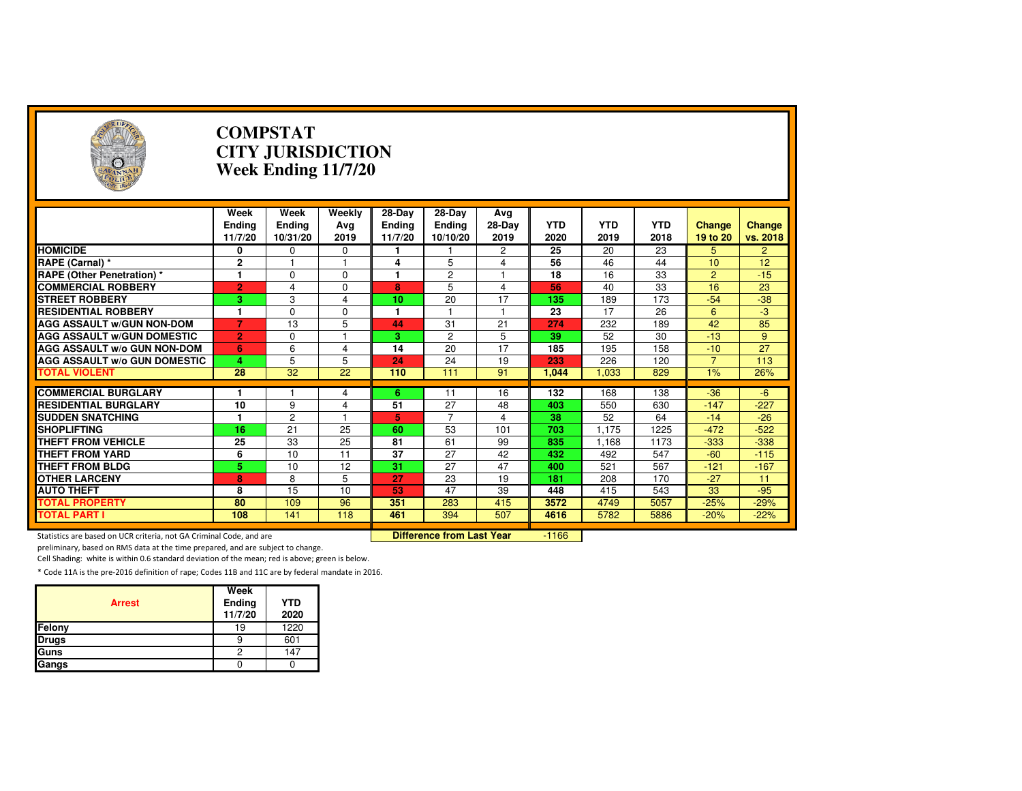| $\boldsymbol{\epsilon}$                                             | <b>COMPSTAT</b>          | <b>CITY JURISDICTION</b><br>Week Ending 11/7/20 |             |                          |                                  |                |                    |                    |                    |                           |                    |
|---------------------------------------------------------------------|--------------------------|-------------------------------------------------|-------------|--------------------------|----------------------------------|----------------|--------------------|--------------------|--------------------|---------------------------|--------------------|
|                                                                     | Week                     | Week                                            | Weekly      | 28-Day                   | 28-Day                           | Avg            |                    |                    |                    |                           |                    |
|                                                                     | <b>Ending</b><br>11/7/20 | <b>Ending</b><br>10/31/20                       | Ava<br>2019 | <b>Ending</b><br>11/7/20 | <b>Ending</b><br>10/10/20        | 28-Day<br>2019 | <b>YTD</b><br>2020 | <b>YTD</b><br>2019 | <b>YTD</b><br>2018 | <b>Change</b><br>19 to 20 | Change<br>vs. 2018 |
| <b>HOMICIDE</b>                                                     | 0                        | 0                                               | 0           | 1                        |                                  | 2              | 25                 | 20                 | 23                 | 5                         | $\overline{2}$     |
| RAPE (Carnal) *                                                     | $\overline{2}$           | $\mathbf{1}$                                    | 1           | 4                        | 5                                | 4              | 56                 | 46                 | 44                 | 10                        | 12                 |
| RAPE (Other Penetration) *                                          | 1                        | $\Omega$                                        | $\Omega$    | 1                        | $\overline{c}$                   | $\mathbf{1}$   | 18                 | 16                 | 33                 | $\overline{2}$            | $-15$              |
| <b>COMMERCIAL ROBBERY</b>                                           | $\overline{2}$           | 4                                               | $\Omega$    | 8                        | 5                                | 4              | 56                 | 40                 | 33                 | 16                        | 23                 |
| <b>STREET ROBBERY</b>                                               | 3.                       | 3                                               | 4           | 10                       | 20                               | 17             | 135                | 189                | 173                | $-54$                     | $-38$              |
| <b>RESIDENTIAL ROBBERY</b>                                          | 1                        | $\Omega$                                        | $\Omega$    | 1                        |                                  | $\mathbf{1}$   | 23                 | 17                 | 26                 | $6\phantom{1}$            | $-3$               |
| <b>AGG ASSAULT w/GUN NON-DOM</b>                                    | $\overline{7}$           | 13                                              | 5           | 44                       | 31                               | 21             | 274                | 232                | 189                | 42                        | 85                 |
| <b>AGG ASSAULT W/GUN DOMESTIC</b>                                   | $\overline{2}$           | $\Omega$                                        |             | 3.                       | $\mathbf{2}$                     | 5              | 39                 | 52                 | 30                 | $-13$                     | 9                  |
| <b>AGG ASSAULT w/o GUN NON-DOM</b>                                  | 6                        | 6                                               | 4           | 14                       | 20                               | 17             | 185                | 195                | 158                | $-10$                     | 27                 |
| <b>AGG ASSAULT w/o GUN DOMESTIC</b>                                 | 4                        | 5                                               | 5           | 24                       | 24                               | 19             | 233                | 226                | 120                | $\overline{7}$            | 113                |
| <b>TOTAL VIOLENT</b>                                                | 28                       | 32                                              | 22          | 110                      | 111                              | 91             | 1,044              | 1,033              | 829                | 1%                        | 26%                |
|                                                                     |                          |                                                 |             |                          |                                  |                |                    |                    |                    |                           |                    |
| <b>COMMERCIAL BURGLARY</b><br><b>RESIDENTIAL BURGLARY</b>           | 10                       | 9                                               | 4<br>4      | 6<br>51                  | 11<br>27                         | 16<br>48       | 132<br>403         | 168<br>550         | 138<br>630         | $-36$<br>$-147$           | -6<br>$-227$       |
| <b>SUDDEN SNATCHING</b>                                             | 1                        | $\overline{2}$                                  | 1           | 5.                       | $\overline{7}$                   | 4              | 38                 | 52                 | 64                 | $-14$                     | $-26$              |
| <b>SHOPLIFTING</b>                                                  | 16                       | 21                                              | 25          | 60                       | 53                               | 101            | 703                | 1.175              | 1225               | $-472$                    | $-522$             |
| <b>THEFT FROM VEHICLE</b>                                           | 25                       | 33                                              | 25          | 81                       | 61                               | 99             | 835                | 1.168              | 1173               | $-333$                    | $-338$             |
| <b>THEFT FROM YARD</b>                                              | 6                        | 10                                              | 11          | 37                       | 27                               | 42             | 432                | 492                | 547                | $-60$                     | $-115$             |
| <b>THEFT FROM BLDG</b>                                              | 5                        | 10                                              | 12          | 31                       | 27                               | 47             | 400                | 521                | 567                | $-121$                    | $-167$             |
| <b>OTHER LARCENY</b>                                                | 8                        | 8                                               | 5           | 27                       | 23                               | 19             | 181                | 208                | 170                | $-27$                     | 11                 |
| <b>AUTO THEFT</b>                                                   | 8                        | 15                                              | 10          | 53                       | 47                               | 39             | 448                | 415                | 543                | 33                        | $-95$              |
| <b>TOTAL PROPERTY</b>                                               | 80                       | 109                                             | 96          | 351                      | 283                              | 415            | 3572               | 4749               | 5057               | $-25%$                    | $-29%$             |
| <b>TOTAL PART I</b>                                                 | 108                      | 141                                             | 118         | 461                      | 394                              | 507            | 4616               | 5782               | 5886               | $-20%$                    | $-22%$             |
| Statistics are based on UCR criteria, not GA Criminal Code, and are |                          |                                                 |             |                          | <b>Difference from Last Year</b> |                | $-1166$            |                    |                    |                           |                    |

preliminary, based on RMS data at the time prepared, and are subject to change.

Cell Shading: white is within 0.6 standard deviation of the mean; red is above; green is below.

| <b>Arrest</b> | Week<br>Ending<br>11/7/20 | <b>YTD</b><br>2020 |
|---------------|---------------------------|--------------------|
| Felony        | 19                        | 1220               |
| <b>Drugs</b>  | 9                         | 601                |
| Guns          | 2                         | 147                |
| Gangs         |                           |                    |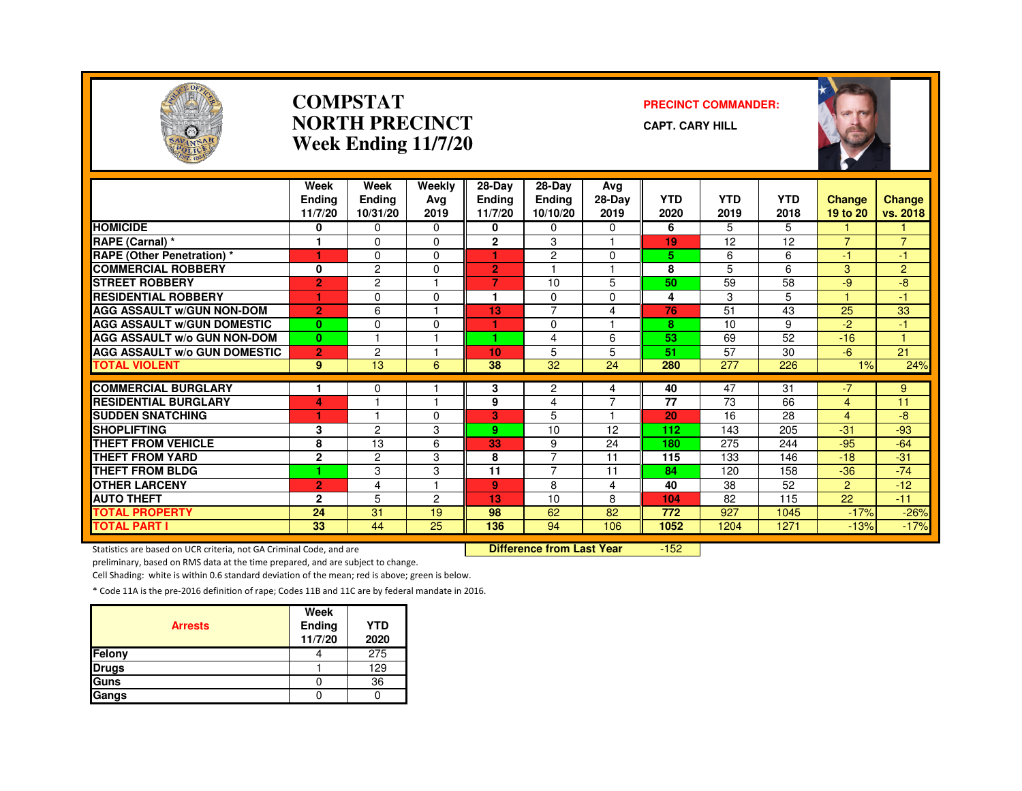

#### **COMPSTATNORTH PRECINCTWeek Ending 11/7/20**

#### **PRECINCT COMMANDER:**

**CAPT. CARY HILL**



|                                     | Week<br><b>Endina</b> | Week<br>Ending | Weekly<br>Avg   | 28-Day<br><b>Ending</b> | $28-Dav$<br>Ending | Avg<br>28-Day       | <b>YTD</b> | <b>YTD</b> | <b>YTD</b> | Change         | <b>Change</b>  |
|-------------------------------------|-----------------------|----------------|-----------------|-------------------------|--------------------|---------------------|------------|------------|------------|----------------|----------------|
|                                     | 11/7/20               | 10/31/20       | 2019            | 11/7/20                 | 10/10/20           | 2019                | 2020       | 2019       | 2018       | 19 to 20       | vs. 2018       |
| <b>HOMICIDE</b>                     | 0                     | $\Omega$       | $\Omega$        | 0                       | 0                  | 0                   | 6          | 5          | 5          |                |                |
| RAPE (Carnal) *                     |                       | $\mathbf 0$    | $\Omega$        | $\overline{2}$          | 3                  |                     | 19         | 12         | 12         | $\overline{ }$ | $\overline{7}$ |
| <b>RAPE (Other Penetration) *</b>   | ۴                     | $\Omega$       | $\Omega$        | и                       | $\overline{2}$     | $\Omega$            | 5          | 6          | 6          | $-1$           | $-1$           |
| <b>COMMERCIAL ROBBERY</b>           | 0                     | $\overline{c}$ | $\Omega$        | $\overline{2}$          |                    | м                   | 8          | 5          | 6          | 3              | $\overline{2}$ |
| <b>STREET ROBBERY</b>               | $\overline{2}$        | $\overline{c}$ |                 | 7                       | 10                 | 5                   | 50         | 59         | 58         | -9             | -8             |
| <b>RESIDENTIAL ROBBERY</b>          |                       | $\Omega$       | $\Omega$        |                         | $\Omega$           | $\Omega$            | 4          | 3          | 5          |                | $-1$           |
| <b>AGG ASSAULT w/GUN NON-DOM</b>    | $\overline{2}$        | 6              |                 | 13                      | 7                  | 4                   | 76         | 51         | 43         | 25             | 33             |
| <b>AGG ASSAULT W/GUN DOMESTIC</b>   | $\bf{0}$              | $\Omega$       | $\Omega$        |                         | 0                  |                     | 8          | 10         | 9          | $-2$           | -1             |
| <b>AGG ASSAULT W/o GUN NON-DOM</b>  | $\bf{0}$              |                |                 | 4.                      | 4                  | 6                   | 53         | 69         | 52         | $-16$          |                |
| <b>AGG ASSAULT W/o GUN DOMESTIC</b> | $\overline{2}$        | $\overline{c}$ |                 | 10                      | 5                  | 5                   | 51         | 57         | 30         | $-6$           | 21             |
| <b>TOTAL VIOLENT</b>                | 9                     | 13             | 6               | 38                      | 32                 | 24                  | 280        | 277        | 226        | 1%             | 24%            |
|                                     |                       |                |                 |                         |                    |                     |            |            |            |                |                |
| <b>COMMERCIAL BURGLARY</b>          |                       | 0              |                 | 3                       | 2                  | 4<br>$\overline{7}$ | 40         | 47         | 31         | $-7$           | 9              |
| <b>RESIDENTIAL BURGLARY</b>         | 4                     |                |                 | 9                       | 4                  |                     | 77         | 73         | 66         | 4              | 11             |
| <b>SUDDEN SNATCHING</b>             |                       |                | $\Omega$        | 3.                      | 5                  |                     | 20         | 16         | 28         | 4              | -8             |
| <b>SHOPLIFTING</b>                  | 3                     | $\overline{c}$ | 3               | 9                       | 10                 | 12                  | 112        | 143        | 205        | $-31$          | $-93$          |
| <b>THEFT FROM VEHICLE</b>           | 8                     | 13             | 6               | 33                      | 9                  | 24                  | 180        | 275        | 244        | $-95$          | $-64$          |
| <b>THEFT FROM YARD</b>              | $\mathbf 2$           | $\overline{c}$ | 3               | 8                       | $\overline{7}$     | 11                  | 115        | 133        | 146        | $-18$          | $-31$          |
| <b>THEFT FROM BLDG</b>              | ٠                     | 3              | 3               | 11                      | $\overline{7}$     | 11                  | 84         | 120        | 158        | $-36$          | $-74$          |
| <b>OTHER LARCENY</b>                | $\overline{2}$        | $\overline{4}$ |                 | 9                       | 8                  | 4                   | 40         | 38         | 52         | $\overline{2}$ | $-12$          |
| <b>AUTO THEFT</b>                   | $\mathbf{2}$          | 5              | $\overline{2}$  | 13                      | 10                 | 8                   | 104        | 82         | 115        | 22             | $-11$          |
| <b>TOTAL PROPERTY</b>               | 24                    | 31             | 19              | 98                      | 62                 | 82                  | 772        | 927        | 1045       | $-17%$         | $-26%$         |
| <b>TOTAL PART I</b>                 | $\overline{33}$       | 44             | $\overline{25}$ | 136                     | 94                 | 106                 | 1052       | 1204       | 1271       | $-13%$         | $-17%$         |

Statistics are based on UCR criteria, not GA Criminal Code, and are **Difference from Last Year** 

 $-152$ 

preliminary, based on RMS data at the time prepared, and are subject to change.

Cell Shading: white is within 0.6 standard deviation of the mean; red is above; green is below.

| <b>Arrests</b> | Week<br>Ending<br>11/7/20 | <b>YTD</b><br>2020 |
|----------------|---------------------------|--------------------|
| Felony         |                           | 275                |
| <b>Drugs</b>   |                           | 129                |
| Guns           |                           | 36                 |
| Gangs          |                           |                    |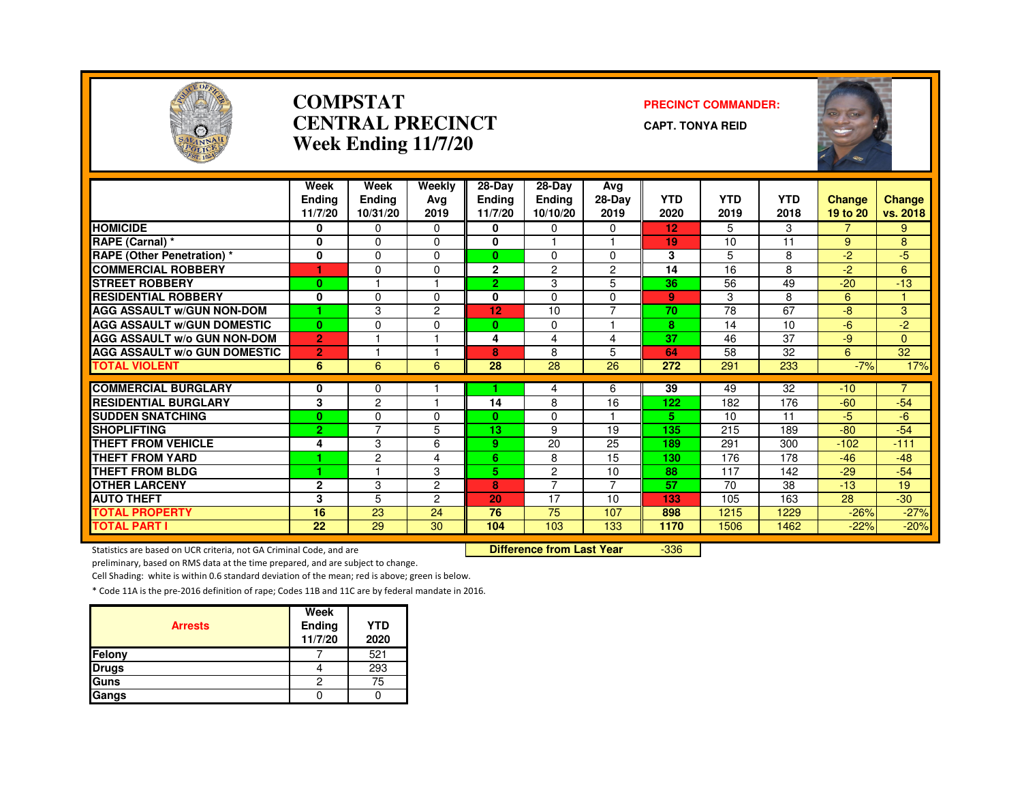

#### **COMPSTATCENTRAL PRECINCTWeek Ending 11/7/20**

#### **PRECINCT COMMANDER:**

**CAPT. TONYA REID**



|                                                                     | Week<br><b>Endina</b> | Week<br>Endina | Weekly<br>Ava  | 28-Day<br><b>Ending</b> | 28-Day<br><b>Ending</b>          | Avg<br>28-Day   | <b>YTD</b> | <b>YTD</b> | <b>YTD</b> | <b>Change</b>  | Change         |
|---------------------------------------------------------------------|-----------------------|----------------|----------------|-------------------------|----------------------------------|-----------------|------------|------------|------------|----------------|----------------|
|                                                                     | 11/7/20               | 10/31/20       | 2019           | 11/7/20                 | 10/10/20                         | 2019            | 2020       | 2019       | 2018       | 19 to 20       | vs. 2018       |
| <b>HOMICIDE</b>                                                     | 0                     | $\Omega$       | $\Omega$       | 0                       | $\Omega$                         | $\mathbf 0$     | 12         | 5          | 3          | $\overline{7}$ | 9              |
| RAPE (Carnal) *                                                     | 0                     | $\Omega$       | $\Omega$       | 0                       |                                  |                 | 19         | 10         | 11         | 9              | 8              |
| <b>RAPE (Other Penetration) *</b>                                   | 0                     | $\mathbf 0$    | $\mathbf 0$    | $\mathbf{0}$            | $\mathbf 0$                      | $\mathbf 0$     | 3          | 5          | 8          | $-2$           | $-5$           |
| <b>COMMERCIAL ROBBERY</b>                                           | 1                     | $\Omega$       | $\mathbf 0$    | $\mathbf{2}$            | 2                                | $\overline{c}$  | 14         | 16         | 8          | $-2$           | 6              |
| <b>STREET ROBBERY</b>                                               | $\bf{0}$              |                |                | $\overline{2}$          | 3                                | 5               | 36         | 56         | 49         | $-20$          | $-13$          |
| <b>RESIDENTIAL ROBBERY</b>                                          | 0                     | $\Omega$       | $\Omega$       | 0                       | $\Omega$                         | $\mathbf 0$     | 9          | 3          | 8          | 6              |                |
| <b>AGG ASSAULT W/GUN NON-DOM</b>                                    |                       | 3              | $\overline{2}$ | 12                      | 10                               | $\overline{7}$  | 70         | 78         | 67         | -8             | 3              |
| <b>AGG ASSAULT W/GUN DOMESTIC</b>                                   | $\bf{0}$              | $\Omega$       | $\Omega$       | $\mathbf{0}$            | $\Omega$                         |                 | 8          | 14         | 10         | $-6$           | $-2$           |
| <b>AGG ASSAULT W/o GUN NON-DOM</b>                                  | $\overline{2}$        |                |                | 4                       | 4                                | 4               | 37         | 46         | 37         | $-9$           | $\mathbf{0}$   |
| <b>AGG ASSAULT W/o GUN DOMESTIC</b>                                 | $\overline{2}$        |                |                | 8                       | 8                                | 5               | 64         | 58         | 32         | 6              | 32             |
| <b>TOTAL VIOLENT</b>                                                | 6                     | 6              | 6              | 28                      | $\overline{28}$                  | $\overline{26}$ | 272        | 291        | 233        | $-7%$          | 17%            |
| <b>COMMERCIAL BURGLARY</b>                                          | 0                     | 0              |                |                         | 4                                | 6               | 39         | 49         | 32         | $-10$          | $\overline{7}$ |
| <b>RESIDENTIAL BURGLARY</b>                                         | 3                     | $\overline{c}$ |                | 14                      | 8                                | 16              | 122        | 182        | 176        | $-60$          | $-54$          |
| <b>SUDDEN SNATCHING</b>                                             | $\bf{0}$              | $\Omega$       | $\Omega$       | $\mathbf{0}$            | $\Omega$                         |                 | 5.         | 10         | 11         | $-5$           | $-6$           |
| <b>SHOPLIFTING</b>                                                  | $\overline{2}$        | $\overline{7}$ | 5              | 13                      | 9                                | 19              | 135        | 215        | 189        | $-80$          | $-54$          |
| THEFT FROM VEHICLE                                                  | 4                     | 3              | 6              | 9.                      | 20                               | 25              | 189        | 291        | 300        | $-102$         | $-111$         |
| <b>THEFT FROM YARD</b>                                              |                       | 2              | 4              | 6                       | 8                                | 15              | 130        | 176        | 178        | $-46$          | $-48$          |
| <b>THEFT FROM BLDG</b>                                              |                       |                | 3              | 5.                      | $\overline{2}$                   | 10              | 88         | 117        | 142        | $-29$          | $-54$          |
| <b>OTHER LARCENY</b>                                                | $\mathbf{2}$          | 3              | $\overline{c}$ | 8                       |                                  |                 | 57         | 70         | 38         | $-13$          | 19             |
| <b>AUTO THEFT</b>                                                   | 3                     | 5              | $\overline{2}$ | 20                      | 17                               | 10              | 133        | 105        | 163        | 28             | $-30$          |
| <b>TOTAL PROPERTY</b>                                               | 16                    | 23             | 24             | 76                      | $\overline{75}$                  | 107             | 898        | 1215       | 1229       | $-26%$         | $-27%$         |
| <b>TOTAL PART I</b>                                                 | $22 \overline{ }$     | 29             | 30             | 104                     | 103                              | 133             | 1170       | 1506       | 1462       | $-22%$         | $-20%$         |
| Statistics are based on UCR criteria, not GA Criminal Code, and are |                       |                |                |                         | <b>Difference from Last Year</b> |                 | $-336$     |            |            |                |                |

Statistics are based on UCR criteria, not GA Criminal Code, and are **Difference from Last Year** 

preliminary, based on RMS data at the time prepared, and are subject to change.

Cell Shading: white is within 0.6 standard deviation of the mean; red is above; green is below.

| <b>Arrests</b> | Week<br>Ending | <b>YTD</b> |
|----------------|----------------|------------|
|                | 11/7/20        | 2020       |
| Felony         |                | 521        |
| <b>Drugs</b>   |                | 293        |
| Guns           | 2              | 75         |
| Gangs          |                |            |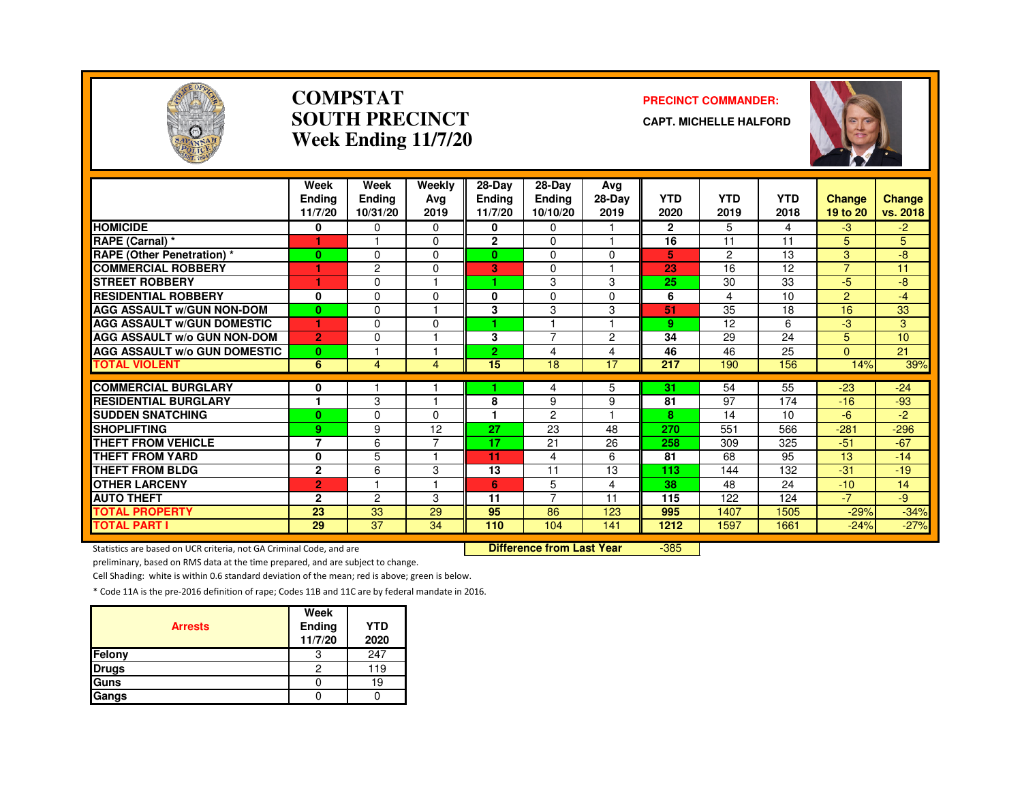

#### **COMPSTATSOUTH PRECINCTWeek Ending 11/7/20**

#### **PRECINCT COMMANDER:**

**CAPT. MICHELLE HALFORD**



|                                     | Week<br><b>Endina</b><br>11/7/20 | Week<br>Ending<br>10/31/20 | Weekly<br>Avg<br>2019 | 28-Day<br>Endina<br>11/7/20 | 28-Day<br><b>Ending</b><br>10/10/20 | Avg<br>28-Day<br>2019 | <b>YTD</b><br>2020 | <b>YTD</b><br>2019 | <b>YTD</b><br>2018 | <b>Change</b><br>19 to 20 | <b>Change</b><br>vs. 2018 |
|-------------------------------------|----------------------------------|----------------------------|-----------------------|-----------------------------|-------------------------------------|-----------------------|--------------------|--------------------|--------------------|---------------------------|---------------------------|
| <b>HOMICIDE</b>                     | 0                                | $\Omega$                   | $\Omega$              | 0                           | $\mathbf{0}$                        |                       | $\overline{2}$     | 5                  | 4                  | $-3$                      | -2.                       |
| RAPE (Carnal) *                     |                                  |                            | $\Omega$              | $\overline{2}$              | $\Omega$                            |                       | 16                 | 11                 | 11                 | 5                         | 5                         |
| <b>RAPE (Other Penetration) *</b>   | $\bf{0}$                         | $\Omega$                   | $\Omega$              | $\mathbf{0}$                | $\Omega$                            | $\Omega$              | 5                  | 2                  | 13                 | 3                         | -8                        |
| <b>COMMERCIAL ROBBERY</b>           |                                  | 2                          | $\Omega$              | 3.                          | $\Omega$                            |                       | 23                 | 16                 | 12                 | $\overline{7}$            | 11                        |
| <b>STREET ROBBERY</b>               |                                  | $\Omega$                   |                       |                             | 3                                   | 3                     | 25                 | 30                 | 33                 | -5                        | -8                        |
| <b>RESIDENTIAL ROBBERY</b>          | $\bf{0}$                         | $\Omega$                   | $\Omega$              | 0                           | $\Omega$                            | $\Omega$              | 6                  | 4                  | 10                 | 2                         | $-4$                      |
| <b>AGG ASSAULT w/GUN NON-DOM</b>    | $\bf{0}$                         | 0                          |                       | 3                           | 3                                   | 3                     | 51                 | 35                 | 18                 | 16                        | 33                        |
| <b>AGG ASSAULT W/GUN DOMESTIC</b>   | ۴                                | $\Omega$                   | $\Omega$              | ٠                           |                                     |                       | 9                  | 12                 | 6                  | -3                        | 3                         |
| AGG ASSAULT w/o GUN NON-DOM         | $\overline{2}$                   | $\Omega$                   |                       | 3                           | $\overline{7}$                      | $\overline{2}$        | 34                 | 29                 | 24                 | 5                         | 10                        |
| <b>AGG ASSAULT W/o GUN DOMESTIC</b> | $\bf{0}$                         |                            |                       | $\overline{2}$              | 4                                   | 4                     | 46                 | 46                 | 25                 | $\Omega$                  | 21                        |
| <b>TOTAL VIOLENT</b>                | 6                                | $\overline{4}$             | 4                     | 15                          | 18                                  | 17                    | 217                | 190                | 156                | 14%                       | 39%                       |
| <b>COMMERCIAL BURGLARY</b>          | 0                                |                            |                       |                             | 4                                   | 5                     | 31                 | 54                 | 55                 | $-23$                     | $-24$                     |
| <b>RESIDENTIAL BURGLARY</b>         | 1                                | 3                          | н                     | 8                           | 9                                   | 9                     | 81                 | 97                 | 174                | $-16$                     | $-93$                     |
| <b>ISUDDEN SNATCHING</b>            | $\bf{0}$                         | $\Omega$                   | $\Omega$              |                             | 2                                   |                       | 8                  | 14                 | 10                 | -6                        | -2                        |
| <b>SHOPLIFTING</b>                  | 9                                | 9                          | 12                    | 27                          | 23                                  | 48                    | 270                | 551                | 566                | $-281$                    | $-296$                    |
| THEFT FROM VEHICLE                  | 7                                | 6                          |                       | 17                          | 21                                  | 26                    | 258                | 309                | 325                | $-51$                     | $-67$                     |
| <b>THEFT FROM YARD</b>              | 0                                | 5                          |                       | 11                          | 4                                   | 6                     | 81                 | 68                 | 95                 | 13                        | $-14$                     |
| <b>THEFT FROM BLDG</b>              | $\mathbf{2}$                     | 6                          | 3                     | 13                          | 11                                  | 13                    | 113                | 144                | 132                | $-31$                     | $-19$                     |
| <b>OTHER LARCENY</b>                | $\overline{2}$                   |                            |                       | 6                           | 5                                   | 4                     | 38                 | 48                 | 24                 | $-10$                     | 14                        |
| <b>AUTO THEFT</b>                   | $\mathbf{2}$                     | $\overline{c}$             | 3                     | 11                          | $\overline{7}$                      | 11                    | 115                | 122                | 124                | $-7$                      | -9                        |
| <b>TOTAL PROPERTY</b>               | 23                               | 33                         | 29                    | 95                          | 86                                  | 123                   | 995                | 1407               | 1505               | $-29%$                    | $-34%$                    |
| <b>TOTAL PART I</b>                 | 29                               | 37                         | 34                    | 110                         | 104                                 | 141                   | 1212               | 1597               | 1661               | $-24%$                    | $-27%$                    |

Statistics are based on UCR criteria, not GA Criminal Code, and are **Difference from Last Year** 

-385

preliminary, based on RMS data at the time prepared, and are subject to change.

Cell Shading: white is within 0.6 standard deviation of the mean; red is above; green is below.

| <b>Arrests</b> | Week<br>Ending<br>11/7/20 | <b>YTD</b><br>2020 |
|----------------|---------------------------|--------------------|
| Felony         | 3                         | 247                |
| <b>Drugs</b>   | 2                         | 119                |
| Guns           |                           | 19                 |
| Gangs          |                           |                    |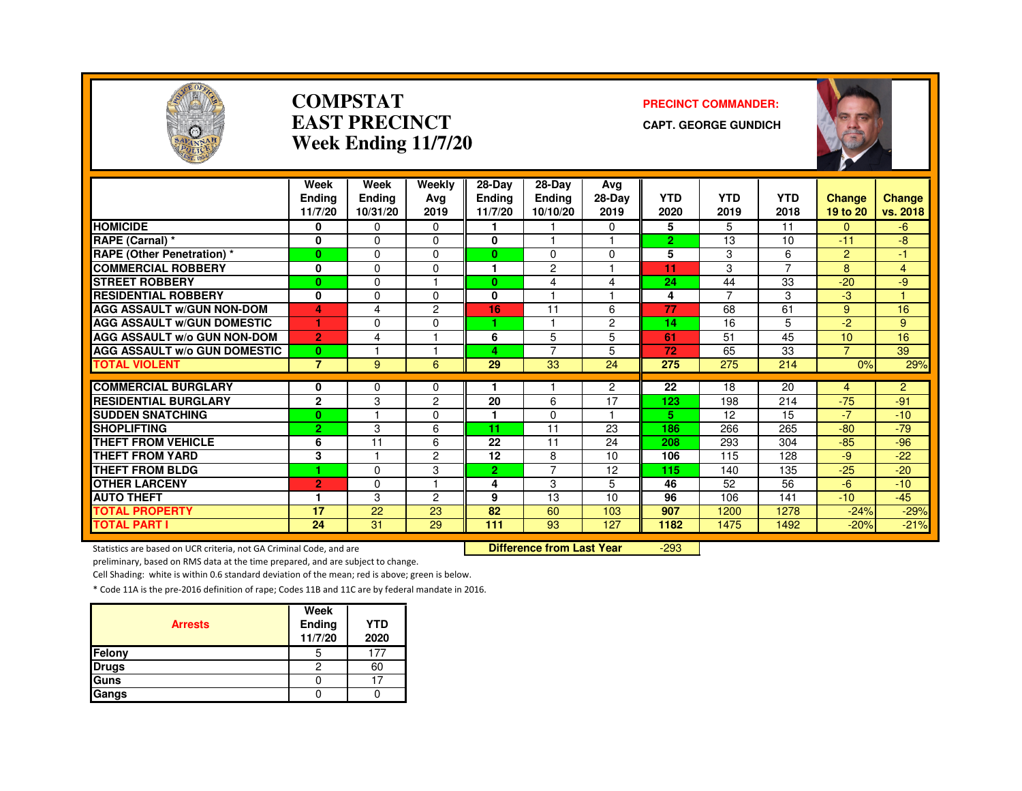

#### **COMPSTATEAST PRECINCTWeek Ending 11/7/20**

#### **PRECINCT COMMANDER:**

**CAPT. GEORGE GUNDICH**



|                                     | Week                    | Week          | Weekly         | $28-Dav$        | 28-Dav         | Avg                  |                |                |                          |                |                |
|-------------------------------------|-------------------------|---------------|----------------|-----------------|----------------|----------------------|----------------|----------------|--------------------------|----------------|----------------|
|                                     | <b>Endina</b>           | <b>Ending</b> | Ava            | Ending          | <b>Ending</b>  | 28-Day               | <b>YTD</b>     | <b>YTD</b>     | <b>YTD</b>               | <b>Change</b>  | <b>Change</b>  |
|                                     | 11/7/20                 | 10/31/20      | 2019           | 11/7/20         | 10/10/20       | 2019                 | 2020           | 2019           | 2018                     | 19 to 20       | vs. 2018       |
| <b>HOMICIDE</b>                     | 0                       | $\Omega$      | $\Omega$       |                 |                | $\Omega$             | 5              | 5              | 11                       | 0              | $-6$           |
| RAPE (Carnal) *                     | 0                       | $\Omega$      | $\Omega$       | 0               |                |                      | $\overline{2}$ | 13             | 10                       | $-11$          | -8             |
| <b>RAPE (Other Penetration) *</b>   | $\mathbf{0}$            | $\Omega$      | $\Omega$       | $\mathbf{0}$    | $\Omega$       | $\Omega$             | 5              | 3              | 6                        | $\overline{2}$ | $-1$           |
| <b>COMMERCIAL ROBBERY</b>           | 0                       | $\Omega$      | $\Omega$       |                 | $\overline{c}$ |                      | 11             | 3              | $\overline{\phantom{a}}$ | 8              | 4              |
| <b>STREET ROBBERY</b>               | $\bf{0}$                | $\Omega$      |                | $\mathbf{0}$    | 4              | 4                    | 24             | 44             | 33                       | $-20$          | -9             |
| <b>RESIDENTIAL ROBBERY</b>          | 0                       | $\Omega$      | $\Omega$       | $\mathbf{0}$    |                |                      | 4              | $\overline{7}$ | 3                        | $-3$           |                |
| <b>AGG ASSAULT w/GUN NON-DOM</b>    | 4                       | 4             | 2              | 16              | 11             | 6                    | 77             | 68             | 61                       | 9              | 16             |
| <b>AGG ASSAULT W/GUN DOMESTIC</b>   | ٠                       | $\Omega$      | $\Omega$       | ٠               |                | $\overline{2}$       | 14             | 16             | 5                        | $-2$           | 9              |
| <b>AGG ASSAULT w/o GUN NON-DOM</b>  | $\overline{2}$          | 4             |                | 6               | 5              | 5                    | 61             | 51             | 45                       | 10             | 16             |
| <b>AGG ASSAULT W/o GUN DOMESTIC</b> | $\bf{0}$                |               |                | 4               | 7              | 5                    | 72             | 65             | 33                       | $\overline{7}$ | 39             |
| <b>TOTAL VIOLENT</b>                | $\overline{7}$          | 9             | 6              | 29              | 33             | 24                   | 275            | 275            | 214                      | 0%             | 29%            |
|                                     |                         |               |                |                 |                |                      | 22             |                | 20                       |                |                |
| <b>COMMERCIAL BURGLARY</b>          | 0                       | $\Omega$      | 0              |                 |                | $\overline{2}$<br>17 | 123            | 18             |                          | 4              | $\overline{2}$ |
| <b>RESIDENTIAL BURGLARY</b>         | $\mathbf{2}$            | 3             | $\overline{c}$ | 20              | 6              | н                    |                | 198            | 214                      | $-75$          | $-91$          |
| <b>SUDDEN SNATCHING</b>             | $\bf{0}$                |               | $\Omega$       |                 | 0              |                      | 5              | 12             | 15                       | $-7$           | $-10$          |
| <b>SHOPLIFTING</b>                  | $\overline{2}$          | 3             | 6              | 11              | 11             | 23                   | 186            | 266            | 265                      | $-80$          | $-79$          |
| <b>THEFT FROM VEHICLE</b>           | 6                       | 11            | 6              | 22              | 11             | 24                   | 208            | 293            | 304                      | $-85$          | $-96$          |
| <b>THEFT FROM YARD</b>              | $\overline{\mathbf{3}}$ |               | 2              | $\overline{12}$ | 8              | 10                   | 106            | 115            | 128                      | -9             | $-22$          |
| <b>THEFT FROM BLDG</b>              | ٠                       | $\Omega$      | 3              | $\overline{2}$  | $\overline{7}$ | 12                   | 115            | 140            | 135                      | $-25$          | $-20$          |
| <b>OTHER LARCENY</b>                | $\overline{2}$          | $\Omega$      | ٠              | 4               | 3              | 5                    | 46             | 52             | 56                       | $-6$           | $-10$          |
| <b>AUTO THEFT</b>                   | 1                       | 3             | $\overline{c}$ | 9               | 13             | 10                   | 96             | 106            | 141                      | $-10$          | $-45$          |
| <b>TOTAL PROPERTY</b>               | 17                      | 22            | 23             | 82              | 60             | 103                  | 907            | 1200           | 1278                     | $-24%$         | $-29%$         |
| <b>TOTAL PART I</b>                 | 24                      | 31            | 29             | 111             | 93             | 127                  | 1182           | 1475           | 1492                     | $-20%$         | $-21%$         |

Statistics are based on UCR criteria, not GA Criminal Code, and are **Difference from Last Year** 

-293

preliminary, based on RMS data at the time prepared, and are subject to change.

Cell Shading: white is within 0.6 standard deviation of the mean; red is above; green is below.

| <b>Arrests</b> | Week<br>Ending<br>11/7/20 | <b>YTD</b><br>2020 |
|----------------|---------------------------|--------------------|
| Felony         | ა                         |                    |
| <b>Drugs</b>   | 2                         | 60                 |
| Guns           |                           |                    |
| Gangs          |                           |                    |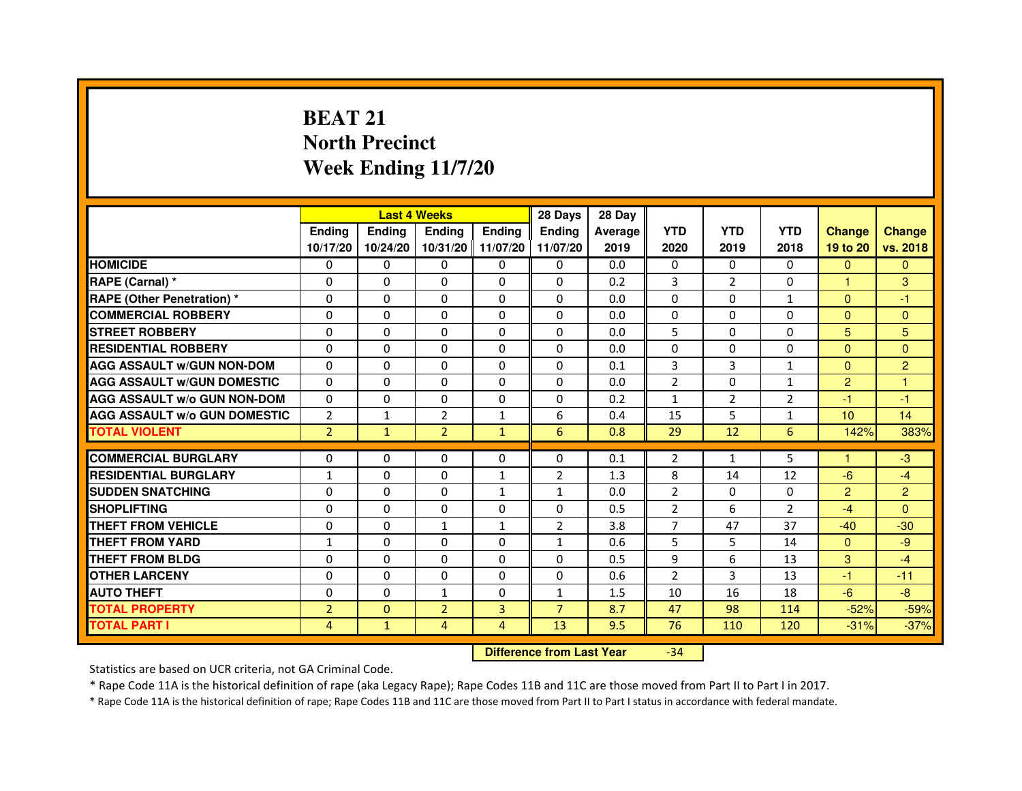# **BEAT 21 North PrecinctWeek Ending 11/7/20**

|                                     |                | <b>Last 4 Weeks</b> |                |                   | 28 Days        | 28 Day  |                |                |                |                 |                |
|-------------------------------------|----------------|---------------------|----------------|-------------------|----------------|---------|----------------|----------------|----------------|-----------------|----------------|
|                                     | <b>Endina</b>  | <b>Endina</b>       | <b>Endina</b>  | <b>Ending</b>     | <b>Endina</b>  | Average | <b>YTD</b>     | <b>YTD</b>     | <b>YTD</b>     | <b>Change</b>   | <b>Change</b>  |
|                                     | 10/17/20       | 10/24/20            |                | 10/31/20 11/07/20 | 11/07/20       | 2019    | 2020           | 2019           | 2018           | 19 to 20        | vs. 2018       |
| <b>HOMICIDE</b>                     | 0              | 0                   | 0              | 0                 | 0              | 0.0     | $\mathbf{0}$   | 0              | 0              | $\mathbf{0}$    | $\mathbf{0}$   |
| RAPE (Carnal) *                     | $\Omega$       | $\Omega$            | $\Omega$       | $\Omega$          | $\Omega$       | 0.2     | 3              | $\overline{2}$ | $\Omega$       | $\mathbf{1}$    | 3              |
| <b>RAPE (Other Penetration) *</b>   | 0              | $\Omega$            | $\Omega$       | $\Omega$          | $\Omega$       | 0.0     | $\Omega$       | $\Omega$       | $\mathbf{1}$   | $\Omega$        | $-1$           |
| <b>COMMERCIAL ROBBERY</b>           | 0              | 0                   | $\Omega$       | $\Omega$          | $\Omega$       | 0.0     | $\Omega$       | $\Omega$       | $\Omega$       | $\Omega$        | $\Omega$       |
| <b>STREET ROBBERY</b>               | 0              | $\Omega$            | 0              | $\Omega$          | 0              | 0.0     | 5              | $\Omega$       | $\Omega$       | 5               | 5              |
| <b>RESIDENTIAL ROBBERY</b>          | 0              | $\Omega$            | 0              | $\mathbf{0}$      | 0              | 0.0     | 0              | 0              | $\Omega$       | $\Omega$        | $\Omega$       |
| <b>AGG ASSAULT W/GUN NON-DOM</b>    | $\Omega$       | $\mathbf 0$         | $\Omega$       | $\Omega$          | $\Omega$       | 0.1     | 3              | 3              | $\mathbf{1}$   | $\Omega$        | $\overline{2}$ |
| <b>AGG ASSAULT W/GUN DOMESTIC</b>   | $\Omega$       | $\Omega$            | 0              | 0                 | $\Omega$       | 0.0     | $\overline{2}$ | 0              | $\mathbf{1}$   | $\overline{2}$  | 1              |
| <b>AGG ASSAULT W/o GUN NON-DOM</b>  | $\Omega$       | 0                   | $\Omega$       | 0                 | $\Omega$       | 0.2     | $\mathbf{1}$   | $\overline{2}$ | $\overline{2}$ | $-1$            | $-1$           |
| <b>AGG ASSAULT W/o GUN DOMESTIC</b> | $\overline{2}$ | $\mathbf{1}$        | $\overline{2}$ | $\mathbf{1}$      | 6              | 0.4     | 15             | 5              | 1              | 10 <sup>1</sup> | 14             |
| <b>TOTAL VIOLENT</b>                | $\overline{2}$ | $\mathbf{1}$        | $\overline{2}$ | $\mathbf{1}$      | 6              | 0.8     | 29             | 12             | 6              | 142%            | 383%           |
|                                     |                |                     |                |                   |                |         |                |                |                |                 |                |
| <b>COMMERCIAL BURGLARY</b>          | 0              | 0                   | $\Omega$       | 0                 | $\Omega$       | 0.1     | $\overline{2}$ | $\mathbf{1}$   | 5              | 1               | $-3$           |
| <b>RESIDENTIAL BURGLARY</b>         | 1              | 0                   | 0              | $\mathbf{1}$      | $\overline{2}$ | 1.3     | 8              | 14             | 12             | $-6$            | $-4$           |
| <b>SUDDEN SNATCHING</b>             | 0              | 0                   | $\Omega$       | $\mathbf{1}$      | $\mathbf{1}$   | 0.0     | $\overline{2}$ | $\Omega$       | $\Omega$       | $\overline{2}$  | $\overline{2}$ |
| <b>SHOPLIFTING</b>                  | $\mathbf 0$    | 0                   | $\mathbf 0$    | 0                 | 0              | 0.5     | $\overline{2}$ | 6              | $\overline{2}$ | $-4$            | $\Omega$       |
| <b>THEFT FROM VEHICLE</b>           | 0              | $\Omega$            | $\mathbf{1}$   | $\mathbf{1}$      | $\overline{2}$ | 3.8     | $\overline{7}$ | 47             | 37             | $-40$           | $-30$          |
| <b>THEFT FROM YARD</b>              | 1              | 0                   | $\Omega$       | $\Omega$          | $\mathbf{1}$   | 0.6     | 5              | 5              | 14             | $\Omega$        | -9             |
| <b>THEFT FROM BLDG</b>              | 0              | 0                   | 0              | 0                 | 0              | 0.5     | 9              | 6              | 13             | 3               | $-4$           |
| <b>OTHER LARCENY</b>                | 0              | $\Omega$            | 0              | 0                 | $\Omega$       | 0.6     | $\overline{2}$ | 3              | 13             | $-1$            | $-11$          |
| <b>AUTO THEFT</b>                   | $\mathbf 0$    | 0                   | $\mathbf{1}$   | $\mathbf{0}$      | $\mathbf{1}$   | 1.5     | 10             | 16             | 18             | $-6$            | $-8$           |
| <b>TOTAL PROPERTY</b>               | $\overline{2}$ | $\mathbf{0}$        | $\overline{2}$ | 3                 | $\overline{7}$ | 8.7     | 47             | 98             | 114            | $-52%$          | $-59%$         |
| <b>TOTAL PART I</b>                 | 4              | $\mathbf{1}$        | 4              | $\overline{4}$    | 13             | 9.5     | 76             | 110            | 120            | $-31%$          | $-37%$         |

 **Difference from Last Year**

-34

Statistics are based on UCR criteria, not GA Criminal Code.

\* Rape Code 11A is the historical definition of rape (aka Legacy Rape); Rape Codes 11B and 11C are those moved from Part II to Part I in 2017.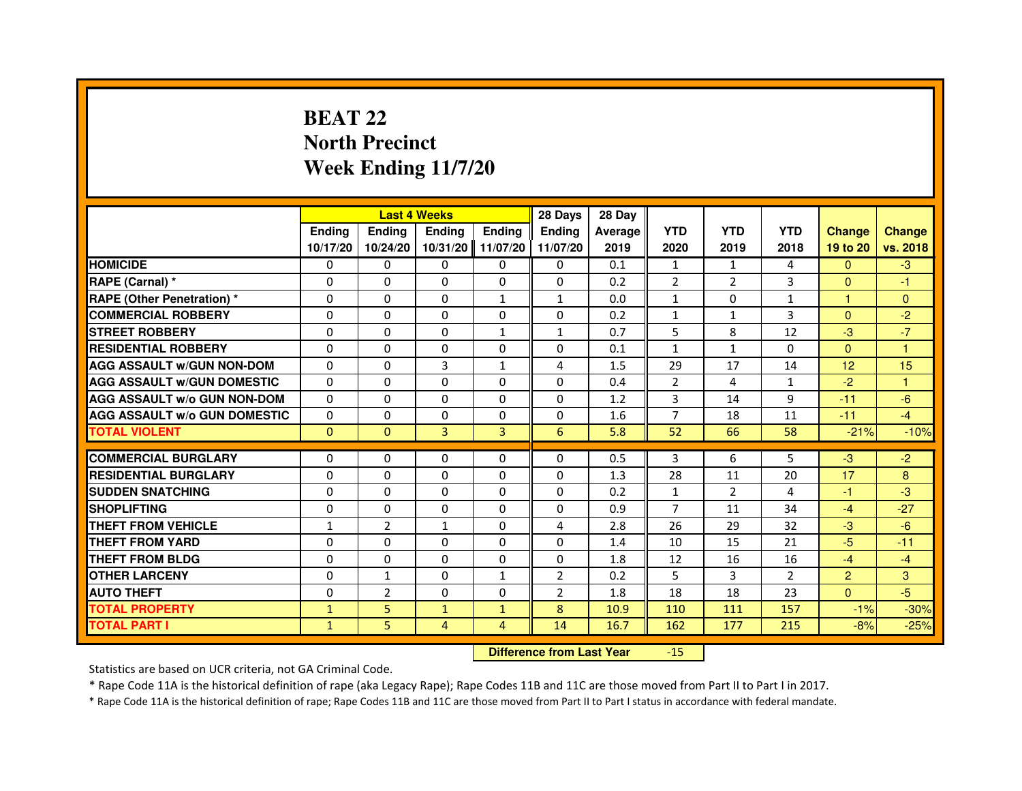## **BEAT 22 North PrecinctWeek Ending 11/7/20**

|                                     |               | <b>Last 4 Weeks</b> |                |               | 28 Days        | 28 Day  |                |                |                |                |                |
|-------------------------------------|---------------|---------------------|----------------|---------------|----------------|---------|----------------|----------------|----------------|----------------|----------------|
|                                     | <b>Ending</b> | <b>Ending</b>       | <b>Ending</b>  | <b>Ending</b> | <b>Ending</b>  | Average | <b>YTD</b>     | <b>YTD</b>     | <b>YTD</b>     | <b>Change</b>  | <b>Change</b>  |
|                                     | 10/17/20      | 10/24/20            | 10/31/20       | 11/07/20      | 11/07/20       | 2019    | 2020           | 2019           | 2018           | 19 to 20       | vs. 2018       |
| <b>HOMICIDE</b>                     | $\mathbf{0}$  | $\mathbf{0}$        | $\mathbf{0}$   | $\mathbf{0}$  | $\mathbf{0}$   | 0.1     | $\mathbf{1}$   | $\mathbf{1}$   | 4              | $\Omega$       | $-3$           |
| RAPE (Carnal) *                     | 0             | 0                   | 0              | 0             | 0              | 0.2     | $\overline{2}$ | $\overline{2}$ | 3              | $\mathbf{0}$   | -1             |
| RAPE (Other Penetration) *          | $\Omega$      | $\Omega$            | 0              | 1             | $\mathbf{1}$   | 0.0     | 1              | $\Omega$       | $\mathbf{1}$   | $\mathbf{1}$   | $\overline{0}$ |
| <b>COMMERCIAL ROBBERY</b>           | 0             | $\Omega$            | $\Omega$       | 0             | 0              | 0.2     | $\mathbf{1}$   | $\mathbf{1}$   | 3              | $\Omega$       | $-2$           |
| <b>STREET ROBBERY</b>               | $\Omega$      | $\Omega$            | $\Omega$       | $\mathbf{1}$  | $\mathbf{1}$   | 0.7     | 5              | 8              | 12             | $-3$           | $-7$           |
| <b>RESIDENTIAL ROBBERY</b>          | 0             | 0                   | 0              | 0             | $\Omega$       | 0.1     | $\mathbf{1}$   | 1              | $\Omega$       | $\overline{0}$ | 1              |
| <b>AGG ASSAULT W/GUN NON-DOM</b>    | $\Omega$      | $\Omega$            | 3              | $\mathbf{1}$  | 4              | 1.5     | 29             | 17             | 14             | 12             | 15             |
| <b>AGG ASSAULT w/GUN DOMESTIC</b>   | $\Omega$      | $\Omega$            | 0              | $\Omega$      | $\Omega$       | 0.4     | $\overline{2}$ | 4              | $\mathbf{1}$   | $-2$           | $\mathbf{1}$   |
| <b>AGG ASSAULT W/o GUN NON-DOM</b>  | $\Omega$      | $\Omega$            | $\Omega$       | $\Omega$      | $\Omega$       | 1.2     | 3              | 14             | 9              | $-11$          | $-6$           |
| <b>AGG ASSAULT W/o GUN DOMESTIC</b> | 0             | $\Omega$            | 0              | $\Omega$      | $\Omega$       | 1.6     | $\overline{7}$ | 18             | 11             | $-11$          | $-4$           |
| <b>TOTAL VIOLENT</b>                | $\mathbf{0}$  | $\mathbf{0}$        | 3              | 3             | 6              | 5.8     | 52             | 66             | 58             | $-21%$         | $-10%$         |
| <b>COMMERCIAL BURGLARY</b>          | 0             | 0                   | 0              | 0             | 0              | 0.5     | 3              | 6              | 5              | $-3$           | $-2$           |
| <b>RESIDENTIAL BURGLARY</b>         | 0             | $\Omega$            | 0              | $\Omega$      | 0              | 1.3     | 28             | 11             | 20             | 17             | 8              |
| <b>SUDDEN SNATCHING</b>             | 0             | $\Omega$            | $\Omega$       | $\Omega$      | $\Omega$       | 0.2     | $\mathbf{1}$   | $\overline{2}$ | 4              | $-1$           | $-3$           |
| <b>SHOPLIFTING</b>                  | 0             | $\mathbf{0}$        | 0              | $\mathbf{0}$  | 0              | 0.9     | $\overline{7}$ | 11             | 34             | $-4$           | $-27$          |
| THEFT FROM VEHICLE                  | 1             | $\overline{2}$      | $\mathbf{1}$   | $\Omega$      | 4              | 2.8     | 26             | 29             | 32             | $-3$           | $-6$           |
| <b>THEFT FROM YARD</b>              | $\Omega$      | $\Omega$            | 0              | $\Omega$      | $\Omega$       | 1.4     | 10             | 15             | 21             | $-5$           | $-11$          |
| <b>THEFT FROM BLDG</b>              | $\Omega$      | $\Omega$            | $\Omega$       | $\Omega$      | $\Omega$       | 1.8     | 12             | 16             | 16             | $-4$           | $-4$           |
| <b>OTHER LARCENY</b>                | $\Omega$      | $\mathbf{1}$        | 0              | $\mathbf{1}$  | $\overline{2}$ | 0.2     | 5              | 3              | $\overline{2}$ | $\overline{2}$ | 3              |
| <b>AUTO THEFT</b>                   | $\Omega$      | $\overline{2}$      | $\Omega$       | $\Omega$      | $\overline{2}$ | 1.8     | 18             | 18             | 23             | $\Omega$       | $-5$           |
| <b>TOTAL PROPERTY</b>               | $\mathbf{1}$  | 5                   | $\mathbf{1}$   | $\mathbf{1}$  | 8              | 10.9    | 110            | 111            | 157            | $-1%$          | $-30%$         |
| <b>TOTAL PART I</b>                 | $\mathbf{1}$  | 5                   | $\overline{4}$ | 4             | 14             | 16.7    | 162            | 177            | 215            | $-8%$          | $-25%$         |
|                                     |               |                     |                |               |                |         | $-15$          |                |                |                |                |

 **Difference from Last Year**

Statistics are based on UCR criteria, not GA Criminal Code.

\* Rape Code 11A is the historical definition of rape (aka Legacy Rape); Rape Codes 11B and 11C are those moved from Part II to Part I in 2017.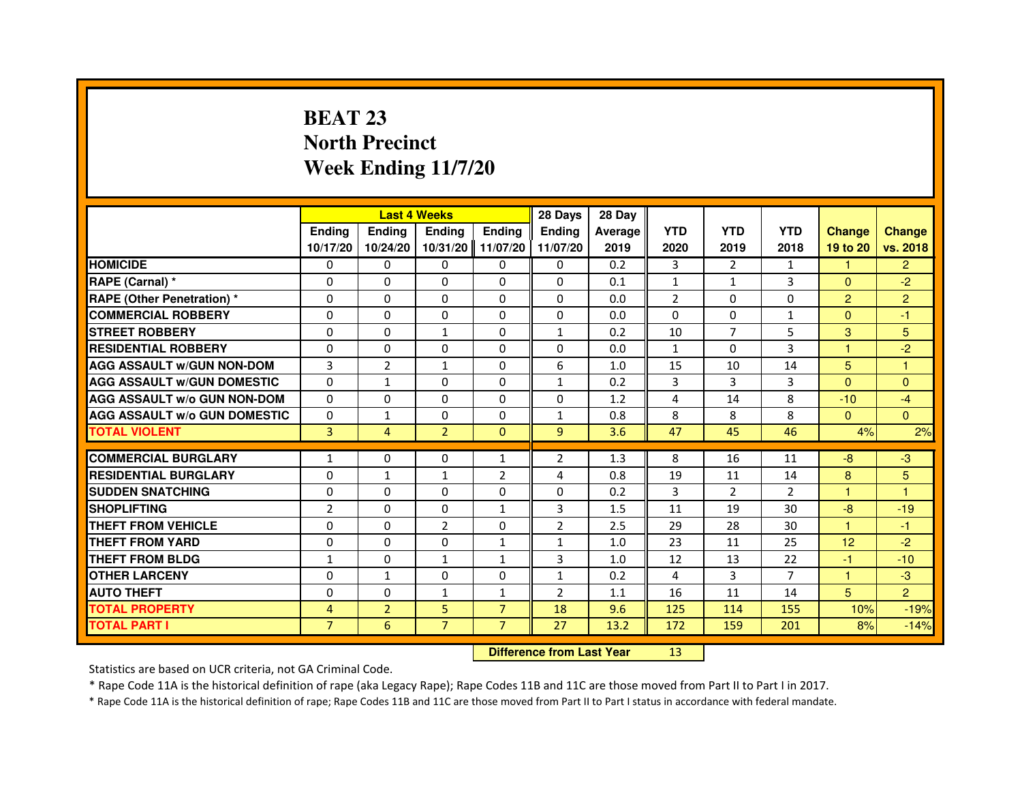# **BEAT 23 North PrecinctWeek Ending 11/7/20**

|                                     |                | <b>Last 4 Weeks</b>              |                |                | 28 Days        | 28 Day  |                |                |                |                      |                |
|-------------------------------------|----------------|----------------------------------|----------------|----------------|----------------|---------|----------------|----------------|----------------|----------------------|----------------|
|                                     | <b>Ending</b>  | <b>Ending</b>                    | <b>Ending</b>  | <b>Ending</b>  | <b>Ending</b>  | Average | <b>YTD</b>     | <b>YTD</b>     | <b>YTD</b>     | <b>Change</b>        | <b>Change</b>  |
|                                     | 10/17/20       | 10/24/20                         | 10/31/20       | 11/07/20       | 11/07/20       | 2019    | 2020           | 2019           | 2018           | 19 to 20             | vs. 2018       |
| <b>HOMICIDE</b>                     | $\mathbf{0}$   | $\mathbf{0}$                     | $\mathbf{0}$   | $\mathbf{0}$   | $\mathbf{0}$   | 0.2     | 3              | $\overline{2}$ | $\mathbf{1}$   | $\mathbf{1}$         | $\overline{2}$ |
| RAPE (Carnal) *                     | 0              | 0                                | 0              | 0              | 0              | 0.1     | 1              | 1              | 3              | $\mathbf{0}$         | $-2$           |
| RAPE (Other Penetration) *          | $\Omega$       | $\Omega$                         | 0              | $\Omega$       | $\Omega$       | 0.0     | $\overline{2}$ | $\Omega$       | $\Omega$       | $\overline{2}$       | $\overline{2}$ |
| <b>COMMERCIAL ROBBERY</b>           | 0              | $\Omega$                         | $\Omega$       | $\Omega$       | 0              | 0.0     | $\Omega$       | 0              | $\mathbf{1}$   | $\overline{0}$       | $-1$           |
| <b>STREET ROBBERY</b>               | $\Omega$       | $\Omega$                         | $\mathbf{1}$   | $\Omega$       | $\mathbf{1}$   | 0.2     | 10             | $\overline{7}$ | 5              | 3                    | 5              |
| <b>RESIDENTIAL ROBBERY</b>          | 0              | 0                                | $\Omega$       | 0              | $\mathbf{0}$   | 0.0     | 1              | $\mathbf{0}$   | 3              | $\blacktriangleleft$ | $-2$           |
| <b>AGG ASSAULT W/GUN NON-DOM</b>    | 3              | $\overline{2}$                   | $\mathbf{1}$   | $\Omega$       | 6              | 1.0     | 15             | 10             | 14             | 5                    | $\mathbf{1}$   |
| <b>AGG ASSAULT W/GUN DOMESTIC</b>   | $\Omega$       | $\mathbf{1}$                     | 0              | $\Omega$       | $\mathbf{1}$   | 0.2     | 3              | 3              | 3              | $\Omega$             | $\Omega$       |
| <b>AGG ASSAULT W/o GUN NON-DOM</b>  | $\Omega$       | $\Omega$                         | $\Omega$       | $\Omega$       | $\Omega$       | 1.2     | 4              | 14             | 8              | $-10$                | $-4$           |
| <b>AGG ASSAULT W/o GUN DOMESTIC</b> | 0              | 1                                | 0              | $\Omega$       | $\mathbf{1}$   | 0.8     | 8              | 8              | 8              | $\mathbf{0}$         | $\Omega$       |
| <b>TOTAL VIOLENT</b>                | 3              | $\overline{4}$                   | $\overline{2}$ | $\mathbf{0}$   | 9              | 3.6     | 47             | 45             | 46             | 4%                   | 2%             |
| <b>COMMERCIAL BURGLARY</b>          | 1              | 0                                | 0              | 1              | $\overline{2}$ | 1.3     | 8              | 16             | 11             | $-8$                 | -3             |
| <b>RESIDENTIAL BURGLARY</b>         | 0              | $\mathbf{1}$                     | $\mathbf{1}$   | $\overline{2}$ | 4              | 0.8     | 19             | 11             | 14             | $\boldsymbol{8}$     | 5              |
| <b>SUDDEN SNATCHING</b>             | 0              | $\Omega$                         | $\Omega$       | $\Omega$       | $\Omega$       | 0.2     | 3              | $\overline{2}$ | $\overline{2}$ | $\mathbf{1}$         | $\mathbf{1}$   |
| <b>SHOPLIFTING</b>                  | 2              | $\mathbf{0}$                     | 0              | $\mathbf{1}$   | 3              | 1.5     | 11             | 19             | 30             | $-8-$                | $-19$          |
| THEFT FROM VEHICLE                  | 0              | $\Omega$                         | $\overline{2}$ | $\Omega$       | $\overline{2}$ | 2.5     | 29             | 28             | 30             | $\blacktriangleleft$ | $-1$           |
| <b>THEFT FROM YARD</b>              | $\Omega$       | $\Omega$                         | 0              | $\mathbf{1}$   | $\mathbf{1}$   | 1.0     | 23             | 11             | 25             | 12                   | $-2$           |
| <b>THEFT FROM BLDG</b>              | $\mathbf{1}$   | $\Omega$                         | $\mathbf{1}$   | $\mathbf{1}$   | 3              | 1.0     | 12             | 13             | 22             | $-1$                 | $-10$          |
| <b>OTHER LARCENY</b>                | $\Omega$       | $\mathbf{1}$                     | 0              | $\Omega$       | $\mathbf{1}$   | 0.2     | 4              | 3              | $\overline{7}$ | 1                    | $-3$           |
| <b>AUTO THEFT</b>                   | $\Omega$       | $\Omega$                         | $\mathbf{1}$   | $\mathbf{1}$   | $\overline{2}$ | 1.1     | 16             | 11             | 14             | 5                    | $\overline{2}$ |
| <b>TOTAL PROPERTY</b>               | 4              | $\overline{2}$                   | 5              | $\overline{7}$ | 18             | 9.6     | 125            | 114            | 155            | 10%                  | $-19%$         |
| <b>TOTAL PART I</b>                 | $\overline{7}$ | 6                                | $\overline{7}$ | $\overline{7}$ | 27             | 13.2    | 172            | 159            | 201            | 8%                   | $-14%$         |
|                                     |                | <b>Difference from Last Year</b> |                | 13             |                |         |                |                |                |                      |                |

 **Difference from Last Year**

Statistics are based on UCR criteria, not GA Criminal Code.

\* Rape Code 11A is the historical definition of rape (aka Legacy Rape); Rape Codes 11B and 11C are those moved from Part II to Part I in 2017.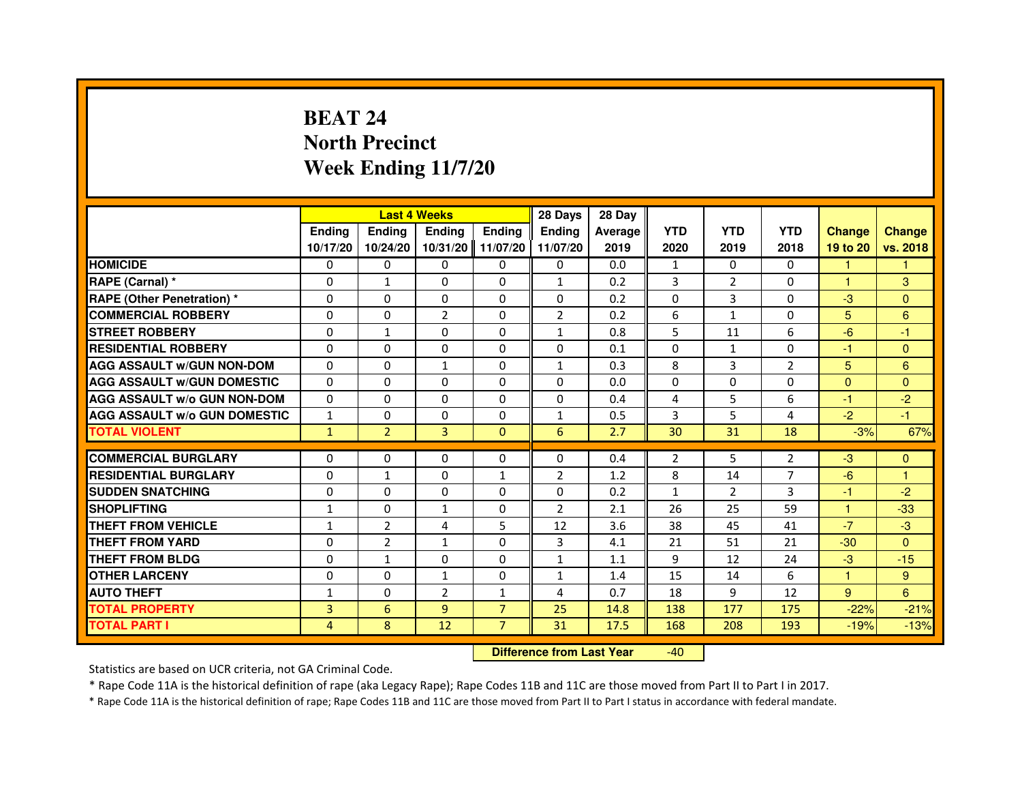# **BEAT 24 North PrecinctWeek Ending 11/7/20**

|                                     | <b>Last 4 Weeks</b> |                |                |                | 28 Days        | 28 Day  |              |                |                |                |                      |
|-------------------------------------|---------------------|----------------|----------------|----------------|----------------|---------|--------------|----------------|----------------|----------------|----------------------|
|                                     | <b>Endina</b>       | <b>Ending</b>  | <b>Endina</b>  | <b>Endina</b>  | <b>Endina</b>  | Average | <b>YTD</b>   | <b>YTD</b>     | <b>YTD</b>     | <b>Change</b>  | <b>Change</b>        |
|                                     | 10/17/20            | 10/24/20       | 10/31/20       | 11/07/20       | 11/07/20       | 2019    | 2020         | 2019           | 2018           | 19 to 20       | vs. 2018             |
| <b>HOMICIDE</b>                     | 0                   | 0              | 0              | 0              | 0              | 0.0     | $\mathbf{1}$ | 0              | 0              | $\mathbf{1}$   | 1                    |
| RAPE (Carnal) *                     | $\Omega$            | $\mathbf{1}$   | $\Omega$       | $\Omega$       | $\mathbf{1}$   | 0.2     | 3            | $\overline{2}$ | $\Omega$       | $\mathbf{1}$   | 3                    |
| <b>RAPE (Other Penetration)*</b>    | $\Omega$            | $\Omega$       | $\Omega$       | $\Omega$       | $\Omega$       | 0.2     | $\Omega$     | 3              | $\Omega$       | $-3$           | $\mathbf{0}$         |
| <b>COMMERCIAL ROBBERY</b>           | 0                   | 0              | 2              | 0              | $\overline{2}$ | 0.2     | 6            | $\mathbf{1}$   | 0              | 5              | 6                    |
| <b>STREET ROBBERY</b>               | $\Omega$            | $\mathbf{1}$   | $\Omega$       | 0              | $\mathbf{1}$   | 0.8     | 5            | 11             | 6              | $-6$           | $-1$                 |
| <b>RESIDENTIAL ROBBERY</b>          | $\Omega$            | $\Omega$       | $\Omega$       | $\Omega$       | 0              | 0.1     | 0            | $\mathbf{1}$   | $\Omega$       | -1             | $\mathbf{0}$         |
| <b>AGG ASSAULT w/GUN NON-DOM</b>    | $\Omega$            | $\Omega$       | $\mathbf{1}$   | $\Omega$       | $\mathbf{1}$   | 0.3     | 8            | 3              | $\overline{2}$ | 5              | 6                    |
| <b>AGG ASSAULT W/GUN DOMESTIC</b>   | $\Omega$            | $\Omega$       | $\Omega$       | $\Omega$       | $\Omega$       | 0.0     | $\Omega$     | $\Omega$       | $\Omega$       | $\Omega$       | $\Omega$             |
| <b>AGG ASSAULT W/o GUN NON-DOM</b>  | $\Omega$            | 0              | 0              | $\Omega$       | 0              | 0.4     | 4            | 5              | 6              | -1             | $-2$                 |
| <b>AGG ASSAULT W/o GUN DOMESTIC</b> | 1                   | 0              | 0              | 0              | $\mathbf{1}$   | 0.5     | 3            | 5              | 4              | $-2$           | -1                   |
| <b>TOTAL VIOLENT</b>                | $\mathbf{1}$        | $\overline{2}$ | 3              | $\Omega$       | 6              | 2.7     | 30           | 31             | 18             | $-3%$          | 67%                  |
|                                     |                     |                |                |                |                |         |              |                |                |                |                      |
| <b>COMMERCIAL BURGLARY</b>          | $\Omega$            | 0              | $\Omega$       | 0              | 0              | 0.4     | 2            | 5              | 2              | $-3$           | $\mathbf{0}$         |
| <b>RESIDENTIAL BURGLARY</b>         | 0                   | $\mathbf{1}$   | 0              | $\mathbf{1}$   | 2              | 1.2     | 8            | 14             | $\overline{7}$ | $-6$           | $\blacktriangleleft$ |
| <b>SUDDEN SNATCHING</b>             | $\Omega$            | $\Omega$       | $\Omega$       | $\Omega$       | $\Omega$       | 0.2     | $\mathbf{1}$ | $\overline{2}$ | 3              | $-1$           | $-2$                 |
| <b>SHOPLIFTING</b>                  | $\mathbf{1}$        | $\Omega$       | $\mathbf{1}$   | $\Omega$       | $\overline{2}$ | 2.1     | 26           | 25             | 59             | $\mathbf{1}$   | $-33$                |
| <b>THEFT FROM VEHICLE</b>           | $\mathbf{1}$        | $\overline{2}$ | 4              | 5              | 12             | 3.6     | 38           | 45             | 41             | $-7$           | $-3$                 |
| <b>THEFT FROM YARD</b>              | $\Omega$            | $\overline{2}$ | $\mathbf{1}$   | $\Omega$       | 3              | 4.1     | 21           | 51             | 21             | $-30$          | $\Omega$             |
| <b>THEFT FROM BLDG</b>              | $\Omega$            | 1              | $\Omega$       | $\Omega$       | 1              | 1.1     | 9            | 12             | 24             | $-3$           | $-15$                |
| <b>OTHER LARCENY</b>                | $\Omega$            | $\Omega$       | $\mathbf{1}$   | $\Omega$       | $\mathbf{1}$   | 1.4     | 15           | 14             | 6              | $\overline{1}$ | 9                    |
| <b>AUTO THEFT</b>                   | 1                   | $\Omega$       | $\overline{2}$ | 1              | 4              | 0.7     | 18           | 9              | 12             | 9              | 6                    |
| <b>TOTAL PROPERTY</b>               | 3                   | 6              | $\overline{9}$ | $\overline{7}$ | 25             | 14.8    | 138          | 177            | 175            | $-22%$         | $-21%$               |
| <b>TOTAL PART I</b>                 | $\overline{4}$      | 8              | 12             | $\overline{7}$ | 31             | 17.5    | 168          | 208            | 193            | $-19%$         | $-13%$               |

 **Difference from Last Year**-40

Statistics are based on UCR criteria, not GA Criminal Code.

\* Rape Code 11A is the historical definition of rape (aka Legacy Rape); Rape Codes 11B and 11C are those moved from Part II to Part I in 2017.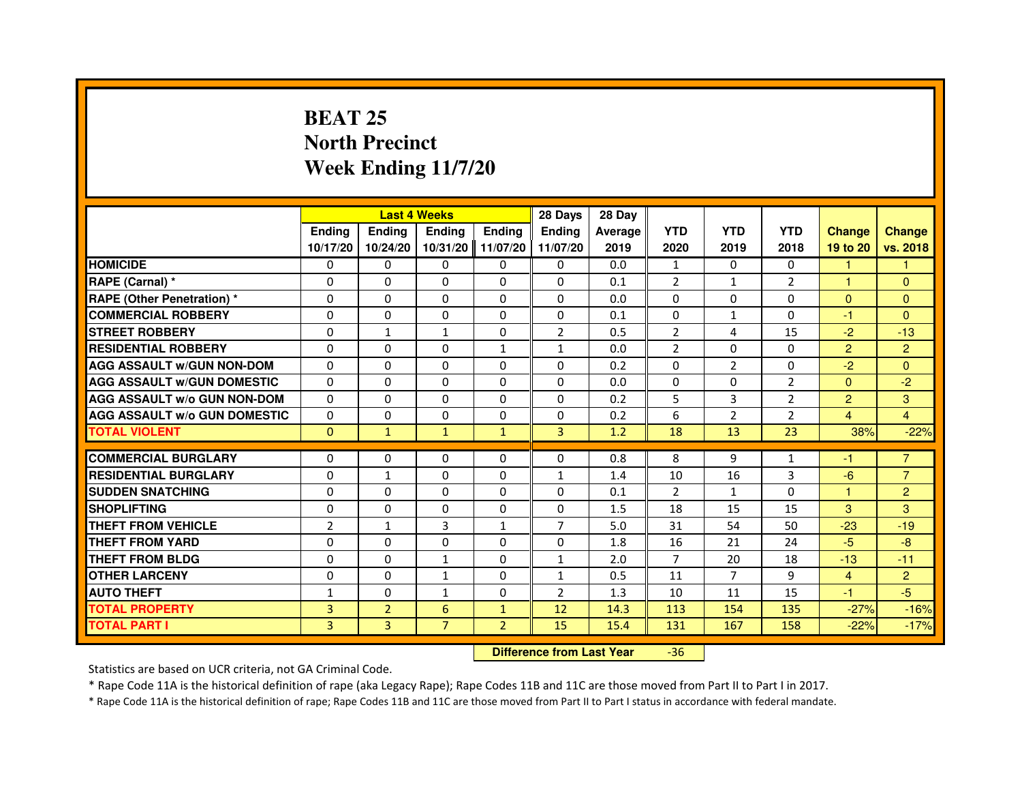## **BEAT 25 North PrecinctWeek Ending 11/7/20**

|                                     |                | <b>Last 4 Weeks</b> |                                  |                |                | 28 Day  |                |                |                |                |                |
|-------------------------------------|----------------|---------------------|----------------------------------|----------------|----------------|---------|----------------|----------------|----------------|----------------|----------------|
|                                     | <b>Ending</b>  | <b>Ending</b>       | <b>Ending</b>                    | <b>Ending</b>  | <b>Endina</b>  | Average | <b>YTD</b>     | <b>YTD</b>     | <b>YTD</b>     | <b>Change</b>  | <b>Change</b>  |
|                                     | 10/17/20       | 10/24/20            | 10/31/20                         | 11/07/20       | 11/07/20       | 2019    | 2020           | 2019           | 2018           | 19 to 20       | vs. 2018       |
| <b>HOMICIDE</b>                     | $\Omega$       | $\Omega$            | $\Omega$                         | $\mathbf{0}$   | $\mathbf{0}$   | 0.0     | $\mathbf{1}$   | $\Omega$       | $\Omega$       | $\mathbf{1}$   | 1              |
| RAPE (Carnal) *                     | 0              | $\Omega$            | 0                                | $\Omega$       | $\Omega$       | 0.1     | $\overline{2}$ | $\mathbf{1}$   | 2              | $\mathbf{1}$   | $\Omega$       |
| <b>RAPE (Other Penetration) *</b>   | $\Omega$       | $\Omega$            | $\Omega$                         | $\Omega$       | $\Omega$       | 0.0     | $\Omega$       | $\Omega$       | $\Omega$       | $\Omega$       | $\overline{0}$ |
| <b>COMMERCIAL ROBBERY</b>           | 0              | 0                   | $\Omega$                         | $\Omega$       | 0              | 0.1     | $\Omega$       | $\mathbf{1}$   | $\Omega$       | $-1$           | $\Omega$       |
| <b>STREET ROBBERY</b>               | $\Omega$       | $\mathbf{1}$        | $\mathbf{1}$                     | $\Omega$       | $\overline{2}$ | 0.5     | $\overline{2}$ | 4              | 15             | $-2$           | $-13$          |
| <b>RESIDENTIAL ROBBERY</b>          | $\Omega$       | $\Omega$            | 0                                | 1              | 1              | 0.0     | $\overline{2}$ | $\Omega$       | 0              | $\overline{2}$ | $\overline{c}$ |
| <b>AGG ASSAULT W/GUN NON-DOM</b>    | $\Omega$       | $\Omega$            | 0                                | $\Omega$       | $\Omega$       | 0.2     | $\Omega$       | $\overline{2}$ | $\Omega$       | $-2$           | $\Omega$       |
| <b>AGG ASSAULT W/GUN DOMESTIC</b>   | $\Omega$       | $\Omega$            | $\Omega$                         | $\Omega$       | $\Omega$       | 0.0     | 0              | $\Omega$       | $\overline{2}$ | $\Omega$       | $-2$           |
| <b>AGG ASSAULT w/o GUN NON-DOM</b>  | 0              | 0                   | 0                                | $\mathbf{0}$   | $\mathbf{0}$   | 0.2     | 5              | 3              | 2              | 2              | 3              |
| <b>AGG ASSAULT w/o GUN DOMESTIC</b> | $\Omega$       | 0                   | 0                                | $\Omega$       | 0              | 0.2     | 6              | 2              | 2              | 4              | $\overline{4}$ |
| <b>TOTAL VIOLENT</b>                | $\mathbf 0$    | $\mathbf{1}$        | $\mathbf{1}$                     | $\mathbf{1}$   | 3              | 1.2     | 18             | 13             | 23             | 38%            | $-22%$         |
| <b>COMMERCIAL BURGLARY</b>          | $\Omega$       | $\Omega$            | 0                                | $\Omega$       | 0              | 0.8     | 8              | 9              | $\mathbf{1}$   | -1             | $\overline{7}$ |
| <b>RESIDENTIAL BURGLARY</b>         | $\Omega$       | $\mathbf{1}$        | $\Omega$                         | $\Omega$       | 1              | 1.4     | 10             | 16             | 3              | $-6$           | $\overline{7}$ |
| <b>SUDDEN SNATCHING</b>             | $\Omega$       | $\Omega$            | $\Omega$                         | $\Omega$       | $\Omega$       | 0.1     | $\overline{2}$ | $\mathbf{1}$   | $\Omega$       | $\mathbf{1}$   | $\overline{2}$ |
| <b>SHOPLIFTING</b>                  | 0              | 0                   | 0                                | 0              | 0              | 1.5     | 18             | 15             | 15             | 3              | 3              |
| <b>THEFT FROM VEHICLE</b>           | $\overline{2}$ | $\mathbf{1}$        | 3                                | $\mathbf{1}$   | $\overline{7}$ | 5.0     | 31             | 54             | 50             | $-23$          | $-19$          |
| <b>THEFT FROM YARD</b>              | 0              | 0                   | 0                                | 0              | 0              | 1.8     | 16             | 21             | 24             | $-5$           | $-8$           |
| <b>THEFT FROM BLDG</b>              | $\Omega$       | $\Omega$            | $\mathbf{1}$                     | $\Omega$       | $\mathbf{1}$   | 2.0     | $\overline{7}$ | 20             | 18             | $-13$          | $-11$          |
| <b>OTHER LARCENY</b>                | 0              | $\Omega$            | $\mathbf{1}$                     | $\Omega$       | $\mathbf{1}$   | 0.5     | 11             | $\overline{7}$ | 9              | $\overline{4}$ | $\overline{2}$ |
| <b>AUTO THEFT</b>                   | $\mathbf{1}$   | $\Omega$            | $\mathbf{1}$                     | $\Omega$       | $\overline{2}$ | 1.3     | 10             | 11             | 15             | $-1$           | $-5$           |
| <b>TOTAL PROPERTY</b>               | $\overline{3}$ | $\overline{2}$      | 6                                | $\mathbf{1}$   | 12             | 14.3    | 113            | 154            | 135            | $-27%$         | $-16%$         |
| <b>TOTAL PART I</b>                 | 3              | 3                   | $\overline{7}$                   | $\overline{2}$ | 15             | 15.4    | 131            | 167            | 158            | $-22%$         | $-17%$         |
|                                     |                |                     | <b>Difference from Last Year</b> |                | $-36$          |         |                |                |                |                |                |

Statistics are based on UCR criteria, not GA Criminal Code.

\* Rape Code 11A is the historical definition of rape (aka Legacy Rape); Rape Codes 11B and 11C are those moved from Part II to Part I in 2017.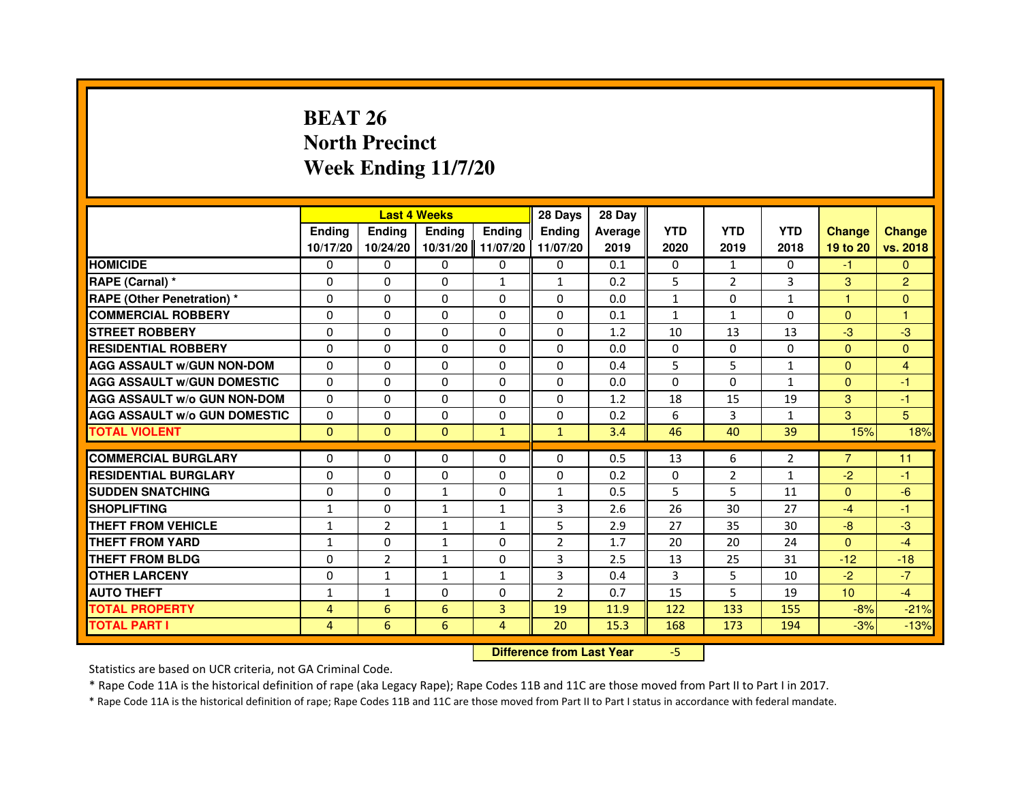# **BEAT 26 North PrecinctWeek Ending 11/7/20**

|                                     |                | <b>Last 4 Weeks</b> |                                  |               |                | 28 Day  |              |                |                |                |                |
|-------------------------------------|----------------|---------------------|----------------------------------|---------------|----------------|---------|--------------|----------------|----------------|----------------|----------------|
|                                     | <b>Ending</b>  | <b>Ending</b>       | <b>Ending</b>                    | <b>Ending</b> | <b>Endina</b>  | Average | <b>YTD</b>   | <b>YTD</b>     | <b>YTD</b>     | <b>Change</b>  | <b>Change</b>  |
|                                     | 10/17/20       | 10/24/20            | 10/31/20                         | 11/07/20      | 11/07/20       | 2019    | 2020         | 2019           | 2018           | 19 to 20       | vs. 2018       |
| <b>HOMICIDE</b>                     | $\Omega$       | $\Omega$            | $\Omega$                         | $\Omega$      | 0              | 0.1     | 0            | $\mathbf{1}$   | $\Omega$       | $-1$           | $\mathbf{0}$   |
| RAPE (Carnal) *                     | 0              | 0                   | 0                                | $\mathbf{1}$  | $\mathbf{1}$   | 0.2     | 5            | $\overline{2}$ | 3              | 3              | $\overline{2}$ |
| <b>RAPE (Other Penetration) *</b>   | $\Omega$       | $\Omega$            | $\Omega$                         | $\Omega$      | $\Omega$       | 0.0     | $\mathbf{1}$ | $\mathbf{0}$   | $\mathbf{1}$   | 1              | $\mathbf{0}$   |
| <b>COMMERCIAL ROBBERY</b>           | $\Omega$       | $\Omega$            | $\Omega$                         | $\Omega$      | $\Omega$       | 0.1     | $\mathbf{1}$ | $\mathbf{1}$   | $\mathbf{0}$   | $\Omega$       | $\mathbf{1}$   |
| <b>STREET ROBBERY</b>               | $\Omega$       | $\Omega$            | $\Omega$                         | $\Omega$      | $\Omega$       | 1.2     | 10           | 13             | 13             | $-3$           | $-3$           |
| <b>RESIDENTIAL ROBBERY</b>          | $\Omega$       | $\Omega$            | $\Omega$                         | $\Omega$      | $\Omega$       | 0.0     | $\Omega$     | $\Omega$       | $\Omega$       | $\Omega$       | $\Omega$       |
| <b>AGG ASSAULT w/GUN NON-DOM</b>    | $\Omega$       | $\Omega$            | $\Omega$                         | $\Omega$      | $\Omega$       | 0.4     | 5            | 5              | $\mathbf{1}$   | $\mathbf{0}$   | $\overline{4}$ |
| <b>AGG ASSAULT w/GUN DOMESTIC</b>   | $\Omega$       | $\Omega$            | $\Omega$                         | $\Omega$      | $\Omega$       | 0.0     | $\Omega$     | $\Omega$       | $\mathbf{1}$   | $\Omega$       | $-1$           |
| <b>AGG ASSAULT w/o GUN NON-DOM</b>  | $\Omega$       | 0                   | 0                                | 0             | 0              | 1.2     | 18           | 15             | 19             | 3              | -1             |
| <b>AGG ASSAULT w/o GUN DOMESTIC</b> | $\Omega$       | 0                   | $\Omega$                         | $\Omega$      | $\Omega$       | 0.2     | 6            | 3              | $\mathbf{1}$   | 3              | 5              |
| <b>TOTAL VIOLENT</b>                | $\mathbf{0}$   | $\mathbf{0}$        | $\mathbf{0}$                     | $\mathbf{1}$  | $\mathbf{1}$   | 3.4     | 46           | 40             | 39             | 15%            | 18%            |
| <b>COMMERCIAL BURGLARY</b>          | 0              | 0                   | 0                                | 0             | 0              | 0.5     | 13           | 6              | $\overline{2}$ | $\overline{7}$ | 11             |
| <b>RESIDENTIAL BURGLARY</b>         | 0              | $\Omega$            | $\Omega$                         | $\Omega$      | $\Omega$       | 0.2     | $\Omega$     | $\overline{2}$ | $\mathbf{1}$   | $-2$           | $-1$           |
| <b>SUDDEN SNATCHING</b>             | $\Omega$       | $\Omega$            | $\mathbf{1}$                     | $\Omega$      | $\mathbf{1}$   | 0.5     | 5            | 5              | 11             | $\Omega$       | $-6$           |
| <b>SHOPLIFTING</b>                  | 1              | 0                   | 1                                | 1             | 3              | 2.6     | 26           | 30             | 27             | $-4$           | $-1$           |
| <b>THEFT FROM VEHICLE</b>           | 1              | $\overline{2}$      | $\mathbf{1}$                     | $\mathbf{1}$  | 5              | 2.9     | 27           | 35             | 30             | $-8$           | $-3$           |
| <b>THEFT FROM YARD</b>              | $\mathbf{1}$   | 0                   | $\mathbf{1}$                     | 0             | $\overline{2}$ | 1.7     | 20           | 20             | 24             | $\overline{0}$ | $-4$           |
| <b>THEFT FROM BLDG</b>              | $\Omega$       | $\overline{2}$      | $\mathbf{1}$                     | $\Omega$      | 3              | 2.5     | 13           | 25             | 31             | $-12$          | $-18$          |
| <b>OTHER LARCENY</b>                | $\Omega$       | $\mathbf{1}$        | $\mathbf{1}$                     | $\mathbf{1}$  | 3              | 0.4     | 3            | 5              | 10             | $-2$           | $-7$           |
| <b>AUTO THEFT</b>                   | $\mathbf{1}$   | $\mathbf{1}$        | $\Omega$                         | $\Omega$      | $\overline{2}$ | 0.7     | 15           | 5              | 19             | 10             | $-4$           |
| <b>TOTAL PROPERTY</b>               | 4              | 6                   | 6                                | 3             | 19             | 11.9    | 122          | 133            | 155            | $-8%$          | $-21%$         |
| <b>TOTAL PART I</b>                 | $\overline{4}$ | 6                   | 6                                | 4             | 20             | 15.3    | 168          | 173            | 194            | $-3%$          | $-13%$         |
|                                     |                |                     | <b>Difference from Last Year</b> |               | $-5$           |         |              |                |                |                |                |

 **Difference from Last Year**

Statistics are based on UCR criteria, not GA Criminal Code.

\* Rape Code 11A is the historical definition of rape (aka Legacy Rape); Rape Codes 11B and 11C are those moved from Part II to Part I in 2017.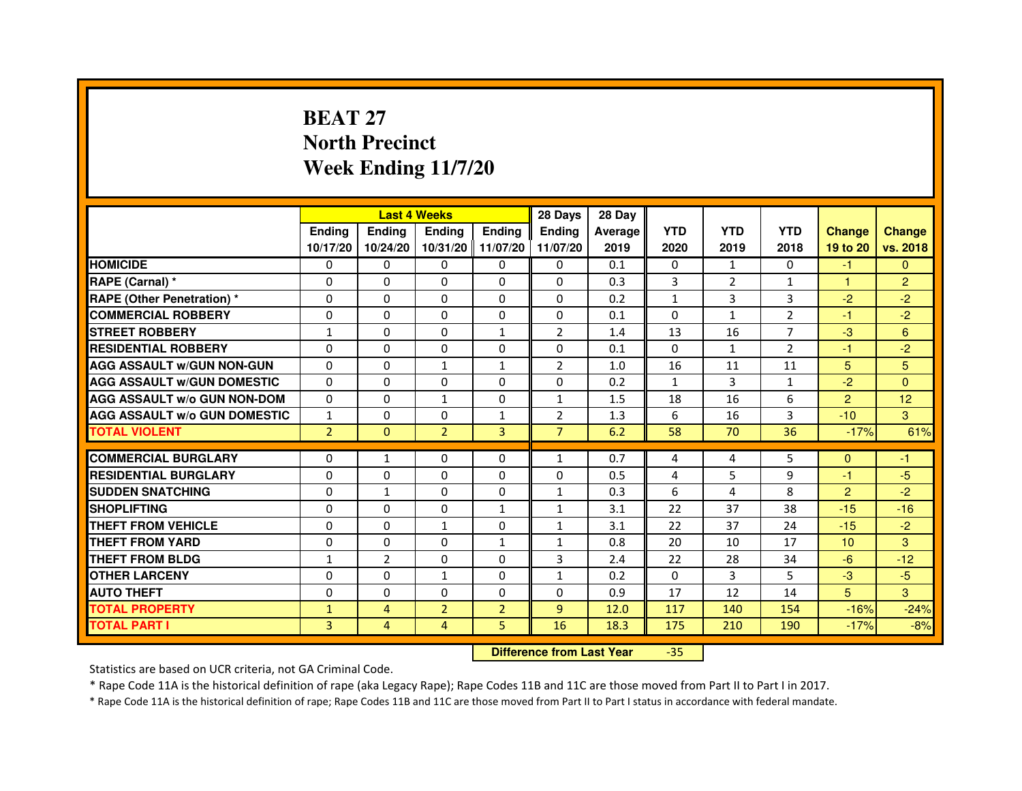# **BEAT 27 North PrecinctWeek Ending 11/7/20**

|                                     | <b>Last 4 Weeks</b> |                |                   |                | 28 Days        | 28 Day  |              |                |                |                 |                |
|-------------------------------------|---------------------|----------------|-------------------|----------------|----------------|---------|--------------|----------------|----------------|-----------------|----------------|
|                                     | <b>Endina</b>       | Ending         | <b>Endina</b>     | <b>Ending</b>  | <b>Endina</b>  | Average | <b>YTD</b>   | <b>YTD</b>     | <b>YTD</b>     | <b>Change</b>   | <b>Change</b>  |
|                                     | 10/17/20            | 10/24/20       | 10/31/20 11/07/20 |                | 11/07/20       | 2019    | 2020         | 2019           | 2018           | 19 to 20        | vs. 2018       |
| <b>HOMICIDE</b>                     | 0                   | 0              | $\mathbf{0}$      | 0              | 0              | 0.1     | $\mathbf{0}$ | $\mathbf{1}$   | $\mathbf{0}$   | $-1$            | $\mathbf{0}$   |
| RAPE (Carnal) *                     | $\Omega$            | $\Omega$       | $\Omega$          | $\Omega$       | $\Omega$       | 0.3     | 3            | $\overline{2}$ | $\mathbf{1}$   | $\mathbf{1}$    | $\overline{2}$ |
| <b>RAPE (Other Penetration) *</b>   | $\Omega$            | $\Omega$       | $\Omega$          | $\Omega$       | 0              | 0.2     | $\mathbf{1}$ | 3              | 3              | $-2$            | $-2$           |
| <b>COMMERCIAL ROBBERY</b>           | 0                   | 0              | 0                 | 0              | 0              | 0.1     | $\Omega$     | $\mathbf{1}$   | 2              | $-1$            | $-2$           |
| <b>STREET ROBBERY</b>               | 1                   | $\Omega$       | $\Omega$          | $\mathbf{1}$   | $\overline{2}$ | 1.4     | 13           | 16             | 7              | $-3$            | 6              |
| <b>RESIDENTIAL ROBBERY</b>          | 0                   | 0              | 0                 | 0              | 0              | 0.1     | $\Omega$     | $\mathbf{1}$   | $\overline{2}$ | $-1$            | $-2$           |
| <b>AGG ASSAULT w/GUN NON-GUN</b>    | $\Omega$            | $\Omega$       | $\mathbf{1}$      | $\mathbf{1}$   | $\overline{2}$ | 1.0     | 16           | 11             | 11             | 5               | 5              |
| <b>AGG ASSAULT W/GUN DOMESTIC</b>   | 0                   | 0              | $\Omega$          | 0              | 0              | 0.2     | $\mathbf{1}$ | 3              | $\mathbf{1}$   | $-2$            | $\Omega$       |
| <b>AGG ASSAULT W/o GUN NON-DOM</b>  | $\Omega$            | $\Omega$       | $\mathbf{1}$      | 0              | 1              | 1.5     | 18           | 16             | 6              | $\overline{2}$  | 12             |
| <b>AGG ASSAULT W/o GUN DOMESTIC</b> | $\mathbf{1}$        | $\Omega$       | $\Omega$          | $\mathbf{1}$   | $\overline{2}$ | 1.3     | 6            | 16             | 3              | $-10$           | 3              |
| <b>TOTAL VIOLENT</b>                | $\overline{2}$      | $\Omega$       | $\overline{2}$    | $\overline{3}$ | $\overline{7}$ | 6.2     | 58           | 70             | 36             | $-17%$          | 61%            |
|                                     |                     |                |                   |                |                |         |              |                |                |                 |                |
| <b>COMMERCIAL BURGLARY</b>          | 0                   | $\mathbf{1}$   | 0                 | 0              | 1              | 0.7     | 4            | 4              | 5              | $\mathbf{0}$    | -1             |
| <b>RESIDENTIAL BURGLARY</b>         | 0                   | 0              | 0                 | 0              | 0              | 0.5     | 4            | 5              | 9              | $-1$            | $-5$           |
| <b>SUDDEN SNATCHING</b>             | 0                   | $\mathbf{1}$   | 0                 | 0              | $\mathbf{1}$   | 0.3     | 6            | 4              | 8              | $\overline{2}$  | $-2$           |
| <b>SHOPLIFTING</b>                  | $\Omega$            | $\mathbf 0$    | $\Omega$          | $\mathbf{1}$   | 1              | 3.1     | 22           | 37             | 38             | $-15$           | $-16$          |
| <b>THEFT FROM VEHICLE</b>           | $\Omega$            | $\Omega$       | $\mathbf{1}$      | 0              | $\mathbf{1}$   | 3.1     | 22           | 37             | 24             | $-15$           | $-2$           |
| <b>THEFT FROM YARD</b>              | 0                   | $\Omega$       | $\Omega$          | $\mathbf{1}$   | 1              | 0.8     | 20           | 10             | 17             | 10 <sup>1</sup> | 3              |
| <b>THEFT FROM BLDG</b>              | $\mathbf{1}$        | $\overline{2}$ | 0                 | 0              | 3              | 2.4     | 22           | 28             | 34             | $-6$            | $-12$          |
| <b>OTHER LARCENY</b>                | 0                   | $\Omega$       | $\mathbf{1}$      | 0              | 1              | 0.2     | $\Omega$     | 3              | 5              | $-3$            | $-5$           |
| <b>AUTO THEFT</b>                   | $\mathbf 0$         | $\mathbf 0$    | $\Omega$          | 0              | $\mathbf 0$    | 0.9     | 17           | 12             | 14             | 5               | 3              |
| <b>TOTAL PROPERTY</b>               | $\mathbf{1}$        | 4              | $\overline{2}$    | $\overline{2}$ | 9              | 12.0    | 117          | 140            | 154            | $-16%$          | $-24%$         |
| <b>TOTAL PART I</b>                 | $\overline{3}$      | 4              | 4                 | 5              | 16             | 18.3    | 175          | 210            | 190            | $-17%$          | $-8%$          |

 **Difference from Last Year**-35

Statistics are based on UCR criteria, not GA Criminal Code.

\* Rape Code 11A is the historical definition of rape (aka Legacy Rape); Rape Codes 11B and 11C are those moved from Part II to Part I in 2017.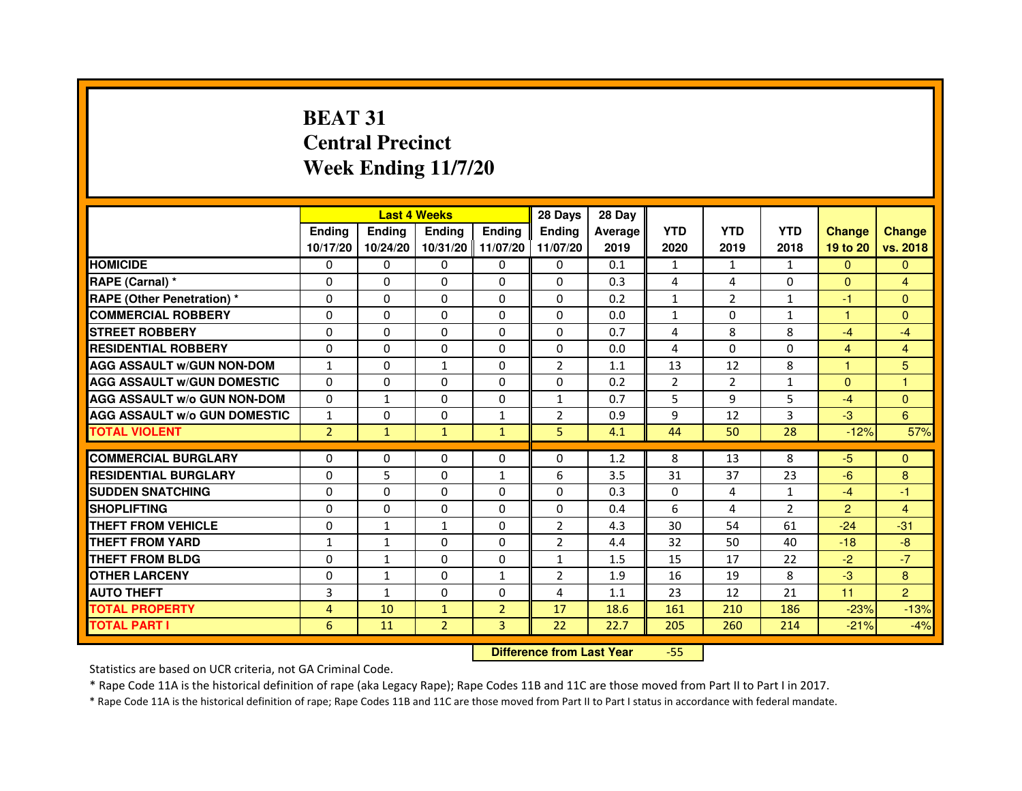# **BEAT 31 Central PrecinctWeek Ending 11/7/20**

|                                     |                | <b>Last 4 Weeks</b> |                |                   | 28 Days        | 28 Day  |                |                |                |                |                |
|-------------------------------------|----------------|---------------------|----------------|-------------------|----------------|---------|----------------|----------------|----------------|----------------|----------------|
|                                     | <b>Endina</b>  | <b>Ending</b>       | <b>Endina</b>  | <b>Ending</b>     | <b>Endina</b>  | Average | <b>YTD</b>     | <b>YTD</b>     | <b>YTD</b>     | <b>Change</b>  | <b>Change</b>  |
|                                     | 10/17/20       | 10/24/20            |                | 10/31/20 11/07/20 | 11/07/20       | 2019    | 2020           | 2019           | 2018           | 19 to 20       | vs. 2018       |
| <b>HOMICIDE</b>                     | 0              | $\mathbf{0}$        | $\mathbf{0}$   | 0                 | 0              | 0.1     | $\mathbf{1}$   | $\mathbf{1}$   | $\mathbf{1}$   | $\mathbf{0}$   | $\mathbf{0}$   |
| RAPE (Carnal) *                     | $\Omega$       | $\Omega$            | $\Omega$       | $\Omega$          | $\Omega$       | 0.3     | 4              | 4              | $\Omega$       | $\Omega$       | $\overline{4}$ |
| <b>RAPE (Other Penetration)*</b>    | 0              | $\Omega$            | $\Omega$       | $\Omega$          | $\Omega$       | 0.2     | $\mathbf{1}$   | $\overline{2}$ | $\mathbf{1}$   | $-1$           | $\Omega$       |
| <b>COMMERCIAL ROBBERY</b>           | 0              | 0                   | $\Omega$       | $\Omega$          | $\Omega$       | 0.0     | $\mathbf{1}$   | $\Omega$       | $\mathbf{1}$   | 1              | $\Omega$       |
| <b>STREET ROBBERY</b>               | 0              | $\Omega$            | 0              | $\mathbf{0}$      | $\Omega$       | 0.7     | 4              | 8              | 8              | $-4$           | $-4$           |
| <b>RESIDENTIAL ROBBERY</b>          | 0              | $\Omega$            | $\Omega$       | $\Omega$          | $\Omega$       | 0.0     | $\overline{4}$ | $\Omega$       | $\Omega$       | $\overline{4}$ | 4              |
| <b>AGG ASSAULT w/GUN NON-DOM</b>    | $\mathbf{1}$   | $\Omega$            | $\mathbf{1}$   | $\mathbf{0}$      | $\overline{2}$ | 1.1     | 13             | 12             | 8              | $\mathbf{1}$   | 5              |
| <b>AGG ASSAULT W/GUN DOMESTIC</b>   | $\Omega$       | $\Omega$            | 0              | $\Omega$          | $\Omega$       | 0.2     | $\overline{2}$ | 2              | $\mathbf{1}$   | $\Omega$       | $\mathbf{1}$   |
| <b>AGG ASSAULT W/o GUN NON-DOM</b>  | $\Omega$       | $\mathbf{1}$        | $\Omega$       | $\Omega$          | $\mathbf{1}$   | 0.7     | 5              | 9              | 5              | $-4$           | $\Omega$       |
| <b>AGG ASSAULT w/o GUN DOMESTIC</b> | $\mathbf{1}$   | 0                   | $\Omega$       | 1                 | $\overline{2}$ | 0.9     | 9              | 12             | 3              | $-3$           | 6              |
| <b>TOTAL VIOLENT</b>                | $\overline{2}$ | $\mathbf{1}$        | $\mathbf{1}$   | $\mathbf{1}$      | 5              | 4.1     | 44             | 50             | 28             | $-12%$         | 57%            |
| <b>COMMERCIAL BURGLARY</b>          | $\Omega$       | 0                   | 0              | $\Omega$          | $\Omega$       | 1.2     | 8              | 13             | 8              | $-5$           | $\Omega$       |
| <b>RESIDENTIAL BURGLARY</b>         | 0              | 5                   | 0              | 1                 | 6              | 3.5     | 31             | 37             | 23             | $-6$           | 8              |
| <b>SUDDEN SNATCHING</b>             | 0              | 0                   | 0              | 0                 | 0              | 0.3     | 0              | 4              | $\mathbf{1}$   | $-4$           | $-1$           |
| <b>SHOPLIFTING</b>                  | $\mathbf 0$    | 0                   | 0              | $\mathbf{0}$      | $\Omega$       | 0.4     | 6              | 4              | $\overline{2}$ | 2              | $\overline{4}$ |
| <b>THEFT FROM VEHICLE</b>           | $\Omega$       | $\mathbf{1}$        | $\mathbf{1}$   | $\mathbf{0}$      | $\overline{2}$ | 4.3     | 30             | 54             | 61             | $-24$          | $-31$          |
| <b>THEFT FROM YARD</b>              | $\mathbf{1}$   | $\mathbf{1}$        | $\Omega$       | $\Omega$          | $\overline{2}$ | 4.4     | 32             | 50             | 40             | $-18$          | $-8$           |
| <b>THEFT FROM BLDG</b>              | 0              | 1                   | 0              | 0                 | 1              | 1.5     | 15             | 17             | 22             | $-2$           | $-7$           |
| <b>OTHER LARCENY</b>                | 0              | $\mathbf{1}$        | 0              | 1                 | $\overline{2}$ | 1.9     | 16             | 19             | 8              | $-3$           | 8              |
| <b>AUTO THEFT</b>                   | 3              | $\mathbf{1}$        | $\Omega$       | $\Omega$          | 4              | 1.1     | 23             | 12             | 21             | 11             | $\overline{2}$ |
| <b>TOTAL PROPERTY</b>               | 4              | 10                  | $\mathbf{1}$   | $\overline{2}$    | 17             | 18.6    | 161            | 210            | 186            | $-23%$         | $-13%$         |
| <b>TOTAL PART I</b>                 | 6              | 11                  | $\overline{2}$ | 3                 | 22             | 22.7    | 205            | 260            | 214            | $-21%$         | $-4%$          |

 **Difference from Last Year**-55

Statistics are based on UCR criteria, not GA Criminal Code.

\* Rape Code 11A is the historical definition of rape (aka Legacy Rape); Rape Codes 11B and 11C are those moved from Part II to Part I in 2017.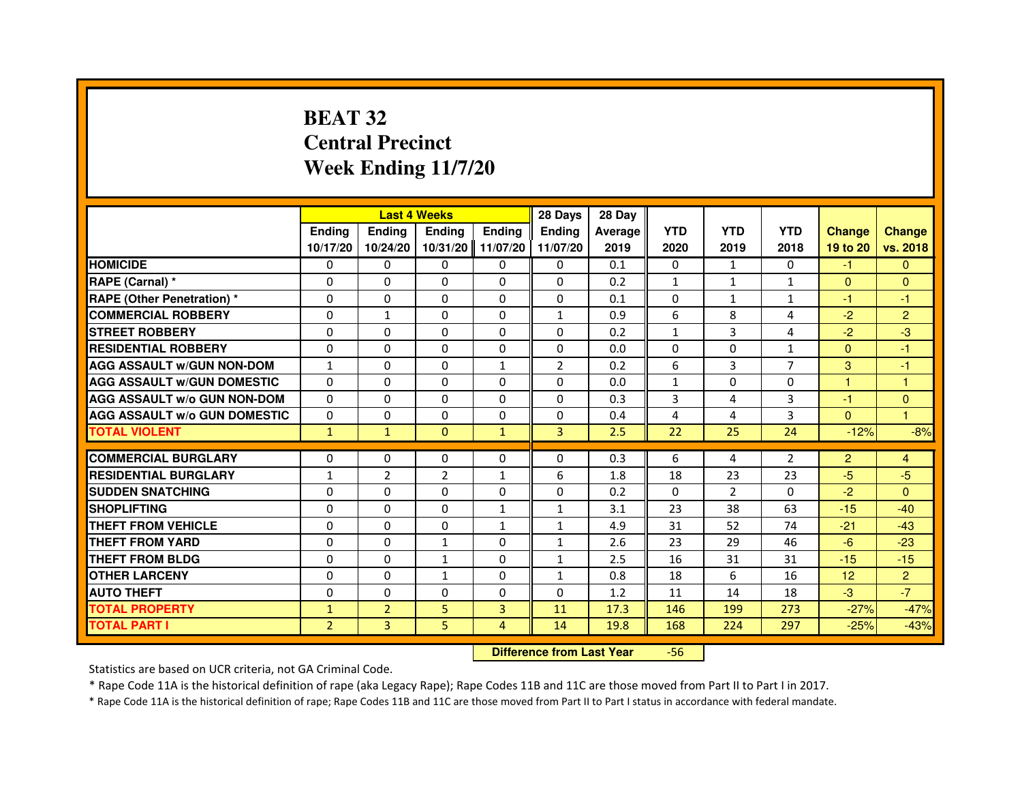## **BEAT 32 Central PrecinctWeek Ending 11/7/20**

|                                     |                | <b>Last 4 Weeks</b> |                                  |               | 28 Days        | 28 Day  |              |                |                |                |                      |
|-------------------------------------|----------------|---------------------|----------------------------------|---------------|----------------|---------|--------------|----------------|----------------|----------------|----------------------|
|                                     | <b>Ending</b>  | <b>Ending</b>       | <b>Ending</b>                    | <b>Ending</b> | <b>Ending</b>  | Average | <b>YTD</b>   | <b>YTD</b>     | <b>YTD</b>     | <b>Change</b>  | <b>Change</b>        |
|                                     | 10/17/20       | 10/24/20            | 10/31/20                         | 11/07/20      | 11/07/20       | 2019    | 2020         | 2019           | 2018           | 19 to 20       | vs. 2018             |
| <b>HOMICIDE</b>                     | $\mathbf{0}$   | $\mathbf{0}$        | $\mathbf{0}$                     | $\mathbf{0}$  | $\mathbf{0}$   | 0.1     | $\mathbf{0}$ | $\mathbf{1}$   | 0              | $-1$           | $\mathbf{0}$         |
| RAPE (Carnal) *                     | 0              | 0                   | 0                                | 0             | 0              | 0.2     | 1            | 1              | $\mathbf{1}$   | $\mathbf{0}$   | $\mathbf{0}$         |
| RAPE (Other Penetration) *          | $\Omega$       | $\Omega$            | 0                                | $\Omega$      | $\Omega$       | 0.1     | $\Omega$     | 1              | $\mathbf{1}$   | $-1$           | -1                   |
| <b>COMMERCIAL ROBBERY</b>           | 0              | $\mathbf{1}$        | $\Omega$                         | $\Omega$      | $\mathbf{1}$   | 0.9     | 6            | 8              | 4              | $-2$           | $\overline{2}$       |
| <b>STREET ROBBERY</b>               | $\Omega$       | $\Omega$            | $\Omega$                         | $\Omega$      | $\Omega$       | 0.2     | $\mathbf{1}$ | 3              | 4              | $-2$           | $-3$                 |
| <b>RESIDENTIAL ROBBERY</b>          | 0              | 0                   | 0                                | 0             | 0              | 0.0     | 0            | 0              | $\mathbf{1}$   | $\Omega$       | $-1$                 |
| <b>AGG ASSAULT W/GUN NON-DOM</b>    | $\mathbf{1}$   | $\Omega$            | 0                                | $\mathbf{1}$  | $\overline{2}$ | 0.2     | 6            | 3              | $\overline{7}$ | 3              | $-1$                 |
| <b>AGG ASSAULT W/GUN DOMESTIC</b>   | $\Omega$       | $\Omega$            | 0                                | $\Omega$      | $\Omega$       | 0.0     | $\mathbf{1}$ | $\Omega$       | $\Omega$       | $\mathbf{1}$   | $\mathbf{1}$         |
| <b>AGG ASSAULT W/o GUN NON-DOM</b>  | $\Omega$       | $\Omega$            | $\Omega$                         | $\Omega$      | $\Omega$       | 0.3     | 3            | 4              | 3              | $-1$           | $\mathbf{0}$         |
| <b>AGG ASSAULT W/o GUN DOMESTIC</b> | 0              | 0                   | 0                                | $\Omega$      | $\Omega$       | 0.4     | 4            | 4              | 3              | $\Omega$       | $\blacktriangleleft$ |
| <b>TOTAL VIOLENT</b>                | $\mathbf{1}$   | $\mathbf{1}$        | $\mathbf{0}$                     | $\mathbf{1}$  | 3              | 2.5     | 22           | 25             | 24             | $-12%$         | $-8%$                |
| <b>COMMERCIAL BURGLARY</b>          | 0              | 0                   | 0                                | 0             | 0              | 0.3     | 6            | 4              | $\overline{2}$ | $\overline{2}$ | 4                    |
| <b>RESIDENTIAL BURGLARY</b>         | 1              | $\overline{2}$      | $\overline{2}$                   | $\mathbf{1}$  | 6              | 1.8     | 18           | 23             | 23             | $-5$           | $-5$                 |
| <b>SUDDEN SNATCHING</b>             | 0              | $\Omega$            | $\Omega$                         | $\Omega$      | $\Omega$       | 0.2     | $\Omega$     | $\overline{2}$ | $\Omega$       | $-2$           | $\Omega$             |
| <b>SHOPLIFTING</b>                  | 0              | $\mathbf{0}$        | 0                                | $\mathbf{1}$  | $\mathbf{1}$   | 3.1     | 23           | 38             | 63             | $-15$          | $-40$                |
| THEFT FROM VEHICLE                  | 0              | $\Omega$            | 0                                | $\mathbf{1}$  | $\mathbf{1}$   | 4.9     | 31           | 52             | 74             | $-21$          | $-43$                |
| <b>THEFT FROM YARD</b>              | $\Omega$       | $\Omega$            | $\mathbf{1}$                     | $\Omega$      | $\mathbf{1}$   | 2.6     | 23           | 29             | 46             | $-6$           | $-23$                |
| <b>THEFT FROM BLDG</b>              | $\Omega$       | $\Omega$            | $\mathbf{1}$                     | $\Omega$      | $\mathbf{1}$   | 2.5     | 16           | 31             | 31             | $-15$          | $-15$                |
| <b>OTHER LARCENY</b>                | $\Omega$       | $\Omega$            | $\mathbf{1}$                     | $\Omega$      | $\mathbf{1}$   | 0.8     | 18           | 6              | 16             | 12             | 2 <sup>1</sup>       |
| <b>AUTO THEFT</b>                   | $\Omega$       | $\Omega$            | $\Omega$                         | $\Omega$      | $\mathbf{0}$   | 1.2     | 11           | 14             | 18             | $-3$           | $-7$                 |
| <b>TOTAL PROPERTY</b>               | $\mathbf{1}$   | $\overline{2}$      | 5                                | 3             | 11             | 17.3    | 146          | 199            | 273            | $-27%$         | $-47%$               |
| <b>TOTAL PART I</b>                 | $\overline{2}$ | 3                   | 5                                | 4             | 14             | 19.8    | 168          | 224            | 297            | $-25%$         | $-43%$               |
|                                     |                |                     | <b>Difference from Last Year</b> |               | $-56$          |         |              |                |                |                |                      |

 **Difference from Last Year**

Statistics are based on UCR criteria, not GA Criminal Code.

\* Rape Code 11A is the historical definition of rape (aka Legacy Rape); Rape Codes 11B and 11C are those moved from Part II to Part I in 2017.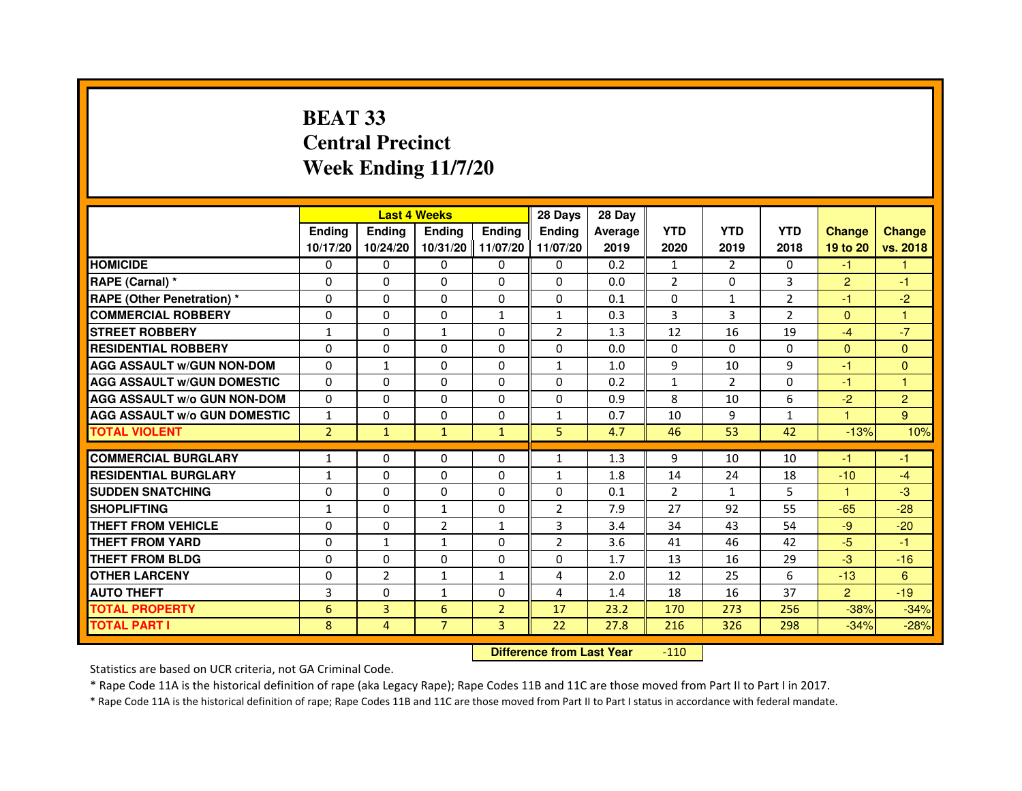# **BEAT 33 Central PrecinctWeek Ending 11/7/20**

|                                     |                | <b>Last 4 Weeks</b> |                |                   | 28 Days        | 28 Day  |                |                |                |                      |                |
|-------------------------------------|----------------|---------------------|----------------|-------------------|----------------|---------|----------------|----------------|----------------|----------------------|----------------|
|                                     | <b>Ending</b>  | <b>Ending</b>       | <b>Endina</b>  | <b>Endina</b>     | <b>Endina</b>  | Average | <b>YTD</b>     | <b>YTD</b>     | <b>YTD</b>     | <b>Change</b>        | <b>Change</b>  |
|                                     | 10/17/20       | 10/24/20            |                | 10/31/20 11/07/20 | 11/07/20       | 2019    | 2020           | 2019           | 2018           | 19 to 20             | vs. 2018       |
| <b>HOMICIDE</b>                     | 0              | 0                   | 0              | 0                 | 0              | 0.2     | $\mathbf{1}$   | $\overline{2}$ | 0              | -1.                  |                |
| RAPE (Carnal) *                     | $\Omega$       | $\Omega$            | $\Omega$       | $\Omega$          | $\Omega$       | 0.0     | $\overline{2}$ | $\Omega$       | 3              | $\mathbf{P}$         | $-1$           |
| <b>RAPE (Other Penetration)*</b>    | $\Omega$       | $\Omega$            | $\Omega$       | $\Omega$          | $\Omega$       | 0.1     | $\Omega$       | $\mathbf{1}$   | $\overline{2}$ | -1                   | $-2$           |
| <b>COMMERCIAL ROBBERY</b>           | 0              | $\Omega$            | 0              | $\mathbf{1}$      | $\mathbf{1}$   | 0.3     | 3              | 3              | 2              | $\Omega$             |                |
| <b>STREET ROBBERY</b>               | $\mathbf{1}$   | 0                   | $\mathbf{1}$   | 0                 | 2              | 1.3     | 12             | 16             | 19             | $-4$                 | $-7$           |
| <b>RESIDENTIAL ROBBERY</b>          | $\Omega$       | $\Omega$            | 0              | $\Omega$          | $\Omega$       | 0.0     | $\Omega$       | $\Omega$       | $\Omega$       | $\Omega$             | $\Omega$       |
| <b>AGG ASSAULT W/GUN NON-DOM</b>    | $\Omega$       | $\mathbf{1}$        | $\Omega$       | $\Omega$          | $\mathbf{1}$   | 1.0     | 9              | 10             | 9              | $-1$                 | $\Omega$       |
| <b>AGG ASSAULT w/GUN DOMESTIC</b>   | $\Omega$       | $\Omega$            | $\Omega$       | 0                 | $\Omega$       | 0.2     | $\mathbf{1}$   | $\mathcal{P}$  | $\Omega$       | $-1$                 | $\overline{1}$ |
| <b>AGG ASSAULT W/o GUN NON-DOM</b>  | $\Omega$       | $\Omega$            | $\Omega$       | $\Omega$          | $\Omega$       | 0.9     | 8              | 10             | 6              | $-2$                 | $\overline{2}$ |
| <b>AGG ASSAULT W/o GUN DOMESTIC</b> | $\mathbf{1}$   | 0                   | 0              | 0                 | $\mathbf{1}$   | 0.7     | 10             | 9              | $\mathbf{1}$   | $\blacktriangleleft$ | 9              |
| <b>TOTAL VIOLENT</b>                | $\overline{2}$ | $\mathbf{1}$        | $\mathbf{1}$   | $\mathbf{1}$      | 5              | 4.7     | 46             | 53             | 42             | $-13%$               | 10%            |
|                                     |                |                     |                |                   |                |         |                |                |                |                      |                |
| <b>COMMERCIAL BURGLARY</b>          | 1              | 0                   | 0              | 0                 | $\mathbf{1}$   | 1.3     | 9              | 10             | 10             | -1.                  | -1             |
| <b>RESIDENTIAL BURGLARY</b>         | $\mathbf{1}$   | 0                   | 0              | 0                 | 1              | 1.8     | 14             | 24             | 18             | $-10$                | $-4$           |
| <b>SUDDEN SNATCHING</b>             | $\Omega$       | $\Omega$            | $\Omega$       | $\Omega$          | $\Omega$       | 0.1     | 2              | $\mathbf{1}$   | 5              | -1                   | $-3$           |
| <b>SHOPLIFTING</b>                  | $\mathbf{1}$   | $\Omega$            | $\mathbf{1}$   | $\Omega$          | $\overline{2}$ | 7.9     | 27             | 92             | 55             | $-65$                | $-28$          |
| <b>THEFT FROM VEHICLE</b>           | 0              | 0                   | $\overline{2}$ | $\mathbf{1}$      | 3              | 3.4     | 34             | 43             | 54             | -9                   | $-20$          |
| <b>THEFT FROM YARD</b>              | $\Omega$       | $\mathbf{1}$        | 1              | 0                 | $\overline{2}$ | 3.6     | 41             | 46             | 42             | $-5$                 | $-1$           |
| THEFT FROM BLDG                     | $\Omega$       | $\Omega$            | 0              | $\mathbf{0}$      | $\Omega$       | 1.7     | 13             | 16             | 29             | $-3$                 | $-16$          |
| <b>OTHER LARCENY</b>                | $\Omega$       | $\overline{2}$      | $\mathbf{1}$   | $\mathbf{1}$      | $\overline{4}$ | 2.0     | 12             | 25             | 6              | $-13$                | 6              |
| <b>AUTO THEFT</b>                   | 3              | 0                   | $\mathbf{1}$   | $\Omega$          | 4              | 1.4     | 18             | 16             | 37             | $\overline{2}$       | $-19$          |
| <b>TOTAL PROPERTY</b>               | 6              | 3                   | 6              | $\overline{2}$    | 17             | 23.2    | 170            | 273            | 256            | $-38%$               | $-34%$         |
| <b>TOTAL PART I</b>                 | 8              | 4                   | $\overline{7}$ | 3                 | 22             | 27.8    | 216            | 326            | 298            | $-34%$               | $-28%$         |

 **Difference from Last Year**-110

Statistics are based on UCR criteria, not GA Criminal Code.

\* Rape Code 11A is the historical definition of rape (aka Legacy Rape); Rape Codes 11B and 11C are those moved from Part II to Part I in 2017.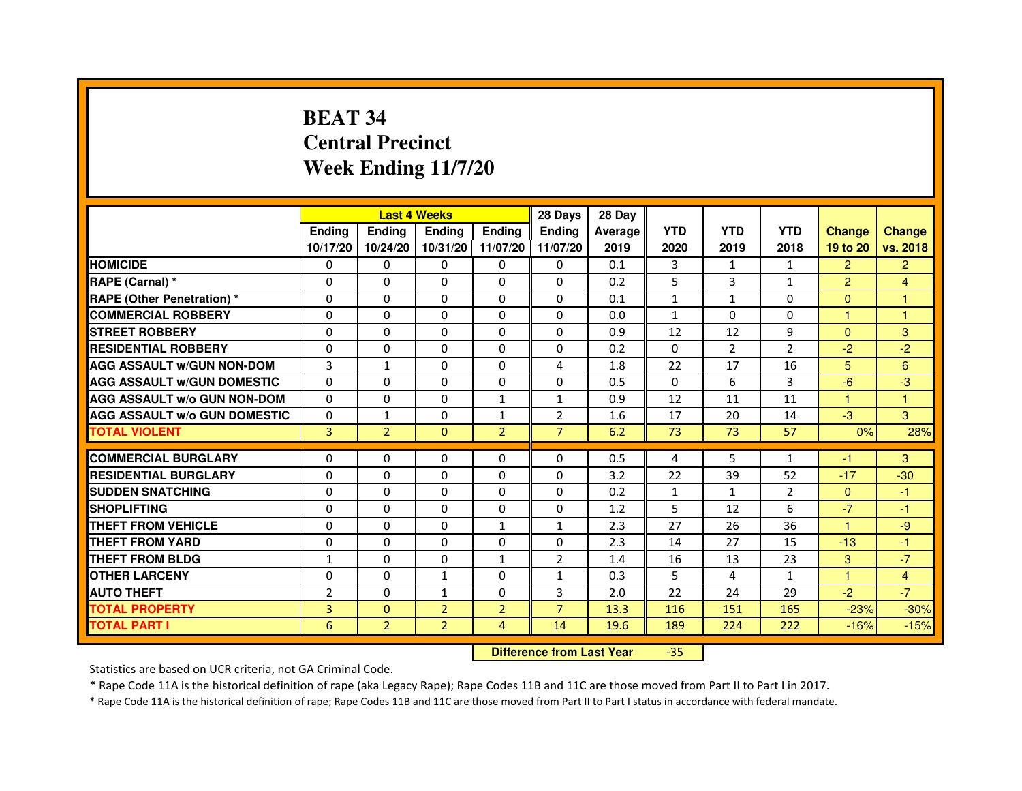# **BEAT 34 Central PrecinctWeek Ending 11/7/20**

|                                     |                | <b>Last 4 Weeks</b> |                |                   | 28 Days        | 28 Day  |              |                |                |                |                |
|-------------------------------------|----------------|---------------------|----------------|-------------------|----------------|---------|--------------|----------------|----------------|----------------|----------------|
|                                     | <b>Endina</b>  | Ending              | <b>Endina</b>  | <b>Endina</b>     | <b>Endina</b>  | Average | <b>YTD</b>   | <b>YTD</b>     | <b>YTD</b>     | <b>Change</b>  | <b>Change</b>  |
|                                     | 10/17/20       | 10/24/20            |                | 10/31/20 11/07/20 | 11/07/20       | 2019    | 2020         | 2019           | 2018           | 19 to 20       | vs. 2018       |
| <b>HOMICIDE</b>                     | 0              | 0                   | 0              | 0                 | 0              | 0.1     | 3            | $\mathbf{1}$   | $\mathbf{1}$   | $\overline{2}$ | $\overline{2}$ |
| RAPE (Carnal) *                     | $\Omega$       | $\Omega$            | $\Omega$       | $\Omega$          | $\Omega$       | 0.2     | 5            | $\overline{3}$ | $\mathbf{1}$   | $\overline{2}$ | $\overline{4}$ |
| <b>RAPE (Other Penetration)*</b>    | $\Omega$       | $\Omega$            | $\Omega$       | $\Omega$          | $\Omega$       | 0.1     | $\mathbf{1}$ | $\mathbf{1}$   | $\Omega$       | $\Omega$       | $\mathbf{1}$   |
| <b>COMMERCIAL ROBBERY</b>           | 0              | 0                   | 0              | 0                 | $\Omega$       | 0.0     | $\mathbf{1}$ | $\Omega$       | 0              | 1              | 1              |
| <b>STREET ROBBERY</b>               | 0              | $\Omega$            | 0              | $\Omega$          | 0              | 0.9     | 12           | 12             | 9              | $\Omega$       | 3              |
| <b>RESIDENTIAL ROBBERY</b>          | 0              | $\Omega$            | 0              | $\Omega$          | $\Omega$       | 0.2     | $\Omega$     | $\overline{2}$ | $\overline{2}$ | $-2$           | $-2$           |
| <b>AGG ASSAULT w/GUN NON-DOM</b>    | 3              | $\mathbf{1}$        | $\Omega$       | $\Omega$          | 4              | 1.8     | 22           | 17             | 16             | 5              | 6              |
| <b>AGG ASSAULT W/GUN DOMESTIC</b>   | $\Omega$       | $\Omega$            | $\Omega$       | $\Omega$          | $\Omega$       | 0.5     | $\Omega$     | 6              | 3              | $-6$           | $-3$           |
| <b>AGG ASSAULT W/o GUN NON-DOM</b>  | $\Omega$       | 0                   | $\Omega$       | $\mathbf{1}$      | $\mathbf{1}$   | 0.9     | 12           | 11             | 11             | 1              | 1              |
| <b>AGG ASSAULT W/o GUN DOMESTIC</b> | 0              | 1                   | 0              | 1                 | 2              | 1.6     | 17           | 20             | 14             | $-3$           | 3              |
| <b>TOTAL VIOLENT</b>                | 3              | $\overline{2}$      | $\Omega$       | $\overline{2}$    | $\overline{7}$ | 6.2     | 73           | 73             | 57             | 0%             | 28%            |
|                                     |                |                     |                |                   |                |         |              |                |                |                |                |
| <b>COMMERCIAL BURGLARY</b>          | 0              | 0                   | 0              | 0                 | $\Omega$       | 0.5     | 4            | 5              | 1              | -1             | 3              |
| <b>RESIDENTIAL BURGLARY</b>         | 0              | $\Omega$            | 0              | $\Omega$          | $\Omega$       | 3.2     | 22           | 39             | 52             | $-17$          | $-30$          |
| <b>SUDDEN SNATCHING</b>             | 0              | $\Omega$            | $\Omega$       | $\Omega$          | $\Omega$       | 0.2     | $\mathbf{1}$ | $\mathbf{1}$   | $\overline{2}$ | $\Omega$       | $-1$           |
| <b>SHOPLIFTING</b>                  | $\Omega$       | $\Omega$            | $\Omega$       | $\mathbf{0}$      | $\Omega$       | 1.2     | 5            | 12             | 6              | $-7$           | $-1$           |
| <b>THEFT FROM VEHICLE</b>           | 0              | $\Omega$            | 0              | $\mathbf{1}$      | $\mathbf{1}$   | 2.3     | 27           | 26             | 36             | $\mathbf{1}$   | -9             |
| <b>THEFT FROM YARD</b>              | $\Omega$       | 0                   | $\Omega$       | $\Omega$          | $\Omega$       | 2.3     | 14           | 27             | 15             | $-13$          | $-1$           |
| <b>THEFT FROM BLDG</b>              | 1              | $\Omega$            | 0              | 1                 | $\overline{2}$ | 1.4     | 16           | 13             | 23             | 3              | $-7$           |
| <b>OTHER LARCENY</b>                | 0              | 0                   | $\mathbf{1}$   | $\Omega$          | $\mathbf{1}$   | 0.3     | 5            | 4              | 1              | 1              | 4              |
| <b>AUTO THEFT</b>                   | $\overline{2}$ | 0                   | $\mathbf{1}$   | $\Omega$          | 3              | 2.0     | 22           | 24             | 29             | $-2$           | $-7$           |
| <b>TOTAL PROPERTY</b>               | 3              | $\mathbf{0}$        | $\overline{2}$ | $\overline{2}$    | $\overline{7}$ | 13.3    | 116          | 151            | 165            | $-23%$         | $-30%$         |
| <b>TOTAL PART I</b>                 | 6              | $\overline{2}$      | $\overline{2}$ | $\overline{4}$    | 14             | 19.6    | 189          | 224            | 222            | $-16%$         | $-15%$         |

 **Difference from Last Year**-35

Statistics are based on UCR criteria, not GA Criminal Code.

\* Rape Code 11A is the historical definition of rape (aka Legacy Rape); Rape Codes 11B and 11C are those moved from Part II to Part I in 2017.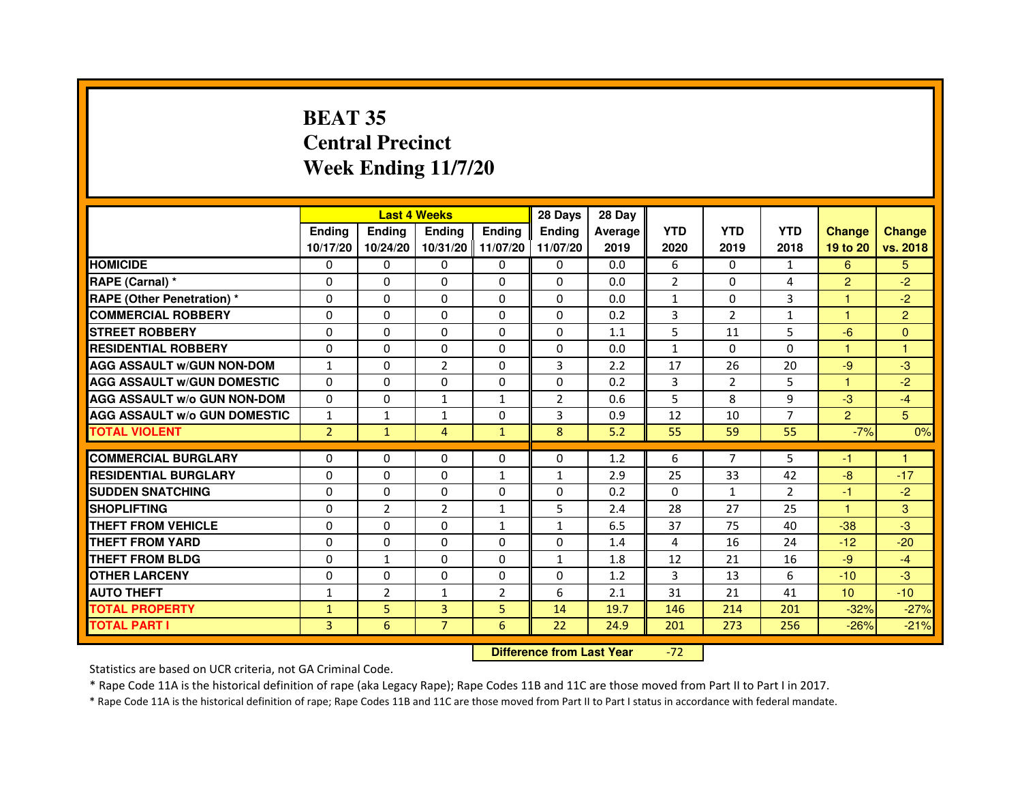# **BEAT 35 Central PrecinctWeek Ending 11/7/20**

|                                     |                | <b>Last 4 Weeks</b> |                   |                | 28 Days        | 28 Day  |                |                |                |                  |                |
|-------------------------------------|----------------|---------------------|-------------------|----------------|----------------|---------|----------------|----------------|----------------|------------------|----------------|
|                                     | <b>Ending</b>  | <b>Ending</b>       | <b>Ending</b>     | <b>Endina</b>  | <b>Endina</b>  | Average | <b>YTD</b>     | <b>YTD</b>     | <b>YTD</b>     | <b>Change</b>    | <b>Change</b>  |
|                                     | 10/17/20       | 10/24/20            | 10/31/20 11/07/20 |                | 11/07/20       | 2019    | 2020           | 2019           | 2018           | 19 to 20         | vs. 2018       |
| <b>HOMICIDE</b>                     | 0              | 0                   | 0                 | 0              | 0              | 0.0     | 6              | 0              | $\mathbf{1}$   | 6                | 5.             |
| RAPE (Carnal) *                     | $\Omega$       | $\Omega$            | $\Omega$          | $\Omega$       | $\Omega$       | 0.0     | $\overline{2}$ | $\Omega$       | 4              | $\overline{2}$   | $-2$           |
| <b>RAPE (Other Penetration) *</b>   | $\Omega$       | $\Omega$            | $\Omega$          | $\Omega$       | $\Omega$       | 0.0     | $\mathbf{1}$   | $\Omega$       | 3              | 1                | $-2$           |
| <b>COMMERCIAL ROBBERY</b>           | 0              | 0                   | $\Omega$          | 0              | $\Omega$       | 0.2     | 3              | $\overline{2}$ | $\mathbf{1}$   | 1                | $\overline{2}$ |
| <b>STREET ROBBERY</b>               | $\Omega$       | 0                   | $\Omega$          | 0              | 0              | 1.1     | 5              | 11             | 5              | $-6$             | $\Omega$       |
| <b>RESIDENTIAL ROBBERY</b>          | $\Omega$       | $\Omega$            | $\Omega$          | $\Omega$       | 0              | 0.0     | $\mathbf{1}$   | $\Omega$       | $\Omega$       | 1                | 1              |
| <b>AGG ASSAULT w/GUN NON-DOM</b>    | $\mathbf{1}$   | 0                   | $\overline{2}$    | 0              | 3              | 2.2     | 17             | 26             | 20             | $-9$             | -3             |
| <b>AGG ASSAULT W/GUN DOMESTIC</b>   | $\Omega$       | 0                   | $\Omega$          | 0              | 0              | 0.2     | 3              | $\overline{2}$ | 5              | $\mathbf{1}$     | $-2$           |
| <b>AGG ASSAULT W/o GUN NON-DOM</b>  | $\Omega$       | $\Omega$            | 1                 | $\mathbf{1}$   | $\overline{2}$ | 0.6     | 5              | 8              | 9              | $-3$             | $-4$           |
| <b>AGG ASSAULT W/o GUN DOMESTIC</b> | 1              | 1                   | $\mathbf{1}$      | 0              | 3              | 0.9     | 12             | 10             | $\overline{7}$ | $\overline{2}$   | 5              |
| <b>TOTAL VIOLENT</b>                | $\overline{2}$ | $\mathbf{1}$        | $\overline{4}$    | $\mathbf{1}$   | 8              | 5.2     | 55             | 59             | 55             | $-7%$            | 0%             |
|                                     |                |                     |                   |                |                |         |                |                |                |                  |                |
| <b>COMMERCIAL BURGLARY</b>          | $\Omega$       | $\Omega$            | $\Omega$          | $\Omega$       | $\Omega$       | 1.2     | 6              | $\overline{7}$ | 5              | $-1$             | 1              |
| <b>RESIDENTIAL BURGLARY</b>         | $\Omega$       | $\Omega$            | $\Omega$          | 1              | 1              | 2.9     | 25             | 33             | 42             | $-8$             | $-17$          |
| <b>SUDDEN SNATCHING</b>             | $\Omega$       | $\Omega$            | 0                 | 0              | 0              | 0.2     | $\Omega$       | $\mathbf{1}$   | $\mathfrak{p}$ | $-1$             | $-2$           |
| <b>SHOPLIFTING</b>                  | 0              | $\overline{2}$      | $\overline{2}$    | $\mathbf{1}$   | 5              | 2.4     | 28             | 27             | 25             | 1                | 3              |
| <b>THEFT FROM VEHICLE</b>           | 0              | $\Omega$            | $\Omega$          | $\mathbf{1}$   | $\mathbf{1}$   | 6.5     | 37             | 75             | 40             | $-38$            | $-3$           |
| <b>THEFT FROM YARD</b>              | 0              | $\Omega$            | $\Omega$          | $\Omega$       | $\Omega$       | 1.4     | $\overline{a}$ | 16             | 24             | $-12$            | $-20$          |
| <b>THEFT FROM BLDG</b>              | $\Omega$       | $\mathbf{1}$        | 0                 | 0              | 1              | 1.8     | 12             | 21             | 16             | $-9$             | $-4$           |
| <b>OTHER LARCENY</b>                | $\Omega$       | $\Omega$            | $\Omega$          | 0              | 0              | 1.2     | 3              | 13             | 6              | $-10$            | $-3$           |
| <b>AUTO THEFT</b>                   | 1              | $\overline{2}$      | 1                 | $\overline{2}$ | 6              | 2.1     | 31             | 21             | 41             | 10 <sup>10</sup> | $-10$          |
| <b>TOTAL PROPERTY</b>               | $\mathbf{1}$   | 5                   | 3                 | 5              | 14             | 19.7    | 146            | 214            | 201            | $-32%$           | $-27%$         |
| <b>TOTAL PART I</b>                 | $\overline{3}$ | 6                   | $\overline{7}$    | 6              | 22             | 24.9    | 201            | 273            | 256            | $-26%$           | $-21%$         |

 **Difference from Last Year**-72

Statistics are based on UCR criteria, not GA Criminal Code.

\* Rape Code 11A is the historical definition of rape (aka Legacy Rape); Rape Codes 11B and 11C are those moved from Part II to Part I in 2017.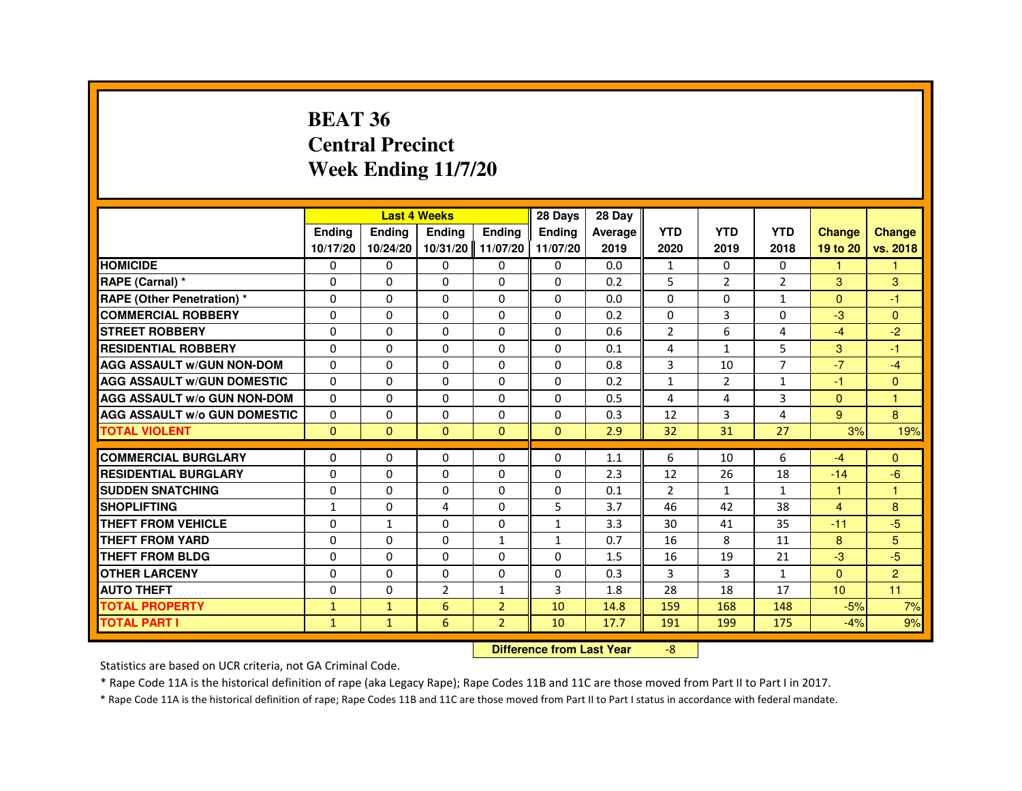#### **BEAT 36 Central PrecinctWeek Ending 11/7/20**

|                                     |               |               | <b>Last 4 Weeks</b> |                   | 28 Days       | 28 Day  |                |                |                |                      |               |
|-------------------------------------|---------------|---------------|---------------------|-------------------|---------------|---------|----------------|----------------|----------------|----------------------|---------------|
|                                     | <b>Endina</b> | <b>Endina</b> | <b>Endina</b>       | <b>Endina</b>     | <b>Endina</b> | Average | <b>YTD</b>     | <b>YTD</b>     | <b>YTD</b>     | <b>Change</b>        | <b>Change</b> |
|                                     | 10/17/20      | 10/24/20      |                     | 10/31/20 11/07/20 | 11/07/20      | 2019    | 2020           | 2019           | 2018           | 19 to 20             | vs. 2018      |
| <b>HOMICIDE</b>                     | $\Omega$      | $\Omega$      | $\mathbf{0}$        | $\mathbf{0}$      | $\Omega$      | 0.0     | $\mathbf{1}$   | $\Omega$       | $\Omega$       | $\blacktriangleleft$ | $\mathbf{1}$  |
| RAPE (Carnal) *                     | 0             | 0             | 0                   | 0                 | $\Omega$      | 0.2     | 5              | $\overline{2}$ | $\overline{2}$ | 3                    | 3             |
| RAPE (Other Penetration) *          | 0             | 0             | $\Omega$            | 0                 | 0             | 0.0     | 0              | 0              | $\mathbf{1}$   | $\Omega$             | -1            |
| <b>COMMERCIAL ROBBERY</b>           | 0             | $\Omega$      | $\Omega$            | 0                 | 0             | 0.2     | $\Omega$       | 3              | $\Omega$       | $-3$                 | $\Omega$      |
| <b>STREET ROBBERY</b>               | $\Omega$      | $\mathbf 0$   | $\Omega$            | $\Omega$          | $\Omega$      | 0.6     | $\overline{2}$ | 6              | 4              | $-4$                 | $-2$          |
| <b>RESIDENTIAL ROBBERY</b>          | $\Omega$      | $\Omega$      | $\Omega$            | $\Omega$          | $\Omega$      | 0.1     | 4              | $\mathbf{1}$   | 5              | 3                    | $-1$          |
| <b>AGG ASSAULT W/GUN NON-DOM</b>    | $\Omega$      | $\Omega$      | $\Omega$            | 0                 | $\Omega$      | 0.8     | 3              | 10             | $\overline{7}$ | $-7$                 | $-4$          |
| <b>AGG ASSAULT W/GUN DOMESTIC</b>   | $\Omega$      | $\mathbf{0}$  | 0                   | 0                 | 0             | 0.2     | $\mathbf{1}$   | 2              | $\mathbf{1}$   | -1                   | $\Omega$      |
| <b>AGG ASSAULT W/o GUN NON-DOM</b>  | $\Omega$      | $\Omega$      | $\Omega$            | 0                 | $\Omega$      | 0.5     | 4              | 4              | 3              | $\Omega$             | -1            |
| <b>AGG ASSAULT W/o GUN DOMESTIC</b> | $\Omega$      | $\mathbf 0$   | $\Omega$            | $\Omega$          | $\Omega$      | 0.3     | 12             | 3              | 4              | 9                    | 8             |
| <b>TOTAL VIOLENT</b>                | $\mathbf{0}$  | $\mathbf{0}$  | $\mathbf{0}$        | $\mathbf{0}$      | $\mathbf{0}$  | 2.9     | 32             | 31             | 27             | 3%                   | 19%           |
|                                     |               |               |                     |                   |               |         |                |                |                |                      |               |
| <b>COMMERCIAL BURGLARY</b>          | 0             | 0             | 0                   | 0                 | 0             | 1.1     | 6              | 10             | 6              | $-4$                 | $\Omega$      |
| <b>RESIDENTIAL BURGLARY</b>         | 0             | 0             | 0                   | 0                 | 0             | 2.3     | 12             | 26             | 18             | $-14$                | $-6$          |
| <b>SUDDEN SNATCHING</b>             | $\Omega$      | $\Omega$      | $\Omega$            | $\Omega$          | 0             | 0.1     | $\overline{2}$ | $\mathbf{1}$   | $\mathbf{1}$   | 1                    | 1             |
| <b>SHOPLIFTING</b>                  | $\mathbf{1}$  | $\Omega$      | 4                   | $\Omega$          | 5             | 3.7     | 46             | 42             | 38             | $\overline{4}$       | 8             |
| THEFT FROM VEHICLE                  | $\Omega$      | $\mathbf{1}$  | $\Omega$            | $\Omega$          | $\mathbf{1}$  | 3.3     | 30             | 41             | 35             | $-11$                | $-5$          |
| <b>THEFT FROM YARD</b>              | $\Omega$      | 0             | 0                   | $\mathbf{1}$      | $\mathbf{1}$  | 0.7     | 16             | 8              | 11             | 8                    | 5             |
| THEFT FROM BLDG                     | 0             | 0             | 0                   | 0                 | 0             | 1.5     | 16             | 19             | 21             | $-3$                 | $-5$          |
| <b>OTHER LARCENY</b>                | $\Omega$      | $\Omega$      | $\Omega$            | $\Omega$          | $\Omega$      | 0.3     | 3              | 3              | $\mathbf{1}$   | $\Omega$             | 2             |
| <b>AUTO THEFT</b>                   | $\Omega$      | $\Omega$      | $\overline{2}$      | $\mathbf{1}$      | 3             | 1.8     | 28             | 18             | 17             | 10                   | 11            |
| <b>TOTAL PROPERTY</b>               | $\mathbf{1}$  | $\mathbf{1}$  | 6                   | $\overline{2}$    | 10            | 14.8    | 159            | 168            | 148            | $-5%$                | 7%            |
| <b>TOTAL PART I</b>                 | $\mathbf{1}$  | $\mathbf{1}$  | 6                   | $\overline{2}$    | 10            | 17.7    | 191            | 199            | 175            | $-4%$                | 9%            |

#### **Difference from Last Year**

-8

Statistics are based on UCR criteria, not GA Criminal Code.

\* Rape Code 11A is the historical definition of rape (aka Legacy Rape); Rape Codes 11B and 11C are those moved from Part II to Part I in 2017.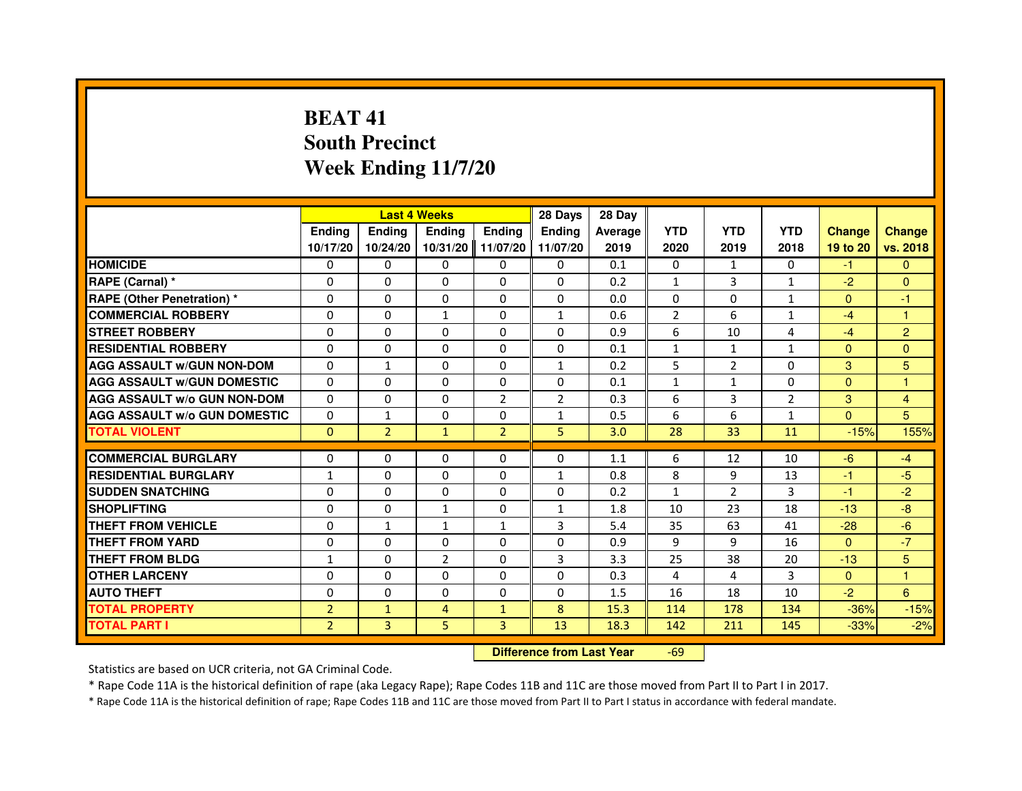# **BEAT 41 South PrecinctWeek Ending 11/7/20**

|                                     |                |                | <b>Last 4 Weeks</b>              |                | 28 Days        | 28 Day  |              |                |                |               |                 |
|-------------------------------------|----------------|----------------|----------------------------------|----------------|----------------|---------|--------------|----------------|----------------|---------------|-----------------|
|                                     | <b>Ending</b>  | <b>Endina</b>  | <b>Ending</b>                    | <b>Ending</b>  | <b>Endina</b>  | Average | <b>YTD</b>   | <b>YTD</b>     | <b>YTD</b>     | <b>Change</b> | <b>Change</b>   |
|                                     | 10/17/20       | 10/24/20       | 10/31/20                         | 11/07/20       | 11/07/20       | 2019    | 2020         | 2019           | 2018           | 19 to 20      | vs. 2018        |
| <b>HOMICIDE</b>                     | 0              | 0              | $\Omega$                         | $\Omega$       | 0              | 0.1     | 0            | $\mathbf{1}$   | $\Omega$       | $-1$          | $\mathbf{0}$    |
| RAPE (Carnal) *                     | 0              | 0              | 0                                | 0              | 0              | 0.2     | $\mathbf{1}$ | 3              | $\mathbf{1}$   | $-2$          | $\Omega$        |
| <b>RAPE (Other Penetration) *</b>   | 0              | $\Omega$       | $\Omega$                         | $\Omega$       | $\Omega$       | 0.0     | $\Omega$     | $\Omega$       | $\mathbf{1}$   | $\Omega$      | $-1$            |
| <b>COMMERCIAL ROBBERY</b>           | $\Omega$       | $\Omega$       | $\mathbf{1}$                     | $\Omega$       | $\mathbf{1}$   | 0.6     | 2            | 6              | $\mathbf{1}$   | $-4$          | $\mathbf{1}$    |
| <b>STREET ROBBERY</b>               | 0              | 0              | $\Omega$                         | $\Omega$       | $\Omega$       | 0.9     | 6            | 10             | 4              | $-4$          | $\overline{2}$  |
| <b>RESIDENTIAL ROBBERY</b>          | $\Omega$       | $\Omega$       | $\Omega$                         | $\Omega$       | $\Omega$       | 0.1     | $\mathbf{1}$ | $\mathbf{1}$   | $\mathbf{1}$   | $\Omega$      | $\Omega$        |
| <b>AGG ASSAULT w/GUN NON-DOM</b>    | $\Omega$       | 1              | 0                                | $\Omega$       | 1              | 0.2     | 5            | $\overline{2}$ | 0              | 3             | 5               |
| <b>AGG ASSAULT w/GUN DOMESTIC</b>   | $\Omega$       | $\Omega$       | $\Omega$                         | $\Omega$       | $\Omega$       | 0.1     | $\mathbf{1}$ | $\mathbf{1}$   | $\Omega$       | $\Omega$      | $\mathbf{1}$    |
| <b>AGG ASSAULT w/o GUN NON-DOM</b>  | 0              | 0              | $\Omega$                         | $\overline{2}$ | $\overline{2}$ | 0.3     | 6            | 3              | $\overline{2}$ | 3             | 4               |
| <b>AGG ASSAULT w/o GUN DOMESTIC</b> | $\Omega$       | 1              | $\Omega$                         | $\Omega$       | 1              | 0.5     | 6            | 6              | $\mathbf{1}$   | $\Omega$      | 5               |
| <b>TOTAL VIOLENT</b>                | $\mathbf{0}$   | $\overline{2}$ | $\mathbf{1}$                     | $\overline{2}$ | 5              | 3.0     | 28           | 33             | 11             | $-15%$        | 155%            |
| <b>COMMERCIAL BURGLARY</b>          | 0              | 0              | 0                                | 0              | 0              | 1.1     | 6            | 12             | 10             | $-6$          | $-4$            |
| <b>RESIDENTIAL BURGLARY</b>         | $\mathbf{1}$   | $\Omega$       | $\Omega$                         | $\Omega$       | 1              | 0.8     | 8            | 9              | 13             | $-1$          | $-5$            |
| <b>SUDDEN SNATCHING</b>             | $\Omega$       | $\Omega$       | $\Omega$                         | $\Omega$       | $\Omega$       | 0.2     | $\mathbf{1}$ | $\overline{2}$ | 3              | $-1$          | $-2$            |
| <b>SHOPLIFTING</b>                  | 0              | 0              | 1                                | 0              | 1              | 1.8     | 10           | 23             | 18             | $-13$         | $-8$            |
| THEFT FROM VEHICLE                  | $\Omega$       | $\mathbf{1}$   | $\mathbf{1}$                     | $\mathbf{1}$   | 3              | 5.4     | 35           | 63             | 41             | $-28$         | $-6$            |
| <b>THEFT FROM YARD</b>              | $\Omega$       | $\Omega$       | $\Omega$                         | $\Omega$       | $\Omega$       | 0.9     | 9            | 9              | 16             | $\mathbf{0}$  | $-7$            |
| <b>THEFT FROM BLDG</b>              | $\mathbf{1}$   | $\Omega$       | $\overline{2}$                   | $\Omega$       | 3              | 3.3     | 25           | 38             | 20             | $-13$         | 5               |
| <b>OTHER LARCENY</b>                | 0              | $\Omega$       | $\Omega$                         | $\Omega$       | 0              | 0.3     | 4            | 4              | 3              | $\mathbf{0}$  | 1               |
| <b>AUTO THEFT</b>                   | 0              | 0              | $\Omega$                         | 0              | 0              | 1.5     | 16           | 18             | 10             | $-2$          | $6\overline{6}$ |
| <b>TOTAL PROPERTY</b>               | $\overline{2}$ | $\mathbf{1}$   | $\overline{4}$                   | $\mathbf{1}$   | 8              | 15.3    | 114          | 178            | 134            | $-36%$        | $-15%$          |
| <b>TOTAL PART I</b>                 | $\overline{2}$ | 3              | 5                                | 3              | 13             | 18.3    | 142          | 211            | 145            | $-33%$        | $-2%$           |
|                                     |                |                |                                  |                |                |         |              |                |                |               |                 |
|                                     |                |                | <b>Difference from Last Year</b> |                | $-69$          |         |              |                |                |               |                 |

 **Difference from Last Year**

Statistics are based on UCR criteria, not GA Criminal Code.

\* Rape Code 11A is the historical definition of rape (aka Legacy Rape); Rape Codes 11B and 11C are those moved from Part II to Part I in 2017.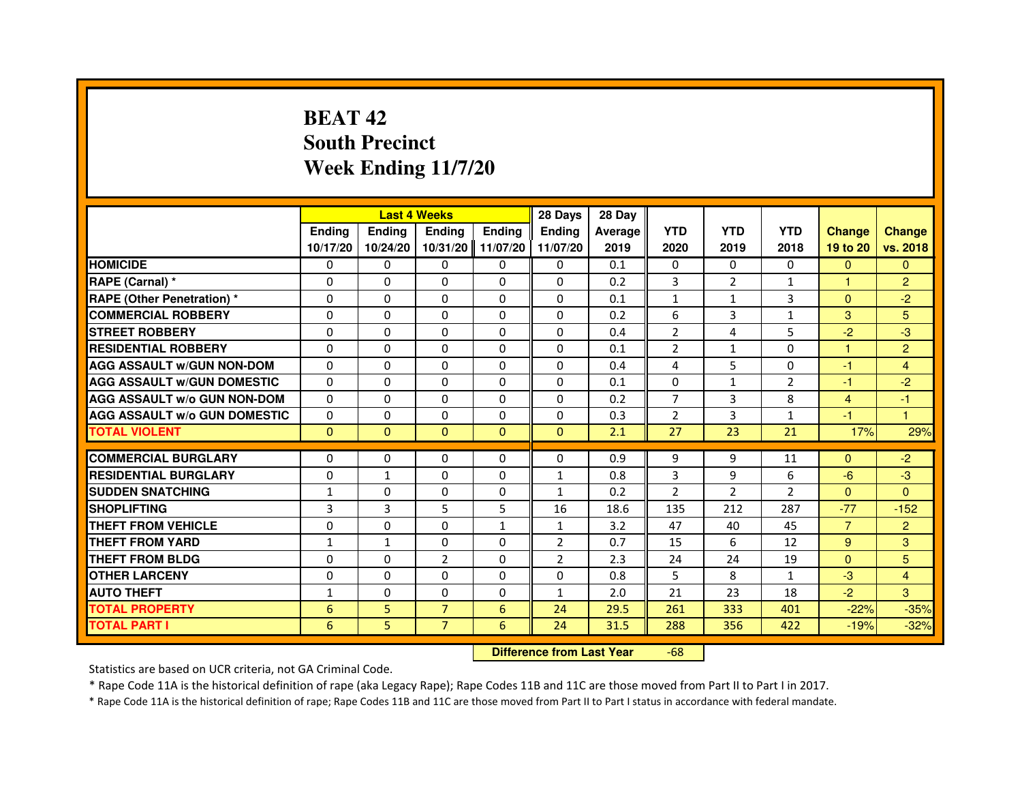# **BEAT 42 South PrecinctWeek Ending 11/7/20**

|                                     |               | <b>Last 4 Weeks</b> |                |               | 28 Days                          | 28 Day  |                |                |                |                |                      |
|-------------------------------------|---------------|---------------------|----------------|---------------|----------------------------------|---------|----------------|----------------|----------------|----------------|----------------------|
|                                     | <b>Ending</b> | <b>Ending</b>       | <b>Ending</b>  | <b>Ending</b> | <b>Ending</b>                    | Average | <b>YTD</b>     | <b>YTD</b>     | <b>YTD</b>     | <b>Change</b>  | <b>Change</b>        |
|                                     | 10/17/20      | 10/24/20            | 10/31/20       | 11/07/20      | 11/07/20                         | 2019    | 2020           | 2019           | 2018           | 19 to 20       | vs. 2018             |
| <b>HOMICIDE</b>                     | $\mathbf{0}$  | $\mathbf{0}$        | $\mathbf{0}$   | $\mathbf{0}$  | 0                                | 0.1     | $\mathbf{0}$   | 0              | 0              | $\Omega$       | $\mathbf{0}$         |
| RAPE (Carnal) *                     | 0             | 0                   | 0              | 0             | 0                                | 0.2     | 3              | $\overline{2}$ | $\mathbf{1}$   | $\mathbf{1}$   | $\overline{2}$       |
| <b>RAPE (Other Penetration) *</b>   | $\Omega$      | $\Omega$            | 0              | $\Omega$      | $\Omega$                         | 0.1     | $\mathbf{1}$   | 1              | 3              | $\mathbf{0}$   | $-2$                 |
| <b>COMMERCIAL ROBBERY</b>           | 0             | $\Omega$            | $\Omega$       | $\Omega$      | 0                                | 0.2     | 6              | 3              | $\mathbf{1}$   | 3              | 5                    |
| <b>STREET ROBBERY</b>               | $\Omega$      | $\Omega$            | $\Omega$       | $\Omega$      | $\Omega$                         | 0.4     | $\overline{2}$ | 4              | 5              | $-2$           | $-3$                 |
| <b>RESIDENTIAL ROBBERY</b>          | 0             | 0                   | 0              | 0             | 0                                | 0.1     | $\overline{2}$ | 1              | $\Omega$       | $\mathbf{1}$   | $\overline{2}$       |
| <b>AGG ASSAULT W/GUN NON-DOM</b>    | $\Omega$      | $\Omega$            | 0              | $\Omega$      | $\Omega$                         | 0.4     | 4              | 5              | 0              | -1             | 4                    |
| <b>AGG ASSAULT W/GUN DOMESTIC</b>   | $\Omega$      | $\Omega$            | 0              | $\Omega$      | $\Omega$                         | 0.1     | $\Omega$       | $\mathbf{1}$   | $\overline{2}$ | $-1$           | $-2$                 |
| <b>AGG ASSAULT W/o GUN NON-DOM</b>  | $\Omega$      | $\Omega$            | $\Omega$       | $\Omega$      | $\mathbf{0}$                     | 0.2     | $\overline{7}$ | 3              | 8              | 4              | -1                   |
| <b>AGG ASSAULT W/o GUN DOMESTIC</b> | 0             | $\Omega$            | 0              | $\Omega$      | $\Omega$                         | 0.3     | $\overline{2}$ | 3              | $\mathbf{1}$   | $-1$           | $\blacktriangleleft$ |
| <b>TOTAL VIOLENT</b>                | $\mathbf{0}$  | $\mathbf{0}$        | $\mathbf{0}$   | $\mathbf{0}$  | $\mathbf{0}$                     | 2.1     | 27             | 23             | 21             | 17%            | 29%                  |
| <b>COMMERCIAL BURGLARY</b>          | 0             | 0                   | 0              | 0             | 0                                | 0.9     | 9              | 9              | 11             | $\mathbf{0}$   | $-2$                 |
| <b>RESIDENTIAL BURGLARY</b>         | 0             | $\mathbf{1}$        | 0              | $\Omega$      | $\mathbf{1}$                     | 0.8     | 3              | 9              | 6              | $-6$           | -3                   |
| <b>SUDDEN SNATCHING</b>             | $\mathbf{1}$  | $\Omega$            | 0              | $\Omega$      | $\mathbf{1}$                     | 0.2     | $\overline{2}$ | $\overline{2}$ | $\overline{2}$ | $\Omega$       | $\Omega$             |
| <b>SHOPLIFTING</b>                  | 3             | 3                   | 5              | 5             | 16                               | 18.6    | 135            | 212            | 287            | $-77$          | $-152$               |
| THEFT FROM VEHICLE                  | 0             | $\Omega$            | 0              | $\mathbf{1}$  | $\mathbf{1}$                     | 3.2     | 47             | 40             | 45             | $\overline{7}$ | $\overline{2}$       |
| <b>THEFT FROM YARD</b>              | $\mathbf{1}$  | $\mathbf{1}$        | $\Omega$       | $\Omega$      | $\overline{2}$                   | 0.7     | 15             | 6              | 12             | 9              | 3                    |
| <b>THEFT FROM BLDG</b>              | $\Omega$      | $\Omega$            | $\overline{2}$ | $\Omega$      | $\overline{2}$                   | 2.3     | 24             | 24             | 19             | $\Omega$       | 5                    |
| <b>OTHER LARCENY</b>                | $\Omega$      | $\Omega$            | 0              | $\Omega$      | $\Omega$                         | 0.8     | 5              | 8              | $\mathbf{1}$   | $-3$           | 4                    |
| <b>AUTO THEFT</b>                   | $\mathbf{1}$  | $\Omega$            | $\Omega$       | $\Omega$      | $\mathbf{1}$                     | 2.0     | 21             | 23             | 18             | $-2$           | 3                    |
| <b>TOTAL PROPERTY</b>               | 6             | 5                   | $\overline{7}$ | 6             | 24                               | 29.5    | 261            | 333            | 401            | $-22%$         | $-35%$               |
| <b>TOTAL PART I</b>                 | 6             | 5                   | $\overline{7}$ | 6             | 24                               | 31.5    | 288            | 356            | 422            | $-19%$         | $-32%$               |
|                                     |               |                     |                |               | <b>Difference from Last Year</b> |         | $-68$          |                |                |                |                      |

 **Difference from Last Year**

Statistics are based on UCR criteria, not GA Criminal Code.

\* Rape Code 11A is the historical definition of rape (aka Legacy Rape); Rape Codes 11B and 11C are those moved from Part II to Part I in 2017.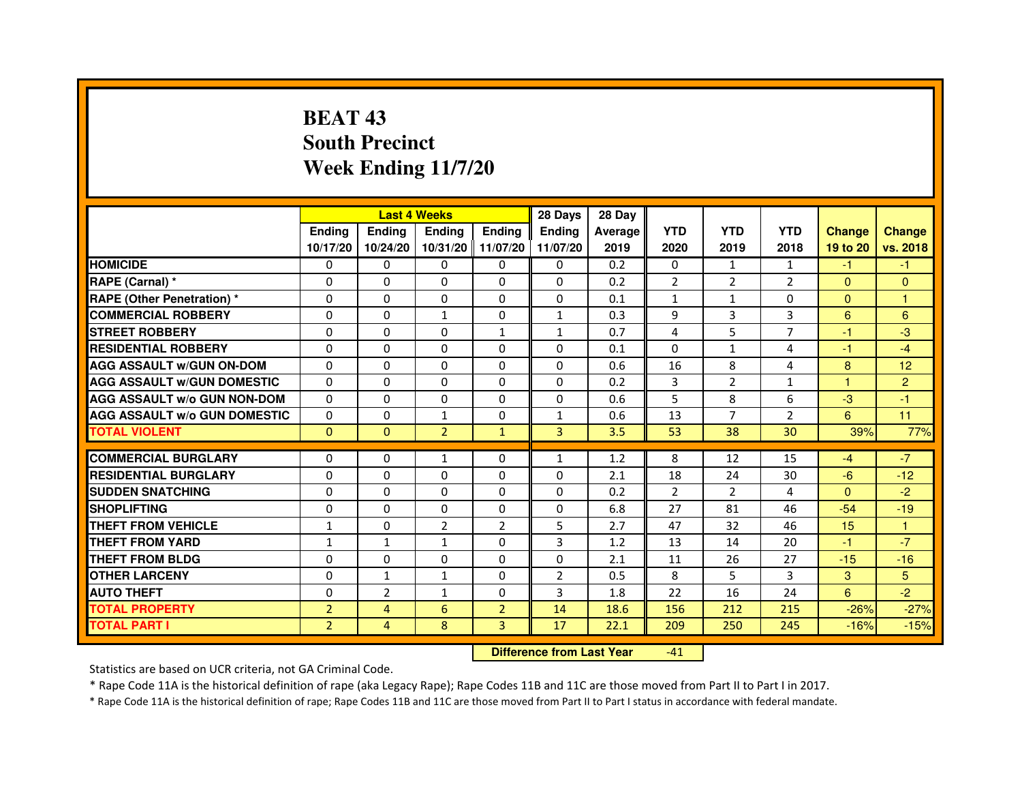# **BEAT 43 South PrecinctWeek Ending 11/7/20**

| <b>Change</b><br>vs. 2018<br>$-1$<br>$\Omega$<br>1<br>6<br>-3<br>$-4$ |
|-----------------------------------------------------------------------|
|                                                                       |
|                                                                       |
|                                                                       |
|                                                                       |
|                                                                       |
|                                                                       |
|                                                                       |
|                                                                       |
| 12                                                                    |
| 2                                                                     |
| $-1$                                                                  |
| 11                                                                    |
| 77%                                                                   |
| $-7$                                                                  |
| $-12$                                                                 |
| $-2$                                                                  |
| $-19$                                                                 |
| $\mathbf{1}$                                                          |
| $-7$                                                                  |
| $-16$                                                                 |
| 5                                                                     |
| $-2$                                                                  |
| $-27%$                                                                |
| $-15%$                                                                |
|                                                                       |

 **Difference from Last Year**-41

Statistics are based on UCR criteria, not GA Criminal Code.

\* Rape Code 11A is the historical definition of rape (aka Legacy Rape); Rape Codes 11B and 11C are those moved from Part II to Part I in 2017.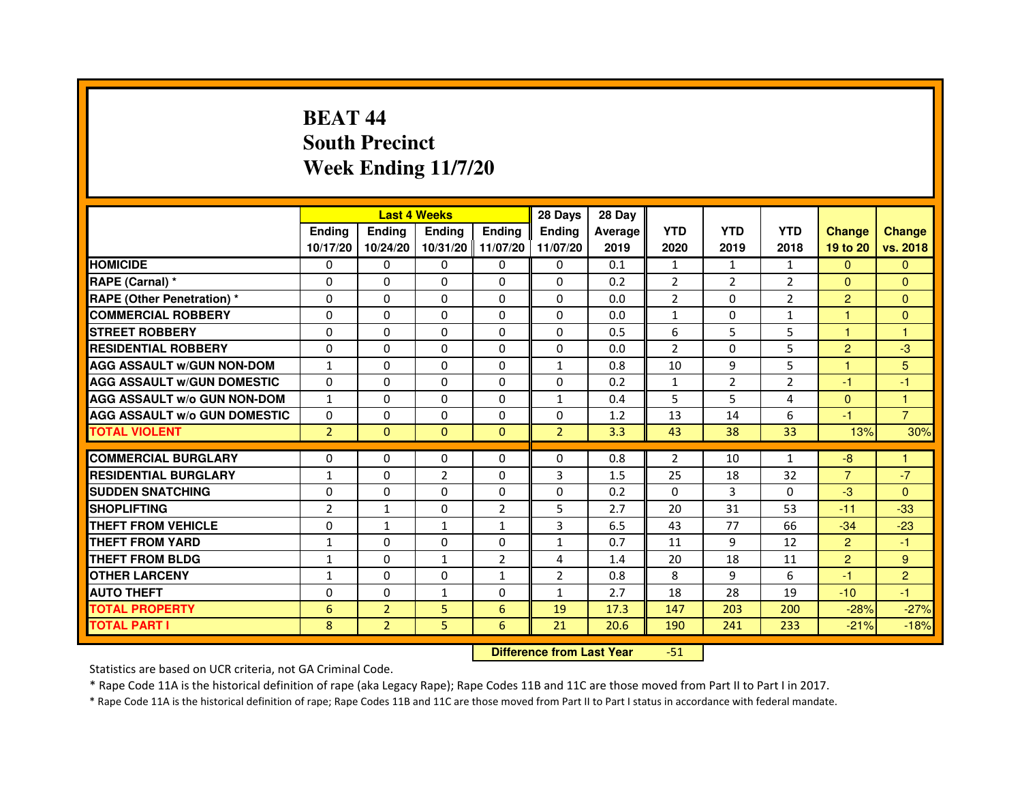# **BEAT 44 South PrecinctWeek Ending 11/7/20**

|                                     |                | <b>Last 4 Weeks</b> |                |                   | 28 Days                          | 28 Day  |                |                |                |                      |                |
|-------------------------------------|----------------|---------------------|----------------|-------------------|----------------------------------|---------|----------------|----------------|----------------|----------------------|----------------|
|                                     | <b>Ending</b>  | Ending              | <b>Ending</b>  | <b>Ending</b>     | <b>Ending</b>                    | Average | <b>YTD</b>     | <b>YTD</b>     | <b>YTD</b>     | <b>Change</b>        | <b>Change</b>  |
|                                     | 10/17/20       | 10/24/20            |                | 10/31/20 11/07/20 | 11/07/20                         | 2019    | 2020           | 2019           | 2018           | 19 to 20             | vs. 2018       |
| <b>HOMICIDE</b>                     | 0              | 0                   | $\mathbf{0}$   | $\Omega$          | 0                                | 0.1     | $\mathbf{1}$   | $\mathbf{1}$   | $\mathbf{1}$   | $\Omega$             | $\mathbf{0}$   |
| RAPE (Carnal) *                     | 0              | 0                   | 0              | 0                 | $\Omega$                         | 0.2     | $\overline{2}$ | $\overline{2}$ | $\overline{2}$ | $\Omega$             | $\mathbf{0}$   |
| <b>RAPE (Other Penetration) *</b>   | $\Omega$       | 0                   | 0              | $\mathbf{0}$      | $\mathbf{0}$                     | 0.0     | $\overline{2}$ | $\Omega$       | $\overline{2}$ | $\overline{2}$       | $\mathbf{0}$   |
| <b>COMMERCIAL ROBBERY</b>           | 0              | 0                   | $\Omega$       | $\mathbf{0}$      | $\Omega$                         | 0.0     | $\mathbf{1}$   | $\Omega$       | $\mathbf{1}$   | $\mathbf{1}$         | $\mathbf{0}$   |
| <b>STREET ROBBERY</b>               | 0              | $\Omega$            | $\Omega$       | $\Omega$          | $\Omega$                         | 0.5     | 6              | 5              | 5              | $\blacktriangleleft$ | 1              |
| <b>RESIDENTIAL ROBBERY</b>          | 0              | 0                   | $\Omega$       | $\mathbf{0}$      | $\Omega$                         | 0.0     | $\overline{2}$ | $\Omega$       | 5              | $\overline{2}$       | $-3$           |
| <b>AGG ASSAULT w/GUN NON-DOM</b>    | $\mathbf{1}$   | $\Omega$            | 0              | $\mathbf{0}$      | $\mathbf{1}$                     | 0.8     | 10             | 9              | 5              | $\blacktriangleleft$ | 5              |
| <b>AGG ASSAULT W/GUN DOMESTIC</b>   | $\Omega$       | $\Omega$            | $\Omega$       | $\mathbf{0}$      | $\Omega$                         | 0.2     | $\mathbf{1}$   | $\overline{2}$ | $\overline{2}$ | $-1$                 | $-1$           |
| <b>AGG ASSAULT W/o GUN NON-DOM</b>  | $\mathbf{1}$   | $\Omega$            | $\Omega$       | $\Omega$          | $\mathbf{1}$                     | 0.4     | 5              | 5.             | 4              | $\Omega$             | $\mathbf{1}$   |
| <b>AGG ASSAULT w/o GUN DOMESTIC</b> | $\Omega$       | 0                   | 0              | $\mathbf{0}$      | 0                                | 1.2     | 13             | 14             | 6              | $-1$                 | $\overline{7}$ |
| <b>TOTAL VIOLENT</b>                | $\overline{2}$ | $\mathbf{0}$        | $\mathbf{0}$   | $\mathbf{0}$      | $\overline{2}$                   | 3.3     | 43             | 38             | 33             | 13%                  | 30%            |
| <b>COMMERCIAL BURGLARY</b>          | 0              | 0                   | 0              | $\mathbf{0}$      | 0                                | 0.8     | 2              | 10             | $\mathbf{1}$   | $-8$                 | 1              |
| <b>RESIDENTIAL BURGLARY</b>         | 1              | 0                   | $\overline{2}$ | $\mathbf{0}$      | 3                                | 1.5     | 25             | 18             | 32             | $\overline{7}$       | $-7$           |
| <b>SUDDEN SNATCHING</b>             | 0              | 0                   | $\Omega$       | $\Omega$          | $\Omega$                         | 0.2     | $\Omega$       | 3              | $\Omega$       | $-3$                 | $\mathbf{0}$   |
| <b>SHOPLIFTING</b>                  | $\overline{2}$ | $\mathbf{1}$        | 0              | $\overline{2}$    | 5                                | 2.7     | 20             | 31             | 53             | $-11$                | $-33$          |
| THEFT FROM VEHICLE                  | 0              | $\mathbf{1}$        | $\mathbf{1}$   | $\mathbf{1}$      | 3                                | 6.5     | 43             | 77             | 66             | $-34$                | $-23$          |
| <b>THEFT FROM YARD</b>              | $\mathbf{1}$   | $\mathbf 0$         | $\Omega$       | $\mathbf{0}$      | $\mathbf{1}$                     | 0.7     | 11             | 9              | 12             | $\overline{2}$       | $-1$           |
| <b>THEFT FROM BLDG</b>              | $\mathbf{1}$   | $\Omega$            | $\mathbf{1}$   | $\overline{2}$    | 4                                | 1.4     | 20             | 18             | 11             | $\overline{2}$       | 9              |
| <b>OTHER LARCENY</b>                | $\mathbf{1}$   | $\Omega$            | $\Omega$       | 1                 | $\overline{2}$                   | 0.8     | 8              | 9              | 6              | $-1$                 | $\overline{2}$ |
| <b>AUTO THEFT</b>                   | $\Omega$       | $\Omega$            | $\mathbf{1}$   | $\Omega$          | $\mathbf{1}$                     | 2.7     | 18             | 28             | 19             | $-10$                | $-1$           |
| <b>TOTAL PROPERTY</b>               | 6              | $\overline{2}$      | 5              | 6                 | 19                               | 17.3    | 147            | 203            | 200            | $-28%$               | $-27%$         |
| <b>TOTAL PART I</b>                 | 8              | $\overline{2}$      | 5              | 6                 | 21                               | 20.6    | 190            | 241            | 233            | $-21%$               | $-18%$         |
|                                     |                |                     |                |                   | <b>Difference from Last Year</b> |         | $-51$          |                |                |                      |                |

 **Difference from Last Year**

Statistics are based on UCR criteria, not GA Criminal Code.

\* Rape Code 11A is the historical definition of rape (aka Legacy Rape); Rape Codes 11B and 11C are those moved from Part II to Part I in 2017.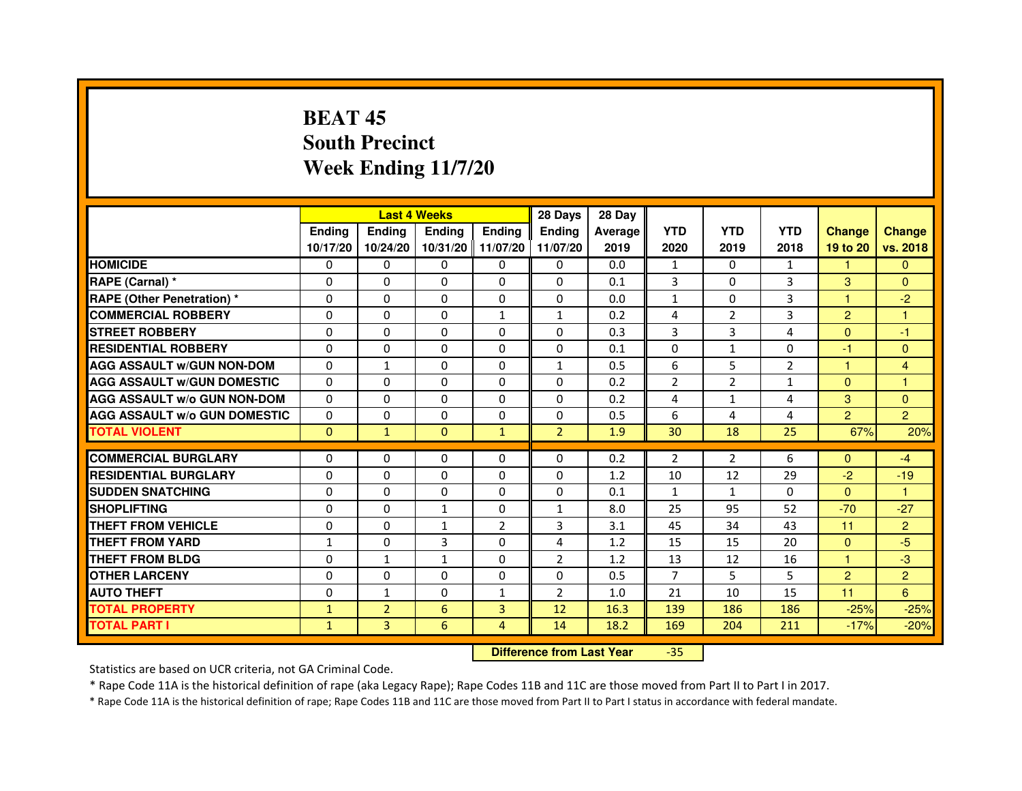# **BEAT 45 South PrecinctWeek Ending 11/7/20**

|                                     |              | <b>Last 4 Weeks</b> |                   |                | 28 Days                          | 28 Day  |                |                |                |                |                |
|-------------------------------------|--------------|---------------------|-------------------|----------------|----------------------------------|---------|----------------|----------------|----------------|----------------|----------------|
|                                     | Ending       | Ending              | Ending            | <b>Ending</b>  | Ending                           | Average | <b>YTD</b>     | <b>YTD</b>     | <b>YTD</b>     | <b>Change</b>  | <b>Change</b>  |
|                                     | 10/17/20     | 10/24/20            | 10/31/20 11/07/20 |                | 11/07/20                         | 2019    | 2020           | 2019           | 2018           | 19 to 20       | vs. 2018       |
| <b>HOMICIDE</b>                     | 0            | 0                   | $\mathbf{0}$      | 0              | 0                                | 0.0     | $\mathbf{1}$   | $\Omega$       | $\mathbf{1}$   | $\mathbf{1}$   | $\mathbf{0}$   |
| RAPE (Carnal) *                     | 0            | 0                   | 0                 | 0              | 0                                | 0.1     | 3              | $\mathbf{0}$   | 3              | 3              | $\Omega$       |
| <b>RAPE (Other Penetration) *</b>   | $\Omega$     | $\mathbf 0$         | $\Omega$          | 0              | 0                                | 0.0     | $\mathbf{1}$   | $\mathbf{0}$   | 3              | 1              | $-2$           |
| <b>COMMERCIAL ROBBERY</b>           | $\mathbf 0$  | 0                   | $\Omega$          | $\mathbf{1}$   | $\mathbf{1}$                     | 0.2     | 4              | $\overline{2}$ | 3              | $\overline{2}$ | $\mathbf{1}$   |
| <b>STREET ROBBERY</b>               | $\Omega$     | $\Omega$            | $\Omega$          | $\Omega$       | $\Omega$                         | 0.3     | 3              | 3              | $\overline{4}$ | $\Omega$       | $-1$           |
| <b>RESIDENTIAL ROBBERY</b>          | $\Omega$     | 0                   | $\Omega$          | 0              | 0                                | 0.1     | $\Omega$       | 1              | $\Omega$       | $-1$           | $\mathbf{0}$   |
| <b>AGG ASSAULT w/GUN NON-DOM</b>    | $\Omega$     | $\mathbf{1}$        | $\Omega$          | $\Omega$       | $\mathbf{1}$                     | 0.5     | 6              | 5              | $\overline{2}$ | $\mathbf{1}$   | 4              |
| <b>AGG ASSAULT W/GUN DOMESTIC</b>   | $\Omega$     | $\Omega$            | $\mathbf 0$       | $\Omega$       | 0                                | 0.2     | $\overline{2}$ | $\overline{2}$ | $\mathbf{1}$   | $\Omega$       | $\mathbf{1}$   |
| <b>AGG ASSAULT W/o GUN NON-DOM</b>  | $\Omega$     | $\Omega$            | $\Omega$          | $\Omega$       | $\Omega$                         | 0.2     | 4              | $\mathbf{1}$   | 4              | 3              | $\Omega$       |
| <b>AGG ASSAULT w/o GUN DOMESTIC</b> | $\Omega$     | $\mathbf 0$         | $\Omega$          | 0              | 0                                | 0.5     | 6              | 4              | 4              | $\overline{2}$ | $\overline{2}$ |
| <b>TOTAL VIOLENT</b>                | $\mathbf{0}$ | $\mathbf{1}$        | $\mathbf{0}$      | $\mathbf{1}$   | $\overline{2}$                   | 1.9     | 30             | 18             | 25             | 67%            | 20%            |
| <b>COMMERCIAL BURGLARY</b>          | 0            | 0                   | 0                 | 0              | 0                                | 0.2     | $\overline{2}$ | $\overline{2}$ | 6              | $\mathbf{0}$   | $-4$           |
| <b>RESIDENTIAL BURGLARY</b>         | 0            | $\mathbf 0$         | 0                 | 0              | $\mathbf 0$                      | 1.2     | 10             | 12             | 29             | $-2$           | $-19$          |
| <b>SUDDEN SNATCHING</b>             | $\Omega$     | $\mathbf 0$         | $\Omega$          | $\Omega$       | $\Omega$                         | 0.1     | $\mathbf{1}$   | $\mathbf{1}$   | $\Omega$       | $\Omega$       | $\mathbf{1}$   |
| <b>SHOPLIFTING</b>                  | 0            | 0                   | $\mathbf{1}$      | 0              | 1                                | 8.0     | 25             | 95             | 52             | $-70$          | $-27$          |
| THEFT FROM VEHICLE                  | $\Omega$     | $\Omega$            | $\mathbf{1}$      | $\overline{2}$ | 3                                | 3.1     | 45             | 34             | 43             | 11             | $\overline{2}$ |
| <b>THEFT FROM YARD</b>              | $\mathbf{1}$ | 0                   | 3                 | 0              | 4                                | 1.2     | 15             | 15             | 20             | $\Omega$       | $-5$           |
| <b>THEFT FROM BLDG</b>              | $\Omega$     | $\mathbf{1}$        | $\mathbf{1}$      | $\Omega$       | $\overline{2}$                   | 1.2     | 13             | 12             | 16             | $\mathbf{1}$   | $-3$           |
| <b>OTHER LARCENY</b>                | $\Omega$     | $\Omega$            | $\Omega$          | $\Omega$       | $\Omega$                         | 0.5     | $\overline{7}$ | 5              | 5              | $\overline{2}$ | $\overline{2}$ |
| <b>AUTO THEFT</b>                   | $\Omega$     | $\mathbf{1}$        | $\Omega$          | $\mathbf{1}$   | $\overline{2}$                   | 1.0     | 21             | 10             | 15             | 11             | 6              |
| <b>TOTAL PROPERTY</b>               | $\mathbf{1}$ | $\overline{2}$      | 6                 | 3              | 12                               | 16.3    | 139            | 186            | 186            | $-25%$         | $-25%$         |
| <b>TOTAL PART I</b>                 | $\mathbf{1}$ | 3                   | 6                 | $\overline{4}$ | 14                               | 18.2    | 169            | 204            | 211            | $-17%$         | $-20%$         |
|                                     |              |                     |                   |                | <b>Difference from Last Year</b> |         | $-35$          |                |                |                |                |

 **Difference from Last Year**

Statistics are based on UCR criteria, not GA Criminal Code.

\* Rape Code 11A is the historical definition of rape (aka Legacy Rape); Rape Codes 11B and 11C are those moved from Part II to Part I in 2017.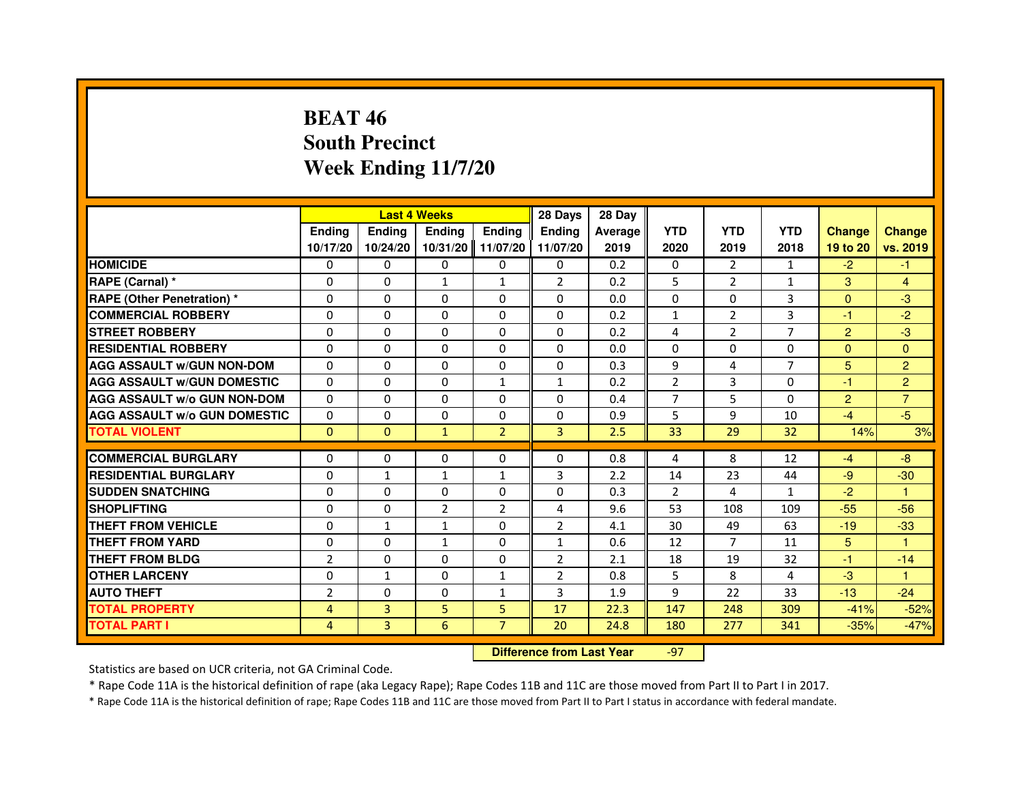## **BEAT 46 South PrecinctWeek Ending 11/7/20**

|                                     |                | <b>Last 4 Weeks</b> |                |                | 28 Days                          | 28 Day  |                |                |                |                |                |
|-------------------------------------|----------------|---------------------|----------------|----------------|----------------------------------|---------|----------------|----------------|----------------|----------------|----------------|
|                                     | <b>Ending</b>  | <b>Ending</b>       | <b>Ending</b>  | <b>Ending</b>  | <b>Ending</b>                    | Average | <b>YTD</b>     | <b>YTD</b>     | <b>YTD</b>     | <b>Change</b>  | <b>Change</b>  |
|                                     | 10/17/20       | 10/24/20            | 10/31/20       | 11/07/20       | 11/07/20                         | 2019    | 2020           | 2019           | 2018           | 19 to 20       | vs. 2019       |
| <b>HOMICIDE</b>                     | $\mathbf{0}$   | $\mathbf{0}$        | $\mathbf{0}$   | $\mathbf{0}$   | 0                                | 0.2     | $\mathbf{0}$   | $\overline{2}$ | $\mathbf{1}$   | $-2$           | $-1$           |
| RAPE (Carnal) *                     | 0              | 0                   | $\mathbf{1}$   | 1              | $\overline{2}$                   | 0.2     | 5              | $\overline{2}$ | $\mathbf{1}$   | 3              | 4              |
| <b>RAPE (Other Penetration) *</b>   | $\Omega$       | $\Omega$            | 0              | $\Omega$       | $\mathbf{0}$                     | 0.0     | $\mathbf{0}$   | $\mathbf{0}$   | 3              | $\Omega$       | $-3$           |
| <b>COMMERCIAL ROBBERY</b>           | 0              | $\Omega$            | $\Omega$       | $\Omega$       | 0                                | 0.2     | $\mathbf{1}$   | $\overline{2}$ | 3              | $-1$           | $-2$           |
| <b>STREET ROBBERY</b>               | $\Omega$       | $\Omega$            | $\Omega$       | $\Omega$       | $\Omega$                         | 0.2     | 4              | $\overline{2}$ | $\overline{7}$ | $\overline{2}$ | $-3$           |
| <b>RESIDENTIAL ROBBERY</b>          | 0              | 0                   | 0              | 0              | $\mathbf{0}$                     | 0.0     | 0              | 0              | $\Omega$       | $\overline{0}$ | $\overline{0}$ |
| <b>AGG ASSAULT W/GUN NON-DOM</b>    | $\Omega$       | $\Omega$            | 0              | $\Omega$       | $\Omega$                         | 0.3     | 9              | 4              | $\overline{7}$ | 5              | $\overline{2}$ |
| <b>AGG ASSAULT w/GUN DOMESTIC</b>   | $\Omega$       | $\Omega$            | 0              | $\mathbf{1}$   | $\mathbf{1}$                     | 0.2     | $\overline{2}$ | 3              | $\Omega$       | $-1$           | $\overline{2}$ |
| <b>AGG ASSAULT W/o GUN NON-DOM</b>  | $\Omega$       | $\Omega$            | $\Omega$       | $\Omega$       | $\Omega$                         | 0.4     | $\overline{7}$ | 5              | $\Omega$       | $\overline{2}$ | $\overline{7}$ |
| <b>AGG ASSAULT W/o GUN DOMESTIC</b> | 0              | $\Omega$            | 0              | $\Omega$       | $\Omega$                         | 0.9     | 5              | 9              | 10             | $-4$           | $-5$           |
| <b>TOTAL VIOLENT</b>                | $\mathbf{0}$   | $\mathbf{0}$        | $\mathbf{1}$   | $\overline{2}$ | 3                                | 2.5     | 33             | 29             | 32             | 14%            | 3%             |
| <b>COMMERCIAL BURGLARY</b>          | 0              | 0                   | 0              | 0              | 0                                | 0.8     | 4              | 8              | 12             | $-4$           | $-8$           |
| <b>RESIDENTIAL BURGLARY</b>         | 0              | $\mathbf{1}$        | $\mathbf{1}$   | $\mathbf{1}$   | 3                                | 2.2     | 14             | 23             | 44             | $-9$           | $-30$          |
| <b>SUDDEN SNATCHING</b>             | 0              | $\Omega$            | $\Omega$       | $\Omega$       | $\Omega$                         | 0.3     | $\overline{2}$ | 4              | $\mathbf{1}$   | $-2$           | $\mathbf{1}$   |
| <b>SHOPLIFTING</b>                  | 0              | $\mathbf{0}$        | $\overline{2}$ | $\overline{2}$ | 4                                | 9.6     | 53             | 108            | 109            | $-55$          | $-56$          |
| THEFT FROM VEHICLE                  | 0              | $\mathbf{1}$        | $\mathbf{1}$   | $\Omega$       | $\overline{2}$                   | 4.1     | 30             | 49             | 63             | $-19$          | $-33$          |
| <b>THEFT FROM YARD</b>              | $\Omega$       | $\Omega$            | 1              | $\Omega$       | $\mathbf{1}$                     | 0.6     | 12             | $\overline{7}$ | 11             | 5 <sup>5</sup> | $\mathbf{1}$   |
| <b>THEFT FROM BLDG</b>              | $\overline{2}$ | $\Omega$            | $\Omega$       | $\Omega$       | $\overline{2}$                   | 2.1     | 18             | 19             | 32             | $-1$           | $-14$          |
| <b>OTHER LARCENY</b>                | $\Omega$       | $\mathbf{1}$        | 0              | $\mathbf{1}$   | $\overline{2}$                   | 0.8     | 5              | 8              | 4              | $-3$           | $\mathbf{1}$   |
| <b>AUTO THEFT</b>                   | $\overline{2}$ | $\Omega$            | $\Omega$       | $\mathbf{1}$   | 3                                | 1.9     | 9              | 22             | 33             | $-13$          | $-24$          |
| <b>TOTAL PROPERTY</b>               | 4              | 3                   | 5              | 5              | 17                               | 22.3    | 147            | 248            | 309            | $-41%$         | $-52%$         |
| <b>TOTAL PART I</b>                 | 4              | 3                   | 6              | $\overline{7}$ | 20                               | 24.8    | 180            | 277            | 341            | $-35%$         | $-47%$         |
|                                     |                |                     |                |                | <b>Difference from Last Year</b> |         | $-97$          |                |                |                |                |

 **Difference from Last Year**

Statistics are based on UCR criteria, not GA Criminal Code.

\* Rape Code 11A is the historical definition of rape (aka Legacy Rape); Rape Codes 11B and 11C are those moved from Part II to Part I in 2017.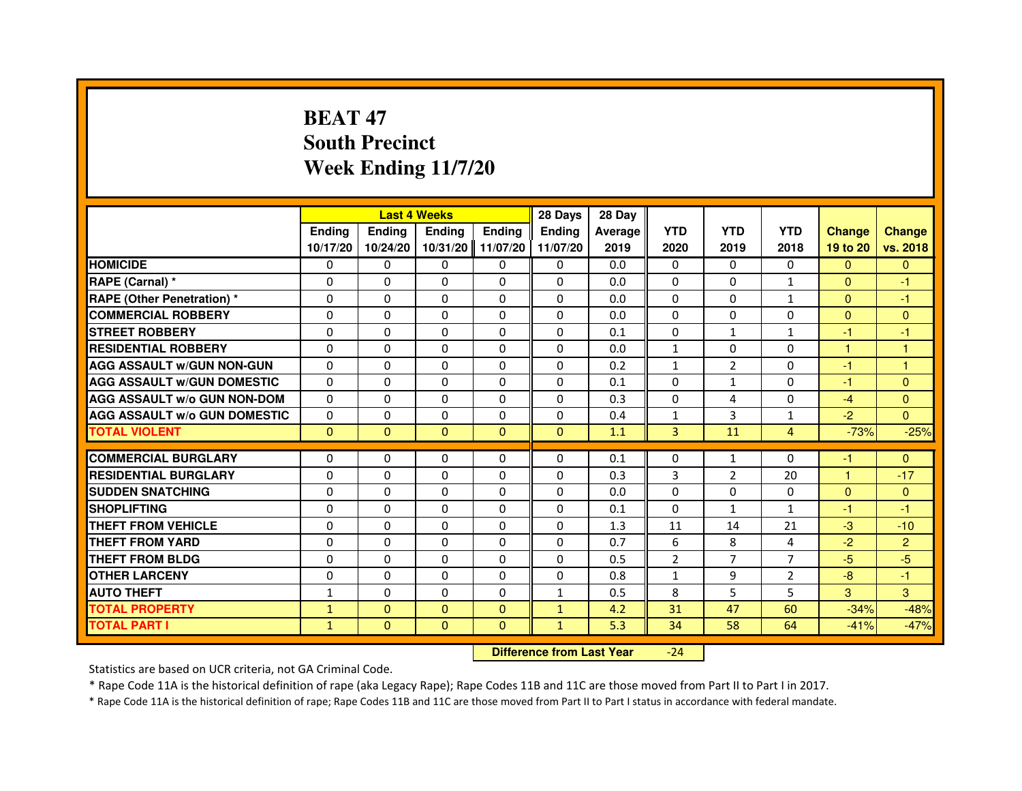# **BEAT 47 South PrecinctWeek Ending 11/7/20**

|                                     |               | <b>Last 4 Weeks</b> |               |               | 28 Days                          | 28 Day  |                |                |                |                |                |
|-------------------------------------|---------------|---------------------|---------------|---------------|----------------------------------|---------|----------------|----------------|----------------|----------------|----------------|
|                                     | <b>Ending</b> | <b>Ending</b>       | <b>Ending</b> | <b>Ending</b> | <b>Ending</b>                    | Average | <b>YTD</b>     | <b>YTD</b>     | <b>YTD</b>     | <b>Change</b>  | <b>Change</b>  |
|                                     | 10/17/20      | 10/24/20            | 10/31/20      | 11/07/20      | 11/07/20                         | 2019    | 2020           | 2019           | 2018           | 19 to 20       | vs. 2018       |
| <b>HOMICIDE</b>                     | $\mathbf{0}$  | $\mathbf{0}$        | $\mathbf{0}$  | $\mathbf{0}$  | $\mathbf{0}$                     | 0.0     | $\mathbf{0}$   | $\Omega$       | 0              | $\Omega$       | $\mathbf{0}$   |
| RAPE (Carnal) *                     | 0             | 0                   | 0             | 0             | 0                                | 0.0     | 0              | 0              | $\mathbf{1}$   | $\mathbf{0}$   | -1             |
| <b>RAPE (Other Penetration) *</b>   | $\Omega$      | $\Omega$            | $\Omega$      | $\Omega$      | $\Omega$                         | 0.0     | $\Omega$       | $\Omega$       | $\mathbf{1}$   | $\Omega$       | -1             |
| <b>COMMERCIAL ROBBERY</b>           | 0             | $\Omega$            | $\Omega$      | $\Omega$      | 0                                | 0.0     | 0              | 0              | 0              | $\overline{0}$ | $\mathbf{0}$   |
| <b>STREET ROBBERY</b>               | $\Omega$      | $\Omega$            | $\Omega$      | $\Omega$      | $\Omega$                         | 0.1     | $\Omega$       | $\mathbf{1}$   | $\mathbf{1}$   | $-1$           | -1             |
| <b>RESIDENTIAL ROBBERY</b>          | 0             | 0                   | 0             | 0             | $\Omega$                         | 0.0     | $\mathbf{1}$   | 0              | $\Omega$       | $\mathbf{1}$   | 1              |
| <b>AGG ASSAULT W/GUN NON-GUN</b>    | $\Omega$      | $\Omega$            | 0             | $\Omega$      | $\Omega$                         | 0.2     | $\mathbf{1}$   | $\overline{2}$ | 0              | -1             | $\mathbf{1}$   |
| <b>AGG ASSAULT W/GUN DOMESTIC</b>   | $\Omega$      | $\Omega$            | $\Omega$      | $\Omega$      | $\Omega$                         | 0.1     | $\Omega$       | $\mathbf{1}$   | 0              | $-1$           | $\Omega$       |
| <b>AGG ASSAULT W/o GUN NON-DOM</b>  | $\Omega$      | $\Omega$            | $\Omega$      | $\Omega$      | $\mathbf{0}$                     | 0.3     | $\mathbf{0}$   | 4              | $\Omega$       | $-4$           | $\mathbf{0}$   |
| <b>AGG ASSAULT W/o GUN DOMESTIC</b> | 0             | $\Omega$            | 0             | $\Omega$      | $\Omega$                         | 0.4     | $\mathbf{1}$   | 3              | $\mathbf{1}$   | $-2$           | $\Omega$       |
| <b>TOTAL VIOLENT</b>                | $\mathbf{0}$  | $\mathbf{0}$        | $\mathbf{0}$  | $\mathbf{0}$  | $\mathbf{0}$                     | 1.1     | 3              | 11             | $\overline{4}$ | $-73%$         | $-25%$         |
| <b>COMMERCIAL BURGLARY</b>          | 0             | 0                   | 0             | 0             | 0                                | 0.1     | 0              | 1              | 0              | $-1$           | $\mathbf{0}$   |
| <b>RESIDENTIAL BURGLARY</b>         | $\Omega$      | $\Omega$            | $\Omega$      | $\Omega$      | 0                                | 0.3     | 3              | $\overline{2}$ | 20             | $\mathbf{1}$   | $-17$          |
| <b>SUDDEN SNATCHING</b>             | $\Omega$      | $\Omega$            | $\Omega$      | $\Omega$      | $\Omega$                         | 0.0     | $\Omega$       | $\Omega$       | $\Omega$       | $\Omega$       | $\mathbf{0}$   |
| <b>SHOPLIFTING</b>                  | 0             | $\mathbf{0}$        | 0             | $\mathbf{0}$  | 0                                | 0.1     | $\Omega$       | $\mathbf{1}$   | $\mathbf{1}$   | $-1$           | $-1$           |
| THEFT FROM VEHICLE                  | 0             | $\Omega$            | 0             | $\Omega$      | 0                                | 1.3     | 11             | 14             | 21             | $-3$           | $-10$          |
| <b>THEFT FROM YARD</b>              | $\Omega$      | $\Omega$            | $\Omega$      | $\Omega$      | $\Omega$                         | 0.7     | 6              | 8              | 4              | $-2$           | $\overline{2}$ |
| <b>THEFT FROM BLDG</b>              | $\Omega$      | $\Omega$            | $\Omega$      | $\Omega$      | $\Omega$                         | 0.5     | $\overline{2}$ | $\overline{7}$ | $\overline{7}$ | $-5$           | $-5$           |
| <b>OTHER LARCENY</b>                | $\Omega$      | $\Omega$            | 0             | $\Omega$      | $\mathbf{0}$                     | 0.8     | $\mathbf{1}$   | 9              | $\overline{2}$ | $-8-$          | $-1$           |
| <b>AUTO THEFT</b>                   | $\mathbf{1}$  | $\Omega$            | $\Omega$      | $\Omega$      | $\mathbf{1}$                     | 0.5     | 8              | 5              | 5              | 3              | 3              |
| <b>TOTAL PROPERTY</b>               | $\mathbf{1}$  | $\mathbf{0}$        | $\Omega$      | $\Omega$      | $\mathbf{1}$                     | 4.2     | 31             | 47             | 60             | $-34%$         | $-48%$         |
| <b>TOTAL PART I</b>                 | $\mathbf{1}$  | $\mathbf{0}$        | $\mathbf{0}$  | $\mathbf{0}$  | $\mathbf{1}$                     | 5.3     | 34             | 58             | 64             | $-41%$         | $-47%$         |
|                                     |               |                     |               |               | <b>Difference from Last Year</b> |         | $-24$          |                |                |                |                |

 **Difference from Last Year**

Statistics are based on UCR criteria, not GA Criminal Code.

\* Rape Code 11A is the historical definition of rape (aka Legacy Rape); Rape Codes 11B and 11C are those moved from Part II to Part I in 2017.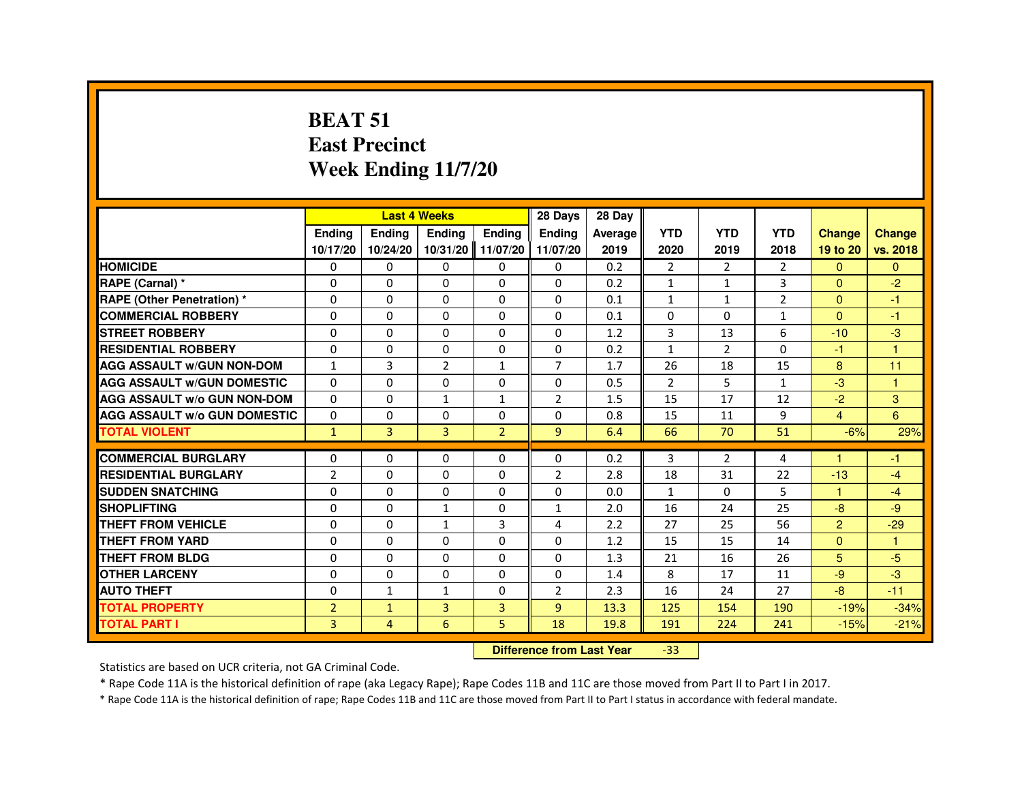#### **BEAT 51 East PrecinctWeek Ending 11/7/20**

|                                     |                |                | <b>Last 4 Weeks</b> |                   | 28 Days                          | 28 Day  |                |                |                |                      |                |
|-------------------------------------|----------------|----------------|---------------------|-------------------|----------------------------------|---------|----------------|----------------|----------------|----------------------|----------------|
|                                     | <b>Ending</b>  | Ending         | Ending              | Ending            | Ending                           | Average | <b>YTD</b>     | <b>YTD</b>     | <b>YTD</b>     | <b>Change</b>        | <b>Change</b>  |
|                                     | 10/17/20       | 10/24/20       |                     | 10/31/20 11/07/20 | 11/07/20                         | 2019    | 2020           | 2019           | 2018           | 19 to 20             | vs. 2018       |
| <b>HOMICIDE</b>                     | 0              | 0              | 0                   | $\Omega$          | 0                                | 0.2     | $\overline{2}$ | $\overline{2}$ | $\overline{2}$ | $\mathbf{0}$         | $\Omega$       |
| RAPE (Carnal) *                     | 0              | $\Omega$       | $\Omega$            | $\Omega$          | $\Omega$                         | 0.2     | 1              | $\mathbf{1}$   | 3              | $\mathbf{0}$         | $-2$           |
| <b>RAPE (Other Penetration) *</b>   | 0              | 0              | 0                   | 0                 | 0                                | 0.1     | $\mathbf{1}$   | $\mathbf{1}$   | $\overline{2}$ | $\Omega$             | $-1$           |
| <b>COMMERCIAL ROBBERY</b>           | 0              | $\Omega$       | $\Omega$            | $\Omega$          | $\mathbf 0$                      | 0.1     | $\Omega$       | $\Omega$       | $\mathbf{1}$   | $\Omega$             | $-1$           |
| <b>STREET ROBBERY</b>               | $\Omega$       | $\Omega$       | $\Omega$            | $\Omega$          | $\Omega$                         | 1.2     | 3              | 13             | 6              | $-10$                | $-3$           |
| <b>RESIDENTIAL ROBBERY</b>          | 0              | 0              | 0                   | 0                 | 0                                | 0.2     | $\mathbf{1}$   | $\overline{2}$ | 0              | $-1$                 | $\overline{1}$ |
| <b>AGG ASSAULT w/GUN NON-DOM</b>    | $\mathbf{1}$   | 3              | $\overline{2}$      | $\mathbf{1}$      | 7                                | 1.7     | 26             | 18             | 15             | 8                    | 11             |
| <b>AGG ASSAULT W/GUN DOMESTIC</b>   | $\Omega$       | $\Omega$       | $\Omega$            | $\Omega$          | $\Omega$                         | 0.5     | $\overline{2}$ | 5              | $\mathbf{1}$   | $-3$                 | $\overline{1}$ |
| <b>AGG ASSAULT w/o GUN NON-DOM</b>  | $\mathbf{0}$   | $\Omega$       | $\mathbf{1}$        | $\mathbf{1}$      | $\overline{2}$                   | 1.5     | 15             | 17             | 12             | $-2$                 | 3              |
| <b>AGG ASSAULT w/o GUN DOMESTIC</b> | $\Omega$       | 0              | 0                   | 0                 | $\Omega$                         | 0.8     | 15             | 11             | 9              | $\overline{4}$       | 6              |
| <b>TOTAL VIOLENT</b>                | $\mathbf{1}$   | 3              | 3                   | $\overline{2}$    | 9                                | 6.4     | 66             | 70             | 51             | $-6%$                | 29%            |
| <b>COMMERCIAL BURGLARY</b>          | 0              | 0              | 0                   | 0                 | 0                                | 0.2     | 3              | 2              | 4              | $\blacktriangleleft$ | -1             |
| <b>RESIDENTIAL BURGLARY</b>         | $\overline{2}$ | $\Omega$       | $\Omega$            | $\Omega$          | $\overline{2}$                   | 2.8     | 18             | 31             | 22             | $-13$                | $-4$           |
| <b>SUDDEN SNATCHING</b>             | 0              | $\Omega$       | $\Omega$            | $\Omega$          | $\Omega$                         | 0.0     | $\mathbf{1}$   | $\Omega$       | 5              | $\blacktriangleleft$ | $-4$           |
| <b>SHOPLIFTING</b>                  | 0              | 0              | $\mathbf{1}$        | 0                 | $\mathbf{1}$                     | 2.0     | 16             | 24             | 25             | $-8$                 | $-9$           |
| THEFT FROM VEHICLE                  | 0              | $\Omega$       | $\mathbf{1}$        | 3                 | 4                                | 2.2     | 27             | 25             | 56             | $\overline{2}$       | $-29$          |
| <b>THEFT FROM YARD</b>              | $\Omega$       | $\Omega$       | $\Omega$            | $\Omega$          | $\Omega$                         | 1.2     | 15             | 15             | 14             | $\Omega$             | $\mathbf{1}$   |
| THEFT FROM BLDG                     | $\Omega$       | $\Omega$       | $\Omega$            | $\Omega$          | $\Omega$                         | 1.3     | 21             | 16             | 26             | 5                    | $-5$           |
| <b>OTHER LARCENY</b>                | 0              | $\Omega$       | 0                   | $\mathbf{0}$      | $\Omega$                         | 1.4     | 8              | 17             | 11             | $-9$                 | $-3$           |
| <b>AUTO THEFT</b>                   | $\Omega$       | $\mathbf{1}$   | $\mathbf{1}$        | $\Omega$          | $\overline{2}$                   | 2.3     | 16             | 24             | 27             | $-8-$                | $-11$          |
| <b>TOTAL PROPERTY</b>               | $\overline{2}$ | $\mathbf{1}$   | $\overline{3}$      | $\overline{3}$    | $\overline{9}$                   | 13.3    | 125            | 154            | 190            | $-19%$               | $-34%$         |
| <b>TOTAL PART I</b>                 | 3              | $\overline{4}$ | 6                   | 5.                | 18                               | 19.8    | 191            | 224            | 241            | $-15%$               | $-21%$         |
|                                     |                |                |                     |                   | <b>Difference from Last Year</b> |         | $-33$          |                |                |                      |                |

 **Difference from Last Year**

Statistics are based on UCR criteria, not GA Criminal Code.

\* Rape Code 11A is the historical definition of rape (aka Legacy Rape); Rape Codes 11B and 11C are those moved from Part II to Part I in 2017.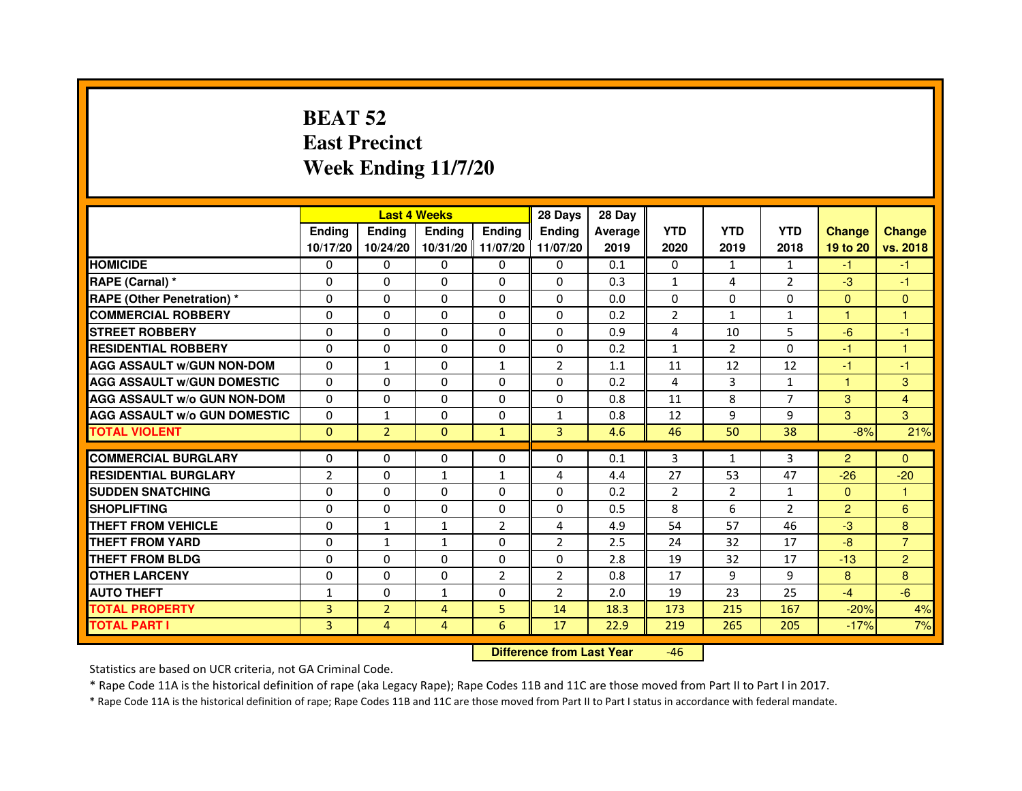# **BEAT 52 East PrecinctWeek Ending 11/7/20**

|                                     |                | <b>Last 4 Weeks</b> |               |                   | 28 Days        | 28 Day  |                |                |                |                |                |
|-------------------------------------|----------------|---------------------|---------------|-------------------|----------------|---------|----------------|----------------|----------------|----------------|----------------|
|                                     | <b>Ending</b>  | Ending              | <b>Endina</b> | <b>Ending</b>     | <b>Endina</b>  | Average | <b>YTD</b>     | <b>YTD</b>     | <b>YTD</b>     | <b>Change</b>  | <b>Change</b>  |
|                                     | 10/17/20       | 10/24/20            |               | 10/31/20 11/07/20 | 11/07/20       | 2019    | 2020           | 2019           | 2018           | 19 to 20       | vs. 2018       |
| <b>HOMICIDE</b>                     | 0              | 0                   | 0             | 0                 | 0              | 0.1     | $\mathbf{0}$   | $\mathbf{1}$   | $\mathbf{1}$   | -1             | -1             |
| RAPE (Carnal) *                     | $\Omega$       | $\Omega$            | $\Omega$      | $\Omega$          | $\Omega$       | 0.3     | $\mathbf{1}$   | $\overline{4}$ | $\overline{2}$ | $-3$           | $-1$           |
| <b>RAPE (Other Penetration) *</b>   | 0              | $\Omega$            | $\Omega$      | $\Omega$          | $\Omega$       | 0.0     | $\Omega$       | $\Omega$       | $\Omega$       | $\Omega$       | $\Omega$       |
| <b>COMMERCIAL ROBBERY</b>           | 0              | 0                   | 0             | 0                 | $\Omega$       | 0.2     | $\overline{2}$ | $\mathbf{1}$   | 1              | 1              | 1              |
| <b>STREET ROBBERY</b>               | 0              | $\Omega$            | 0             | $\Omega$          | 0              | 0.9     | 4              | 10             | 5              | $-6$           | $-1$           |
| <b>RESIDENTIAL ROBBERY</b>          | 0              | $\Omega$            | 0             | 0                 | 0              | 0.2     | $\mathbf{1}$   | 2              | $\Omega$       | $-1$           | 1              |
| <b>AGG ASSAULT W/GUN NON-DOM</b>    | $\Omega$       | $\mathbf{1}$        | $\Omega$      | $\mathbf{1}$      | $\overline{2}$ | 1.1     | 11             | 12             | 12             | $-1$           | $-1$           |
| <b>AGG ASSAULT W/GUN DOMESTIC</b>   | $\Omega$       | $\Omega$            | 0             | 0                 | $\Omega$       | 0.2     | $\overline{4}$ | 3              | $\mathbf{1}$   | $\mathbf{1}$   | 3              |
| <b>AGG ASSAULT W/o GUN NON-DOM</b>  | $\Omega$       | 0                   | $\Omega$      | 0                 | $\Omega$       | 0.8     | 11             | 8              | 7              | 3              | $\overline{4}$ |
| <b>AGG ASSAULT W/o GUN DOMESTIC</b> | $\Omega$       | $\mathbf{1}$        | 0             | $\Omega$          | 1              | 0.8     | 12             | 9              | 9              | 3              | 3              |
| <b>TOTAL VIOLENT</b>                | $\Omega$       | $\overline{2}$      | $\Omega$      | $\mathbf{1}$      | 3              | 4.6     | 46             | 50             | 38             | $-8%$          | 21%            |
|                                     |                |                     |               |                   |                |         |                |                |                |                |                |
| <b>COMMERCIAL BURGLARY</b>          | 0              | 0                   | $\Omega$      | 0                 | $\Omega$       | 0.1     | 3              | $\mathbf{1}$   | 3              | $\overline{2}$ | $\Omega$       |
| <b>RESIDENTIAL BURGLARY</b>         | $\overline{2}$ | $\Omega$            | 1             | $\mathbf{1}$      | 4              | 4.4     | 27             | 53             | 47             | $-26$          | $-20$          |
| <b>SUDDEN SNATCHING</b>             | 0              | 0                   | $\Omega$      | $\Omega$          | $\Omega$       | 0.2     | $\overline{2}$ | $\overline{2}$ | $\mathbf{1}$   | $\Omega$       | 1              |
| <b>SHOPLIFTING</b>                  | $\mathbf 0$    | 0                   | 0             | $\mathbf{0}$      | 0              | 0.5     | 8              | 6              | $\overline{2}$ | $\overline{2}$ | 6              |
| <b>THEFT FROM VEHICLE</b>           | 0              | $\mathbf{1}$        | $\mathbf{1}$  | $\overline{2}$    | 4              | 4.9     | 54             | 57             | 46             | $-3$           | 8              |
| <b>THEFT FROM YARD</b>              | 0              | $\mathbf{1}$        | $\mathbf{1}$  | $\Omega$          | $\overline{2}$ | 2.5     | 24             | 32             | 17             | $-8$           | $\overline{7}$ |
| <b>THEFT FROM BLDG</b>              | 0              | 0                   | 0             | 0                 | 0              | 2.8     | 19             | 32             | 17             | $-13$          | $\overline{2}$ |
| <b>OTHER LARCENY</b>                | 0              | 0                   | 0             | $\overline{2}$    | $\overline{2}$ | 0.8     | 17             | 9              | 9              | 8              | 8              |
| <b>AUTO THEFT</b>                   | $\mathbf{1}$   | 0                   | $\mathbf{1}$  | $\Omega$          | $\overline{2}$ | 2.0     | 19             | 23             | 25             | $-4$           | $-6$           |
| <b>TOTAL PROPERTY</b>               | 3              | $\overline{2}$      | 4             | 5                 | 14             | 18.3    | 173            | 215            | 167            | $-20%$         | 4%             |
| <b>TOTAL PART I</b>                 | 3              | 4                   | 4             | 6                 | 17             | 22.9    | 219            | 265            | 205            | $-17%$         | 7%             |

 **Difference from Last Year**-46

Statistics are based on UCR criteria, not GA Criminal Code.

\* Rape Code 11A is the historical definition of rape (aka Legacy Rape); Rape Codes 11B and 11C are those moved from Part II to Part I in 2017.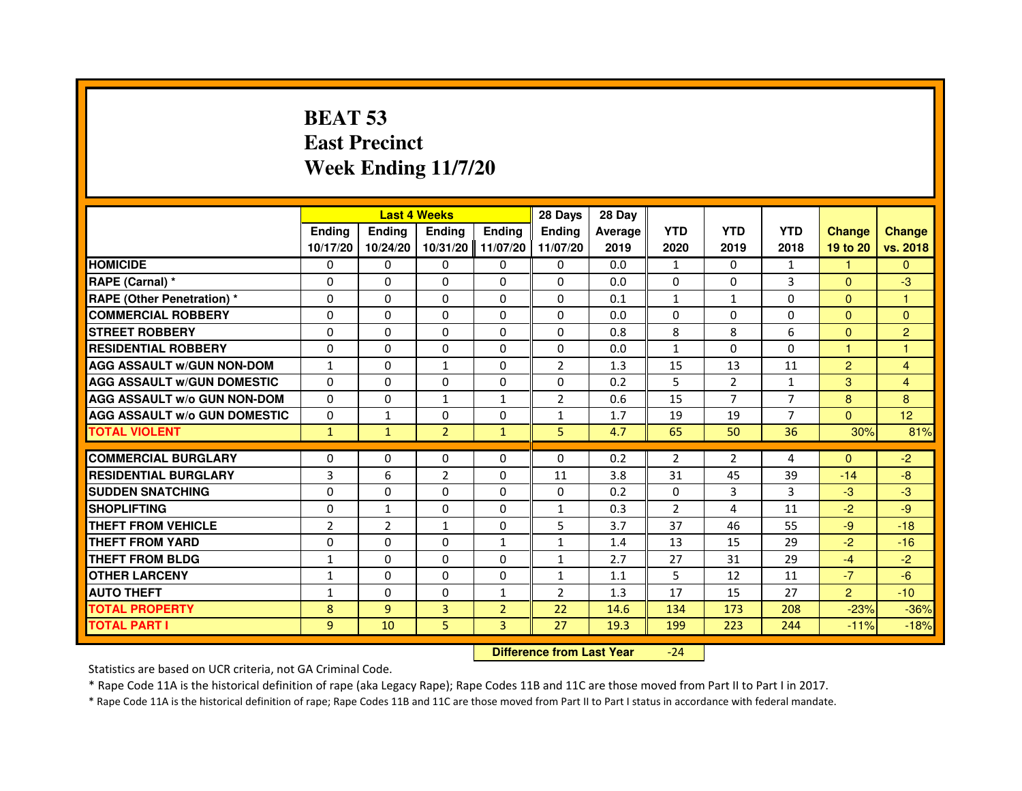# **BEAT 53 East PrecinctWeek Ending 11/7/20**

|                                     |                |                | <b>Last 4 Weeks</b> |                | 28 Days        | 28 Day  |                |                |                |                |                |
|-------------------------------------|----------------|----------------|---------------------|----------------|----------------|---------|----------------|----------------|----------------|----------------|----------------|
|                                     | <b>Ending</b>  | <b>Endina</b>  | <b>Ending</b>       | <b>Ending</b>  | <b>Endina</b>  | Average | <b>YTD</b>     | <b>YTD</b>     | <b>YTD</b>     | <b>Change</b>  | <b>Change</b>  |
|                                     | 10/17/20       | 10/24/20       | 10/31/20            | 11/07/20       | 11/07/20       | 2019    | 2020           | 2019           | 2018           | 19 to 20       | vs. 2018       |
| <b>HOMICIDE</b>                     | 0              | $\mathbf{0}$   | 0                   | $\mathbf{0}$   | $\mathbf{0}$   | 0.0     | 1              | 0              | 1              | $\mathbf{1}$   | $\Omega$       |
| RAPE (Carnal) *                     | $\Omega$       | $\Omega$       | $\Omega$            | $\Omega$       | $\Omega$       | 0.0     | $\Omega$       | $\Omega$       | 3              | $\Omega$       | $-3$           |
| <b>RAPE (Other Penetration) *</b>   | 0              | 0              | 0                   | $\mathbf{0}$   | $\mathbf{0}$   | 0.1     | $\mathbf{1}$   | $\mathbf{1}$   | 0              | $\Omega$       | 1              |
| <b>COMMERCIAL ROBBERY</b>           | 0              | $\Omega$       | 0                   | $\Omega$       | $\Omega$       | 0.0     | $\Omega$       | 0              | $\Omega$       | $\Omega$       | $\Omega$       |
| <b>STREET ROBBERY</b>               | $\Omega$       | $\Omega$       | $\Omega$            | $\Omega$       | $\Omega$       | 0.8     | 8              | 8              | 6              | $\Omega$       | $\overline{2}$ |
| <b>RESIDENTIAL ROBBERY</b>          | $\Omega$       | $\Omega$       | 0                   | $\Omega$       | $\Omega$       | 0.0     | $\mathbf{1}$   | $\Omega$       | $\Omega$       | $\mathbf{1}$   | $\mathbf{1}$   |
| <b>AGG ASSAULT w/GUN NON-DOM</b>    | $\mathbf{1}$   | $\Omega$       | $\mathbf{1}$        | $\Omega$       | $\overline{2}$ | 1.3     | 15             | 13             | 11             | 2              | 4              |
| <b>AGG ASSAULT W/GUN DOMESTIC</b>   | $\Omega$       | $\Omega$       | 0                   | $\Omega$       | $\Omega$       | 0.2     | 5              | $\overline{2}$ | $\mathbf{1}$   | 3              | $\overline{4}$ |
| <b>AGG ASSAULT w/o GUN NON-DOM</b>  | $\Omega$       | $\Omega$       | 1                   | 1              | $\overline{2}$ | 0.6     | 15             | $\overline{7}$ | $\overline{7}$ | 8              | 8              |
| <b>AGG ASSAULT W/o GUN DOMESTIC</b> | $\Omega$       | $\mathbf{1}$   | 0                   | 0              | 1              | 1.7     | 19             | 19             | $\overline{7}$ | $\Omega$       | 12             |
| <b>TOTAL VIOLENT</b>                | $\mathbf{1}$   | $\mathbf{1}$   | $\overline{2}$      | $\mathbf{1}$   | 5              | 4.7     | 65             | 50             | 36             | 30%            | 81%            |
|                                     |                |                |                     |                |                |         |                |                |                |                |                |
| <b>COMMERCIAL BURGLARY</b>          | 0              | 0              | 0                   | 0              | 0              | 0.2     | $\overline{2}$ | 2              | 4              | $\Omega$       | $-2$           |
| <b>RESIDENTIAL BURGLARY</b>         | 3              | 6              | $\overline{2}$      | $\Omega$       | 11             | 3.8     | 31             | 45             | 39             | $-14$          | -8             |
| <b>SUDDEN SNATCHING</b>             | 0              | 0              | 0                   | $\Omega$       | $\Omega$       | 0.2     | 0              | 3              | 3              | $-3$           | $-3$           |
| <b>SHOPLIFTING</b>                  | $\Omega$       | $\mathbf{1}$   | $\Omega$            | $\Omega$       | $\mathbf{1}$   | 0.3     | $\overline{2}$ | 4              | 11             | $-2$           | $-9$           |
| THEFT FROM VEHICLE                  | $\overline{2}$ | $\overline{2}$ | $\mathbf{1}$        | $\Omega$       | 5              | 3.7     | 37             | 46             | 55             | $-9$           | $-18$          |
| <b>THEFT FROM YARD</b>              | 0              | $\Omega$       | $\Omega$            | $\mathbf{1}$   | $\mathbf{1}$   | 1.4     | 13             | 15             | 29             | $-2$           | $-16$          |
| THEFT FROM BLDG                     | $\mathbf{1}$   | $\Omega$       | $\Omega$            | $\Omega$       | $\mathbf{1}$   | 2.7     | 27             | 31             | 29             | $-4$           | $-2$           |
| <b>OTHER LARCENY</b>                | $\mathbf{1}$   | $\Omega$       | 0                   | $\Omega$       | $\mathbf{1}$   | 1.1     | 5              | 12             | 11             | $-7$           | $-6$           |
| <b>AUTO THEFT</b>                   | $\mathbf{1}$   | $\Omega$       | $\Omega$            | 1              | $\overline{2}$ | 1.3     | 17             | 15             | 27             | $\overline{2}$ | $-10$          |
| <b>TOTAL PROPERTY</b>               | 8              | $\overline{9}$ | 3                   | $\overline{2}$ | 22             | 14.6    | 134            | 173            | 208            | $-23%$         | $-36%$         |
| <b>TOTAL PART I</b>                 | 9              | 10             | 5                   | 3              | 27             | 19.3    | 199            | 223            | 244            | $-11%$         | $-18%$         |

 **Difference from Last Year**-24

Statistics are based on UCR criteria, not GA Criminal Code.

\* Rape Code 11A is the historical definition of rape (aka Legacy Rape); Rape Codes 11B and 11C are those moved from Part II to Part I in 2017.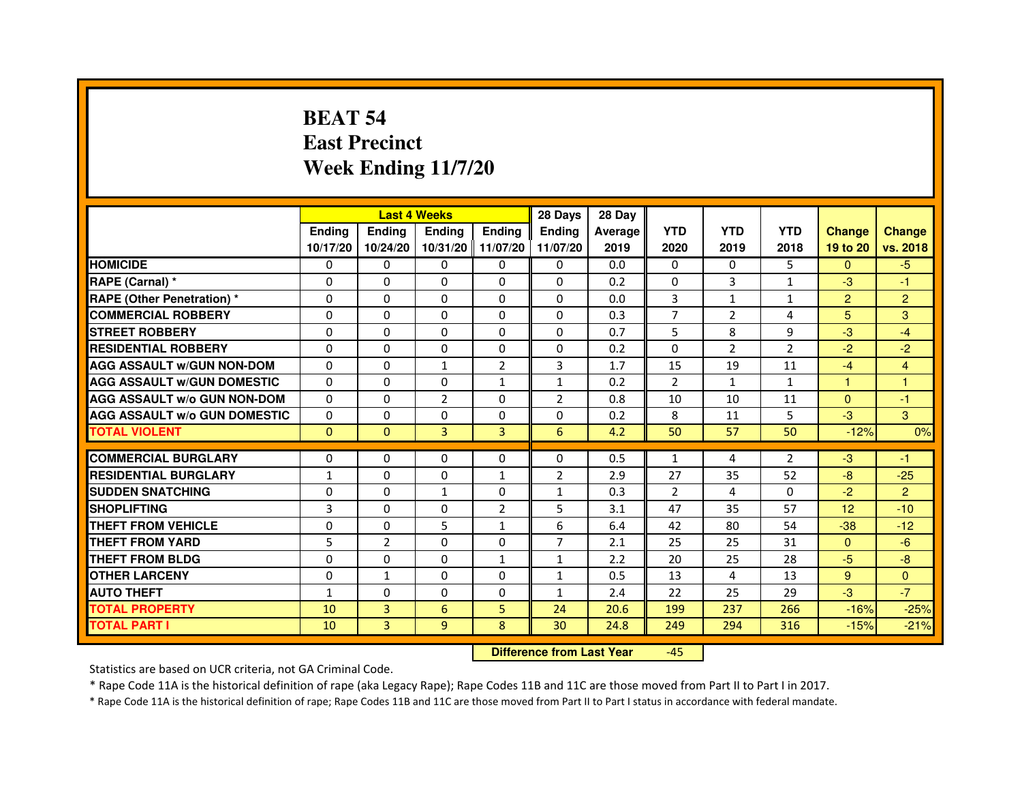# **BEAT 54 East PrecinctWeek Ending 11/7/20**

|                                     |               | <b>Last 4 Weeks</b> |                |                   | 28 Days        | 28 Day  |                |                |                |                |                |
|-------------------------------------|---------------|---------------------|----------------|-------------------|----------------|---------|----------------|----------------|----------------|----------------|----------------|
|                                     | <b>Endina</b> | <b>Ending</b>       | <b>Endina</b>  | <b>Endina</b>     | <b>Endina</b>  | Average | <b>YTD</b>     | <b>YTD</b>     | <b>YTD</b>     | <b>Change</b>  | <b>Change</b>  |
|                                     | 10/17/20      | 10/24/20            |                | 10/31/20 11/07/20 | 11/07/20       | 2019    | 2020           | 2019           | 2018           | 19 to 20       | vs. 2018       |
| <b>HOMICIDE</b>                     | 0             | $\mathbf{0}$        | $\mathbf{0}$   | 0                 | 0              | 0.0     | $\mathbf{0}$   | $\Omega$       | 5              | $\mathbf{0}$   | $-5$           |
| RAPE (Carnal) *                     | $\Omega$      | $\Omega$            | $\Omega$       | $\Omega$          | $\Omega$       | 0.2     | $\Omega$       | 3              | $\mathbf{1}$   | $-3$           | $-1$           |
| <b>RAPE (Other Penetration)*</b>    | 0             | $\Omega$            | $\Omega$       | 0                 | $\Omega$       | 0.0     | 3              | $\mathbf{1}$   | $\mathbf{1}$   | $\overline{2}$ | $\overline{2}$ |
| <b>COMMERCIAL ROBBERY</b>           | 0             | 0                   | $\Omega$       | 0                 | $\Omega$       | 0.3     | 7              | $\overline{2}$ | 4              | 5              | 3              |
| <b>STREET ROBBERY</b>               | 0             | $\Omega$            | 0              | $\mathbf{0}$      | $\Omega$       | 0.7     | 5              | 8              | 9              | $-3$           | $-4$           |
| <b>RESIDENTIAL ROBBERY</b>          | 0             | $\Omega$            | $\Omega$       | $\Omega$          | $\Omega$       | 0.2     | $\Omega$       | 2              | $\overline{2}$ | $-2$           | $-2$           |
| <b>AGG ASSAULT w/GUN NON-DOM</b>    | $\Omega$      | $\Omega$            | $\mathbf{1}$   | $\overline{2}$    | 3              | 1.7     | 15             | 19             | 11             | $-4$           | $\overline{4}$ |
| <b>AGG ASSAULT w/GUN DOMESTIC</b>   | $\Omega$      | $\Omega$            | 0              | $\mathbf{1}$      | $\mathbf{1}$   | 0.2     | $\overline{2}$ | $\mathbf{1}$   | $\mathbf{1}$   | $\mathbf{1}$   | $\mathbf{1}$   |
| <b>AGG ASSAULT W/o GUN NON-DOM</b>  | $\Omega$      | 0                   | $\overline{2}$ | $\Omega$          | $\overline{2}$ | 0.8     | 10             | 10             | 11             | $\Omega$       | $-1$           |
| <b>AGG ASSAULT w/o GUN DOMESTIC</b> | $\Omega$      | 0                   | $\Omega$       | $\Omega$          | $\Omega$       | 0.2     | 8              | 11             | 5              | $-3$           | 3              |
| <b>TOTAL VIOLENT</b>                | $\Omega$      | $\mathbf{0}$        | 3              | 3                 | 6              | 4.2     | 50             | 57             | 50             | $-12%$         | 0%             |
| <b>COMMERCIAL BURGLARY</b>          | $\Omega$      | $\Omega$            | $\Omega$       | $\Omega$          | $\Omega$       | 0.5     | $\mathbf{1}$   | $\overline{a}$ | $\mathfrak{p}$ | $-3$           | $-1$           |
| <b>RESIDENTIAL BURGLARY</b>         | 1             | 0                   | 0              | 1                 | $\overline{2}$ | 2.9     | 27             | 35             | 52             | $-8$           | $-25$          |
| <b>SUDDEN SNATCHING</b>             | 0             | 0                   | $\mathbf{1}$   | 0                 | $\mathbf{1}$   | 0.3     | $\overline{2}$ | 4              | 0              | $-2$           | $\overline{2}$ |
| <b>SHOPLIFTING</b>                  | 3             | 0                   | 0              | $\overline{2}$    | 5              | 3.1     | 47             | 35             | 57             | 12             | $-10$          |
| <b>THEFT FROM VEHICLE</b>           | 0             | $\Omega$            | 5              | $\mathbf{1}$      | 6              | 6.4     | 42             | 80             | 54             | $-38$          | $-12$          |
| <b>THEFT FROM YARD</b>              | 5             | $\overline{2}$      | $\Omega$       | $\Omega$          | $\overline{7}$ | 2.1     | 25             | 25             | 31             | $\Omega$       | $-6$           |
| <b>THEFT FROM BLDG</b>              | 0             | 0                   | 0              | 1                 | 1              | 2.2     | 20             | 25             | 28             | $-5$           | -8             |
| <b>OTHER LARCENY</b>                | 0             | $\mathbf{1}$        | 0              | $\mathbf{0}$      | $\mathbf{1}$   | 0.5     | 13             | 4              | 13             | 9              | $\Omega$       |
| <b>AUTO THEFT</b>                   | $\mathbf{1}$  | $\Omega$            | 0              | $\mathbf{0}$      | $\mathbf{1}$   | 2.4     | 22             | 25             | 29             | $-3$           | $-7$           |
| <b>TOTAL PROPERTY</b>               | 10            | 3                   | 6              | 5                 | 24             | 20.6    | 199            | 237            | 266            | $-16%$         | $-25%$         |
| <b>TOTAL PART I</b>                 | 10            | 3                   | 9              | 8                 | 30             | 24.8    | 249            | 294            | 316            | $-15%$         | $-21%$         |

 **Difference from Last Year**-45

Statistics are based on UCR criteria, not GA Criminal Code.

\* Rape Code 11A is the historical definition of rape (aka Legacy Rape); Rape Codes 11B and 11C are those moved from Part II to Part I in 2017.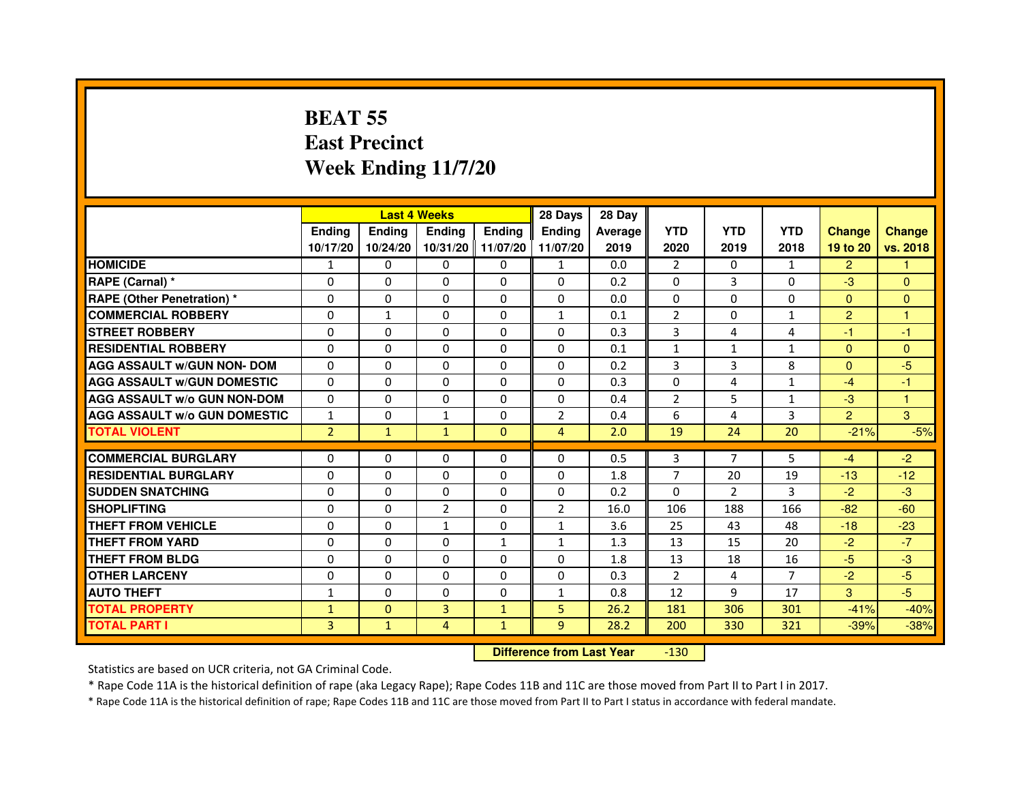# **BEAT 55 East PrecinctWeek Ending 11/7/20**

|                                     |                |               | <b>Last 4 Weeks</b> |               | 28 Days        | 28 Day  |                |                |              |                |                |
|-------------------------------------|----------------|---------------|---------------------|---------------|----------------|---------|----------------|----------------|--------------|----------------|----------------|
|                                     | <b>Ending</b>  | <b>Endina</b> | <b>Endina</b>       | <b>Endina</b> | <b>Endina</b>  | Average | <b>YTD</b>     | <b>YTD</b>     | <b>YTD</b>   | <b>Change</b>  | <b>Change</b>  |
|                                     | 10/17/20       | 10/24/20      | 10/31/20            | 11/07/20      | 11/07/20       | 2019    | 2020           | 2019           | 2018         | 19 to 20       | vs. 2018       |
| <b>HOMICIDE</b>                     | $\mathbf{1}$   | $\Omega$      | $\Omega$            | $\Omega$      | 1              | 0.0     | 2              | $\Omega$       | $\mathbf{1}$ | $\overline{2}$ |                |
| RAPE (Carnal) *                     | $\Omega$       | $\Omega$      | $\Omega$            | $\Omega$      | $\Omega$       | 0.2     | $\Omega$       | 3              | $\Omega$     | $-3$           | $\mathbf{0}$   |
| <b>RAPE (Other Penetration) *</b>   | $\Omega$       | $\Omega$      | $\Omega$            | $\Omega$      | $\Omega$       | 0.0     | $\mathbf{0}$   | $\Omega$       | $\Omega$     | $\Omega$       | $\Omega$       |
| <b>COMMERCIAL ROBBERY</b>           | $\Omega$       | $\mathbf{1}$  | $\Omega$            | 0             | $\mathbf{1}$   | 0.1     | 2              | 0              | 1            | 2              |                |
| <b>STREET ROBBERY</b>               | $\Omega$       | $\Omega$      | $\Omega$            | $\Omega$      | $\Omega$       | 0.3     | 3              | 4              | 4            | $-1$           | $-1$           |
| <b>RESIDENTIAL ROBBERY</b>          | $\Omega$       | $\Omega$      | $\Omega$            | $\Omega$      | $\Omega$       | 0.1     | $\mathbf{1}$   | $\mathbf{1}$   | $\mathbf{1}$ | $\mathbf{0}$   | $\overline{0}$ |
| <b>AGG ASSAULT w/GUN NON- DOM</b>   | $\Omega$       | $\Omega$      | $\Omega$            | $\Omega$      | $\Omega$       | 0.2     | 3              | 3              | 8            | $\Omega$       | $-5$           |
| <b>AGG ASSAULT W/GUN DOMESTIC</b>   | $\Omega$       | $\Omega$      | $\Omega$            | $\Omega$      | $\Omega$       | 0.3     | $\Omega$       | 4              | $\mathbf{1}$ | $-4$           | $-1$           |
| <b>AGG ASSAULT W/o GUN NON-DOM</b>  | $\Omega$       | $\Omega$      | $\Omega$            | $\Omega$      | 0              | 0.4     | $\overline{2}$ | 5              | 1            | $-3$           |                |
| <b>AGG ASSAULT W/o GUN DOMESTIC</b> | 1              | 0             | $\mathbf{1}$        | $\Omega$      | $\overline{2}$ | 0.4     | 6              | 4              | 3            | $\overline{2}$ | 3              |
| <b>TOTAL VIOLENT</b>                | $\overline{2}$ | $\mathbf{1}$  | $\mathbf{1}$        | $\mathbf{0}$  | $\overline{4}$ | 2.0     | 19             | 24             | 20           | $-21%$         | $-5%$          |
|                                     |                |               |                     |               |                |         |                |                |              |                |                |
| <b>COMMERCIAL BURGLARY</b>          | $\Omega$       | 0             | $\mathbf{0}$        | 0             | 0              | 0.5     | 3              | 7              | 5            | $-4$           | $-2$           |
| <b>RESIDENTIAL BURGLARY</b>         | $\Omega$       | $\Omega$      | $\Omega$            | $\Omega$      | $\Omega$       | 1.8     | $\overline{7}$ | 20             | 19           | $-13$          | $-12$          |
| <b>SUDDEN SNATCHING</b>             | $\Omega$       | $\Omega$      | $\Omega$            | $\Omega$      | 0              | 0.2     | $\Omega$       | $\overline{2}$ | 3            | $-2$           | $-3$           |
| <b>SHOPLIFTING</b>                  | $\Omega$       | $\Omega$      | $\overline{2}$      | $\Omega$      | $\overline{2}$ | 16.0    | 106            | 188            | 166          | $-82$          | $-60$          |
| THEFT FROM VEHICLE                  | $\Omega$       | $\Omega$      | $\mathbf{1}$        | $\Omega$      | $\mathbf{1}$   | 3.6     | 25             | 43             | 48           | $-18$          | $-23$          |
| <b>THEFT FROM YARD</b>              | $\Omega$       | $\Omega$      | $\Omega$            | 1             | $\mathbf{1}$   | 1.3     | 13             | 15             | 20           | $-2$           | $-7$           |
| <b>THEFT FROM BLDG</b>              | $\Omega$       | $\Omega$      | $\Omega$            | $\Omega$      | $\Omega$       | 1.8     | 13             | 18             | 16           | $-5$           | $-3$           |
| <b>OTHER LARCENY</b>                | $\Omega$       | $\Omega$      | $\Omega$            | 0             | 0              | 0.3     | $\overline{2}$ | 4              | 7            | $-2$           | $-5$           |
| <b>AUTO THEFT</b>                   | $\mathbf{1}$   | $\Omega$      | $\Omega$            | $\Omega$      | $\mathbf{1}$   | 0.8     | 12             | 9              | 17           | 3              | $-5$           |
| <b>TOTAL PROPERTY</b>               | $\mathbf{1}$   | $\Omega$      | $\overline{3}$      | $\mathbf{1}$  | 5              | 26.2    | 181            | 306            | 301          | $-41%$         | $-40%$         |
| <b>TOTAL PART I</b>                 | $\overline{3}$ | $\mathbf{1}$  | $\overline{4}$      | $\mathbf{1}$  | 9              | 28.2    | 200            | 330            | 321          | $-39%$         | $-38%$         |

 **Difference from Last Year**-130

Statistics are based on UCR criteria, not GA Criminal Code.

\* Rape Code 11A is the historical definition of rape (aka Legacy Rape); Rape Codes 11B and 11C are those moved from Part II to Part I in 2017.